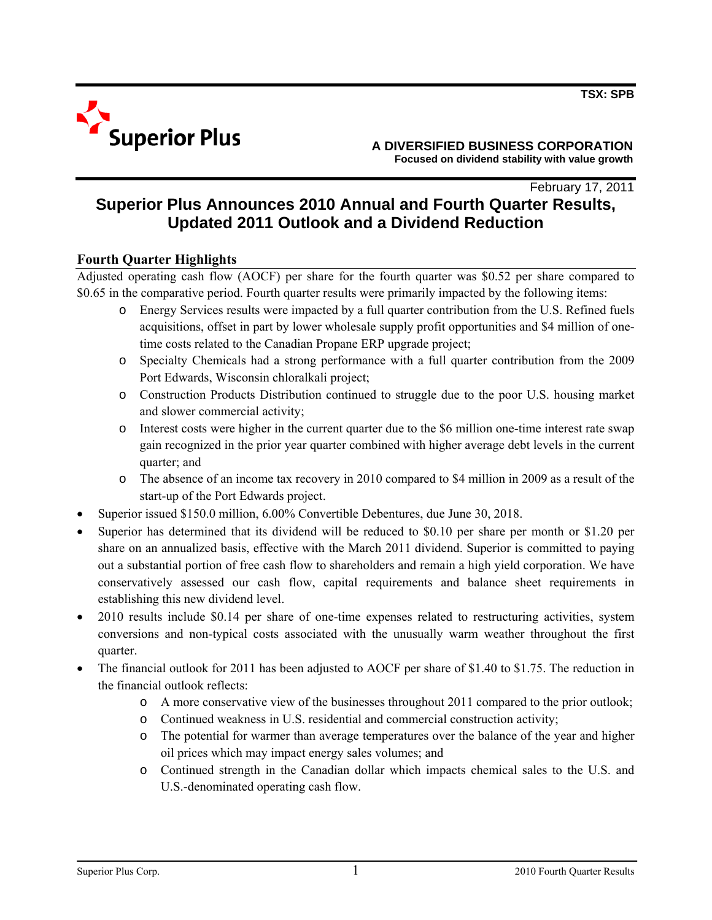

 **Focused on dividend stability with value growth** 

February 17, 2011

# **Superior Plus Announces 2010 Annual and Fourth Quarter Results, Updated 2011 Outlook and a Dividend Reduction**

### **Fourth Quarter Highlights**

Adjusted operating cash flow (AOCF) per share for the fourth quarter was \$0.52 per share compared to \$0.65 in the comparative period. Fourth quarter results were primarily impacted by the following items:

- o Energy Services results were impacted by a full quarter contribution from the U.S. Refined fuels acquisitions, offset in part by lower wholesale supply profit opportunities and \$4 million of onetime costs related to the Canadian Propane ERP upgrade project;
- o Specialty Chemicals had a strong performance with a full quarter contribution from the 2009 Port Edwards, Wisconsin chloralkali project;
- o Construction Products Distribution continued to struggle due to the poor U.S. housing market and slower commercial activity;
- o Interest costs were higher in the current quarter due to the \$6 million one-time interest rate swap gain recognized in the prior year quarter combined with higher average debt levels in the current quarter; and
- o The absence of an income tax recovery in 2010 compared to \$4 million in 2009 as a result of the start-up of the Port Edwards project.
- Superior issued \$150.0 million, 6.00% Convertible Debentures, due June 30, 2018.
- Superior has determined that its dividend will be reduced to \$0.10 per share per month or \$1.20 per share on an annualized basis, effective with the March 2011 dividend. Superior is committed to paying out a substantial portion of free cash flow to shareholders and remain a high yield corporation. We have conservatively assessed our cash flow, capital requirements and balance sheet requirements in establishing this new dividend level.
- 2010 results include \$0.14 per share of one-time expenses related to restructuring activities, system conversions and non-typical costs associated with the unusually warm weather throughout the first quarter.
- The financial outlook for 2011 has been adjusted to AOCF per share of \$1.40 to \$1.75. The reduction in the financial outlook reflects:
	- o A more conservative view of the businesses throughout 2011 compared to the prior outlook;
	- o Continued weakness in U.S. residential and commercial construction activity;
	- o The potential for warmer than average temperatures over the balance of the year and higher oil prices which may impact energy sales volumes; and
	- o Continued strength in the Canadian dollar which impacts chemical sales to the U.S. and U.S.-denominated operating cash flow.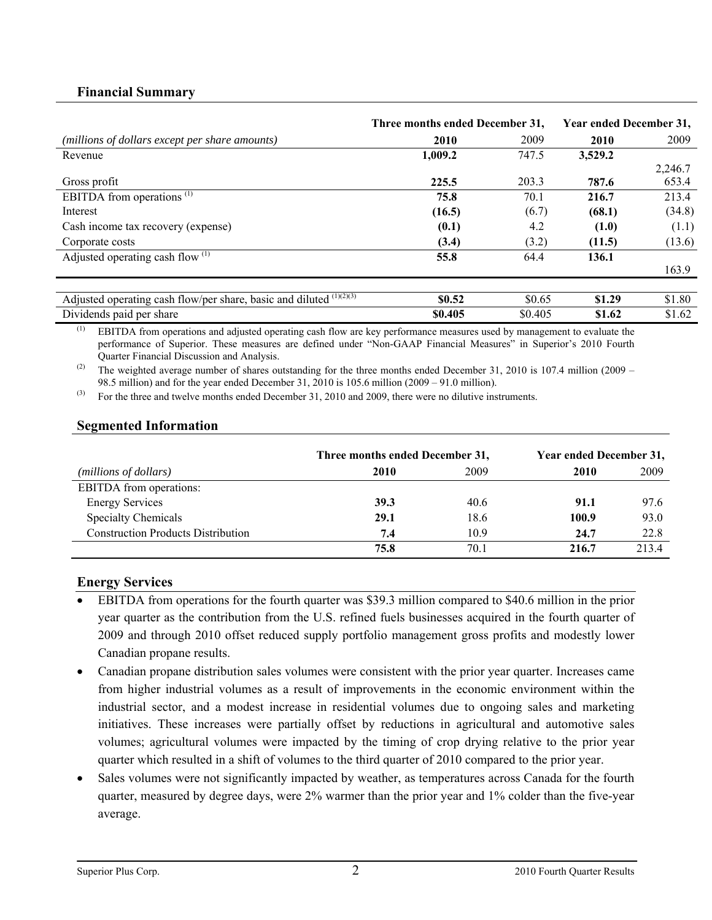### **Financial Summary**

|                                                                     | Three months ended December 31, |         | Year ended December 31, |         |
|---------------------------------------------------------------------|---------------------------------|---------|-------------------------|---------|
| (millions of dollars except per share amounts)                      | 2010                            | 2009    | 2010                    | 2009    |
| Revenue                                                             | 1,009.2                         | 747.5   | 3,529.2                 |         |
|                                                                     |                                 |         |                         | 2,246.7 |
| Gross profit                                                        | 225.5                           | 203.3   | 787.6                   | 653.4   |
| EBITDA from operations $(1)$                                        | 75.8                            | 70.1    | 216.7                   | 213.4   |
| Interest                                                            | (16.5)                          | (6.7)   | (68.1)                  | (34.8)  |
| Cash income tax recovery (expense)                                  | (0.1)                           | 4.2     | (1.0)                   | (1.1)   |
| Corporate costs                                                     | (3.4)                           | (3.2)   | (11.5)                  | (13.6)  |
| Adjusted operating cash flow <sup>(1)</sup>                         | 55.8                            | 64.4    | 136.1                   |         |
|                                                                     |                                 |         |                         | 163.9   |
|                                                                     |                                 |         |                         |         |
| Adjusted operating cash flow/per share, basic and diluted (1)(2)(3) | \$0.52                          | \$0.65  | \$1.29                  | \$1.80  |
| Dividends paid per share                                            | \$0.405                         | \$0.405 | \$1.62                  | \$1.62  |

(1) EBITDA from operations and adjusted operating cash flow are key performance measures used by management to evaluate the performance of Superior. These measures are defined under "Non-GAAP Financial Measures" in Superior's 2010 Fourth Quarter Financial Discussion and Analysis.

(2) The weighted average number of shares outstanding for the three months ended December 31, 2010 is 107.4 million (2009 – 98.5 million) and for the year ended December 31, 2010 is 105.6 million (2009 – 91.0 million).

 $^{(3)}$  For the three and twelve months ended December 31, 2010 and 2009, there were no dilutive instruments.

### **Segmented Information**

|                                           | Three months ended December 31, |      | Year ended December 31, |      |
|-------------------------------------------|---------------------------------|------|-------------------------|------|
| (millions of dollars)                     | 2010                            | 2009 | 2010                    | 2009 |
| <b>EBITDA</b> from operations:            |                                 |      |                         |      |
| <b>Energy Services</b>                    | 39.3                            | 40.6 | 91.1                    | 97.6 |
| <b>Specialty Chemicals</b>                | 29.1                            | 18.6 | 100.9                   | 93.0 |
| <b>Construction Products Distribution</b> | 7.4                             | 10.9 | 24.7                    | 22.8 |
|                                           | 75.8                            | 70.1 | 216.7                   | 2134 |

### **Energy Services**

- EBITDA from operations for the fourth quarter was \$39.3 million compared to \$40.6 million in the prior year quarter as the contribution from the U.S. refined fuels businesses acquired in the fourth quarter of 2009 and through 2010 offset reduced supply portfolio management gross profits and modestly lower Canadian propane results.
- Canadian propane distribution sales volumes were consistent with the prior year quarter. Increases came from higher industrial volumes as a result of improvements in the economic environment within the industrial sector, and a modest increase in residential volumes due to ongoing sales and marketing initiatives. These increases were partially offset by reductions in agricultural and automotive sales volumes; agricultural volumes were impacted by the timing of crop drying relative to the prior year quarter which resulted in a shift of volumes to the third quarter of 2010 compared to the prior year.
- Sales volumes were not significantly impacted by weather, as temperatures across Canada for the fourth quarter, measured by degree days, were 2% warmer than the prior year and 1% colder than the five-year average.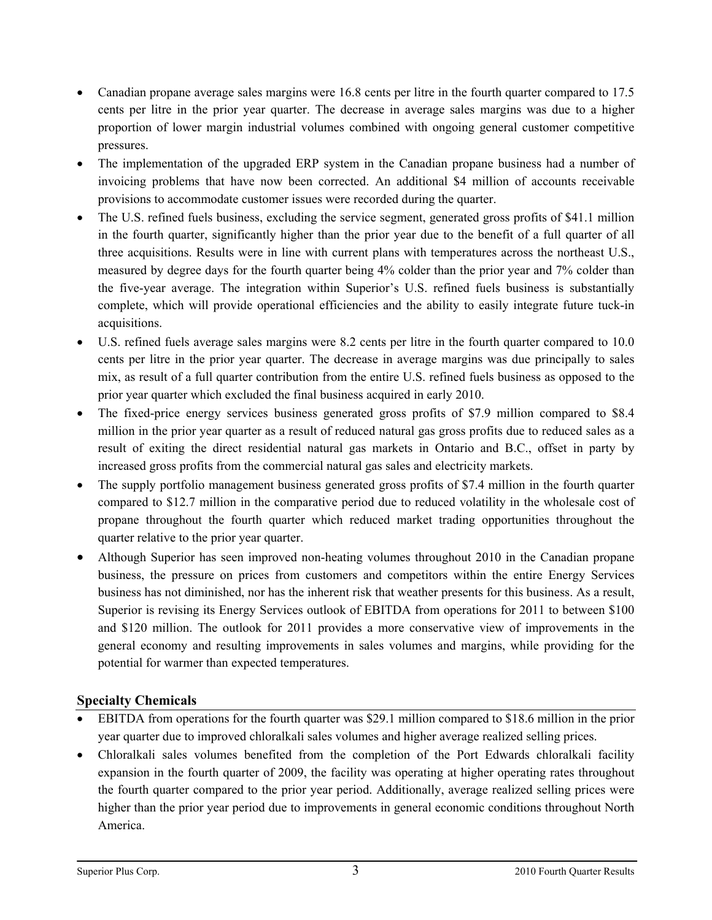- Canadian propane average sales margins were 16.8 cents per litre in the fourth quarter compared to 17.5 cents per litre in the prior year quarter. The decrease in average sales margins was due to a higher proportion of lower margin industrial volumes combined with ongoing general customer competitive pressures.
- The implementation of the upgraded ERP system in the Canadian propane business had a number of invoicing problems that have now been corrected. An additional \$4 million of accounts receivable provisions to accommodate customer issues were recorded during the quarter.
- The U.S. refined fuels business, excluding the service segment, generated gross profits of \$41.1 million in the fourth quarter, significantly higher than the prior year due to the benefit of a full quarter of all three acquisitions. Results were in line with current plans with temperatures across the northeast U.S., measured by degree days for the fourth quarter being 4% colder than the prior year and 7% colder than the five-year average. The integration within Superior's U.S. refined fuels business is substantially complete, which will provide operational efficiencies and the ability to easily integrate future tuck-in acquisitions.
- U.S. refined fuels average sales margins were 8.2 cents per litre in the fourth quarter compared to 10.0 cents per litre in the prior year quarter. The decrease in average margins was due principally to sales mix, as result of a full quarter contribution from the entire U.S. refined fuels business as opposed to the prior year quarter which excluded the final business acquired in early 2010.
- The fixed-price energy services business generated gross profits of \$7.9 million compared to \$8.4 million in the prior year quarter as a result of reduced natural gas gross profits due to reduced sales as a result of exiting the direct residential natural gas markets in Ontario and B.C., offset in party by increased gross profits from the commercial natural gas sales and electricity markets.
- The supply portfolio management business generated gross profits of \$7.4 million in the fourth quarter compared to \$12.7 million in the comparative period due to reduced volatility in the wholesale cost of propane throughout the fourth quarter which reduced market trading opportunities throughout the quarter relative to the prior year quarter.
- Although Superior has seen improved non-heating volumes throughout 2010 in the Canadian propane business, the pressure on prices from customers and competitors within the entire Energy Services business has not diminished, nor has the inherent risk that weather presents for this business. As a result, Superior is revising its Energy Services outlook of EBITDA from operations for 2011 to between \$100 and \$120 million. The outlook for 2011 provides a more conservative view of improvements in the general economy and resulting improvements in sales volumes and margins, while providing for the potential for warmer than expected temperatures.

# **Specialty Chemicals**

- EBITDA from operations for the fourth quarter was \$29.1 million compared to \$18.6 million in the prior year quarter due to improved chloralkali sales volumes and higher average realized selling prices.
- Chloralkali sales volumes benefited from the completion of the Port Edwards chloralkali facility expansion in the fourth quarter of 2009, the facility was operating at higher operating rates throughout the fourth quarter compared to the prior year period. Additionally, average realized selling prices were higher than the prior year period due to improvements in general economic conditions throughout North America.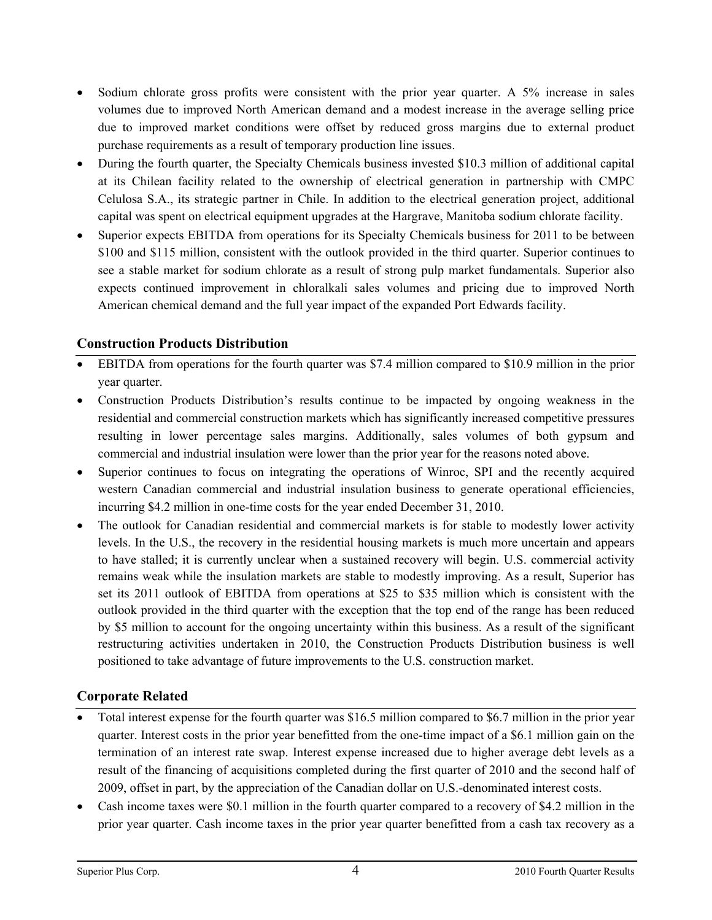- Sodium chlorate gross profits were consistent with the prior year quarter. A 5% increase in sales volumes due to improved North American demand and a modest increase in the average selling price due to improved market conditions were offset by reduced gross margins due to external product purchase requirements as a result of temporary production line issues.
- During the fourth quarter, the Specialty Chemicals business invested \$10.3 million of additional capital at its Chilean facility related to the ownership of electrical generation in partnership with CMPC Celulosa S.A., its strategic partner in Chile. In addition to the electrical generation project, additional capital was spent on electrical equipment upgrades at the Hargrave, Manitoba sodium chlorate facility.
- Superior expects EBITDA from operations for its Specialty Chemicals business for 2011 to be between \$100 and \$115 million, consistent with the outlook provided in the third quarter. Superior continues to see a stable market for sodium chlorate as a result of strong pulp market fundamentals. Superior also expects continued improvement in chloralkali sales volumes and pricing due to improved North American chemical demand and the full year impact of the expanded Port Edwards facility.

# **Construction Products Distribution**

- EBITDA from operations for the fourth quarter was \$7.4 million compared to \$10.9 million in the prior year quarter.
- Construction Products Distribution's results continue to be impacted by ongoing weakness in the residential and commercial construction markets which has significantly increased competitive pressures resulting in lower percentage sales margins. Additionally, sales volumes of both gypsum and commercial and industrial insulation were lower than the prior year for the reasons noted above.
- Superior continues to focus on integrating the operations of Winroc, SPI and the recently acquired western Canadian commercial and industrial insulation business to generate operational efficiencies, incurring \$4.2 million in one-time costs for the year ended December 31, 2010.
- The outlook for Canadian residential and commercial markets is for stable to modestly lower activity levels. In the U.S., the recovery in the residential housing markets is much more uncertain and appears to have stalled; it is currently unclear when a sustained recovery will begin. U.S. commercial activity remains weak while the insulation markets are stable to modestly improving. As a result, Superior has set its 2011 outlook of EBITDA from operations at \$25 to \$35 million which is consistent with the outlook provided in the third quarter with the exception that the top end of the range has been reduced by \$5 million to account for the ongoing uncertainty within this business. As a result of the significant restructuring activities undertaken in 2010, the Construction Products Distribution business is well positioned to take advantage of future improvements to the U.S. construction market.

## **Corporate Related**

- Total interest expense for the fourth quarter was \$16.5 million compared to \$6.7 million in the prior year quarter. Interest costs in the prior year benefitted from the one-time impact of a \$6.1 million gain on the termination of an interest rate swap. Interest expense increased due to higher average debt levels as a result of the financing of acquisitions completed during the first quarter of 2010 and the second half of 2009, offset in part, by the appreciation of the Canadian dollar on U.S.-denominated interest costs.
- Cash income taxes were \$0.1 million in the fourth quarter compared to a recovery of \$4.2 million in the prior year quarter. Cash income taxes in the prior year quarter benefitted from a cash tax recovery as a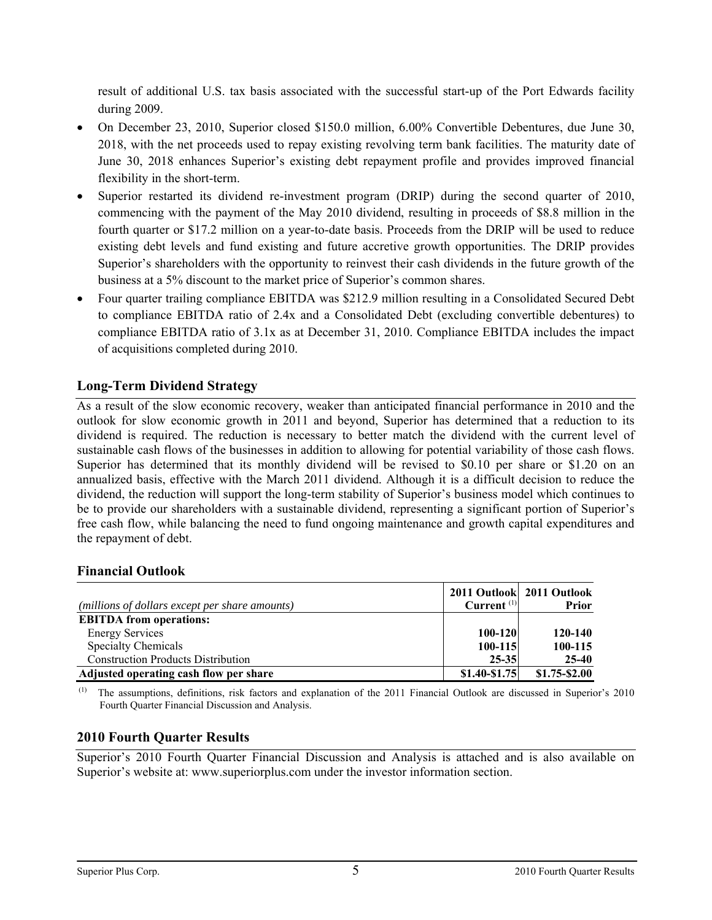result of additional U.S. tax basis associated with the successful start-up of the Port Edwards facility during 2009.

- On December 23, 2010, Superior closed \$150.0 million, 6.00% Convertible Debentures, due June 30, 2018, with the net proceeds used to repay existing revolving term bank facilities. The maturity date of June 30, 2018 enhances Superior's existing debt repayment profile and provides improved financial flexibility in the short-term.
- Superior restarted its dividend re-investment program (DRIP) during the second quarter of 2010, commencing with the payment of the May 2010 dividend, resulting in proceeds of \$8.8 million in the fourth quarter or \$17.2 million on a year-to-date basis. Proceeds from the DRIP will be used to reduce existing debt levels and fund existing and future accretive growth opportunities. The DRIP provides Superior's shareholders with the opportunity to reinvest their cash dividends in the future growth of the business at a 5% discount to the market price of Superior's common shares.
- Four quarter trailing compliance EBITDA was \$212.9 million resulting in a Consolidated Secured Debt to compliance EBITDA ratio of 2.4x and a Consolidated Debt (excluding convertible debentures) to compliance EBITDA ratio of 3.1x as at December 31, 2010. Compliance EBITDA includes the impact of acquisitions completed during 2010.

# **Long-Term Dividend Strategy**

As a result of the slow economic recovery, weaker than anticipated financial performance in 2010 and the outlook for slow economic growth in 2011 and beyond, Superior has determined that a reduction to its dividend is required. The reduction is necessary to better match the dividend with the current level of sustainable cash flows of the businesses in addition to allowing for potential variability of those cash flows. Superior has determined that its monthly dividend will be revised to \$0.10 per share or \$1.20 on an annualized basis, effective with the March 2011 dividend. Although it is a difficult decision to reduce the dividend, the reduction will support the long-term stability of Superior's business model which continues to be to provide our shareholders with a sustainable dividend, representing a significant portion of Superior's free cash flow, while balancing the need to fund ongoing maintenance and growth capital expenditures and the repayment of debt.

## **Financial Outlook**

| (millions of dollars except per share amounts) | Current $(1)$ | 2011 Outlook 2011 Outlook<br><b>Prior</b> |
|------------------------------------------------|---------------|-------------------------------------------|
| <b>EBITDA</b> from operations:                 |               |                                           |
| <b>Energy Services</b>                         | 100-120       | 120-140                                   |
| <b>Specialty Chemicals</b>                     | $100 - 115$   | 100-115                                   |
| <b>Construction Products Distribution</b>      | $25 - 35$     | $25 - 40$                                 |
| Adjusted operating cash flow per share         | $$1.40-S1.75$ | $$1.75 - $2.00$                           |

(1) The assumptions, definitions, risk factors and explanation of the 2011 Financial Outlook are discussed in Superior's 2010 Fourth Quarter Financial Discussion and Analysis.

# **2010 Fourth Quarter Results**

Superior's 2010 Fourth Quarter Financial Discussion and Analysis is attached and is also available on Superior's website at: www.superiorplus.com under the investor information section.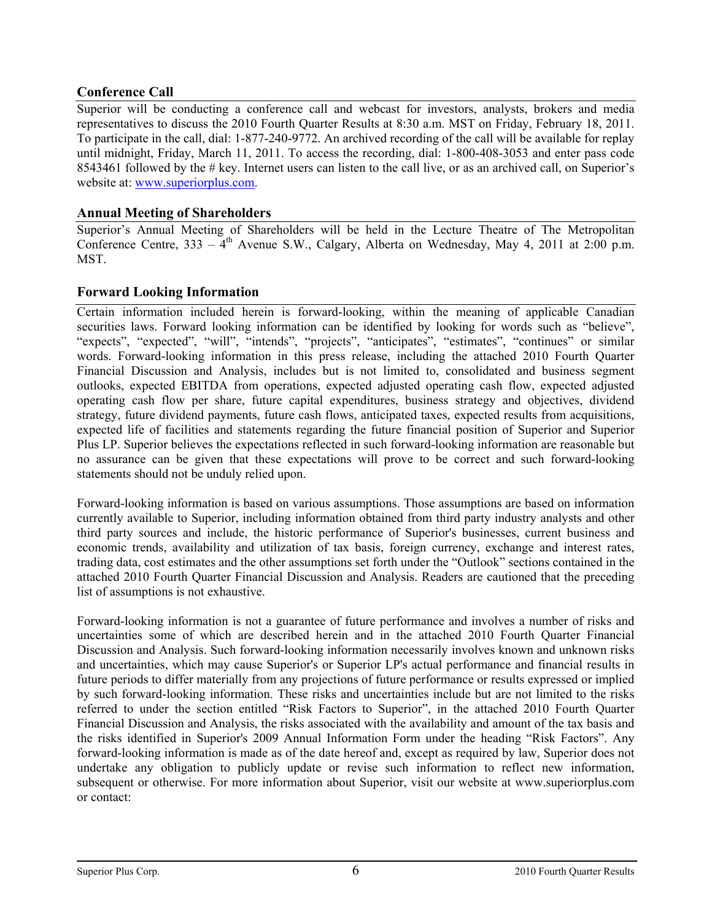## **Conference Call**

Superior will be conducting a conference call and webcast for investors, analysts, brokers and media representatives to discuss the 2010 Fourth Quarter Results at 8:30 a.m. MST on Friday, February 18, 2011. To participate in the call, dial: 1-877-240-9772. An archived recording of the call will be available for replay until midnight, Friday, March 11, 2011. To access the recording, dial: 1-800-408-3053 and enter pass code 8543461 followed by the # key. Internet users can listen to the call live, or as an archived call, on Superior's website at: www.superiorplus.com.

## **Annual Meeting of Shareholders**

Superior's Annual Meeting of Shareholders will be held in the Lecture Theatre of The Metropolitan Conference Centre,  $333 - 4$ <sup>th</sup> Avenue S.W., Calgary, Alberta on Wednesday, May 4, 2011 at 2:00 p.m. **MST** 

# **Forward Looking Information**

Certain information included herein is forward-looking, within the meaning of applicable Canadian securities laws. Forward looking information can be identified by looking for words such as "believe", "expects", "expected", "will", "intends", "projects", "anticipates", "estimates", "continues" or similar words. Forward-looking information in this press release, including the attached 2010 Fourth Quarter Financial Discussion and Analysis, includes but is not limited to, consolidated and business segment outlooks, expected EBITDA from operations, expected adjusted operating cash flow, expected adjusted operating cash flow per share, future capital expenditures, business strategy and objectives, dividend strategy, future dividend payments, future cash flows, anticipated taxes, expected results from acquisitions, expected life of facilities and statements regarding the future financial position of Superior and Superior Plus LP. Superior believes the expectations reflected in such forward-looking information are reasonable but no assurance can be given that these expectations will prove to be correct and such forward-looking statements should not be unduly relied upon.

Forward-looking information is based on various assumptions. Those assumptions are based on information currently available to Superior, including information obtained from third party industry analysts and other third party sources and include, the historic performance of Superior's businesses, current business and economic trends, availability and utilization of tax basis, foreign currency, exchange and interest rates, trading data, cost estimates and the other assumptions set forth under the "Outlook" sections contained in the attached 2010 Fourth Quarter Financial Discussion and Analysis. Readers are cautioned that the preceding list of assumptions is not exhaustive.

Forward-looking information is not a guarantee of future performance and involves a number of risks and uncertainties some of which are described herein and in the attached 2010 Fourth Quarter Financial Discussion and Analysis. Such forward-looking information necessarily involves known and unknown risks and uncertainties, which may cause Superior's or Superior LP's actual performance and financial results in future periods to differ materially from any projections of future performance or results expressed or implied by such forward-looking information. These risks and uncertainties include but are not limited to the risks referred to under the section entitled "Risk Factors to Superior", in the attached 2010 Fourth Quarter Financial Discussion and Analysis, the risks associated with the availability and amount of the tax basis and the risks identified in Superior's 2009 Annual Information Form under the heading "Risk Factors". Any forward-looking information is made as of the date hereof and, except as required by law, Superior does not undertake any obligation to publicly update or revise such information to reflect new information, subsequent or otherwise. For more information about Superior, visit our website at www.superiorplus.com or contact: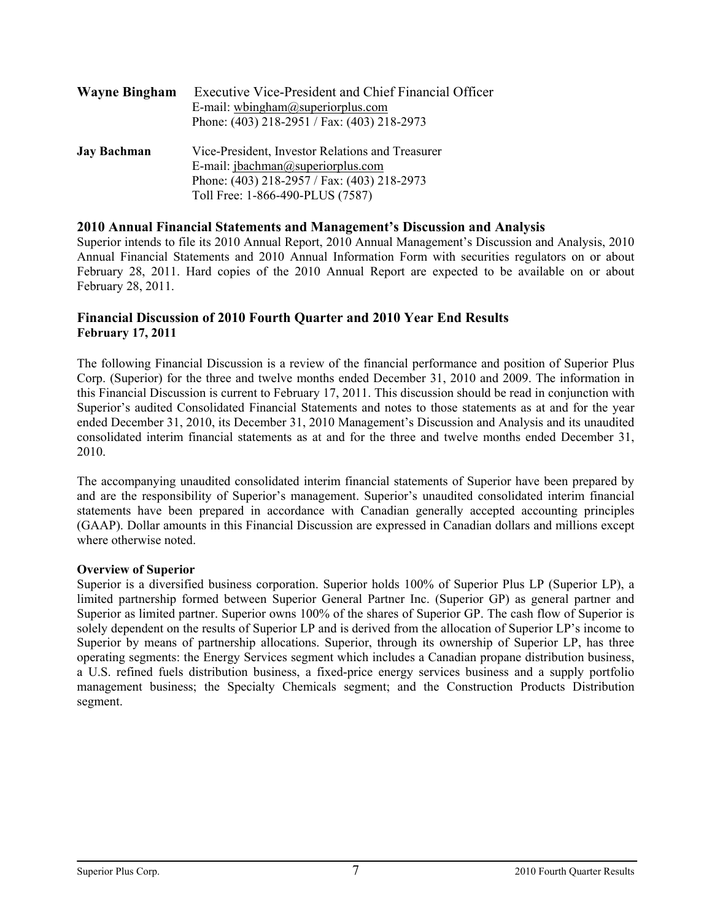| <b>Wayne Bingham</b> | <b>Executive Vice-President and Chief Financial Officer</b> |
|----------------------|-------------------------------------------------------------|
|                      | E-mail: whingham@superiorplus.com                           |
|                      | Phone: (403) 218-2951 / Fax: (403) 218-2973                 |
| <b>Jay Bachman</b>   | Vice-President, Investor Relations and Treasurer            |
|                      | E-mail: jbachman@superiorplus.com                           |
|                      | Phone: (403) 218-2957 / Fax: (403) 218-2973                 |
|                      | Toll Free: 1-866-490-PLUS (7587)                            |

#### **2010 Annual Financial Statements and Management's Discussion and Analysis**

Superior intends to file its 2010 Annual Report, 2010 Annual Management's Discussion and Analysis, 2010 Annual Financial Statements and 2010 Annual Information Form with securities regulators on or about February 28, 2011. Hard copies of the 2010 Annual Report are expected to be available on or about February 28, 2011.

### **Financial Discussion of 2010 Fourth Quarter and 2010 Year End Results February 17, 2011**

The following Financial Discussion is a review of the financial performance and position of Superior Plus Corp. (Superior) for the three and twelve months ended December 31, 2010 and 2009. The information in this Financial Discussion is current to February 17, 2011. This discussion should be read in conjunction with Superior's audited Consolidated Financial Statements and notes to those statements as at and for the year ended December 31, 2010, its December 31, 2010 Management's Discussion and Analysis and its unaudited consolidated interim financial statements as at and for the three and twelve months ended December 31, 2010.

The accompanying unaudited consolidated interim financial statements of Superior have been prepared by and are the responsibility of Superior's management. Superior's unaudited consolidated interim financial statements have been prepared in accordance with Canadian generally accepted accounting principles (GAAP). Dollar amounts in this Financial Discussion are expressed in Canadian dollars and millions except where otherwise noted.

#### **Overview of Superior**

Superior is a diversified business corporation. Superior holds 100% of Superior Plus LP (Superior LP), a limited partnership formed between Superior General Partner Inc. (Superior GP) as general partner and Superior as limited partner. Superior owns 100% of the shares of Superior GP. The cash flow of Superior is solely dependent on the results of Superior LP and is derived from the allocation of Superior LP's income to Superior by means of partnership allocations. Superior, through its ownership of Superior LP, has three operating segments: the Energy Services segment which includes a Canadian propane distribution business, a U.S. refined fuels distribution business, a fixed-price energy services business and a supply portfolio management business; the Specialty Chemicals segment; and the Construction Products Distribution segment.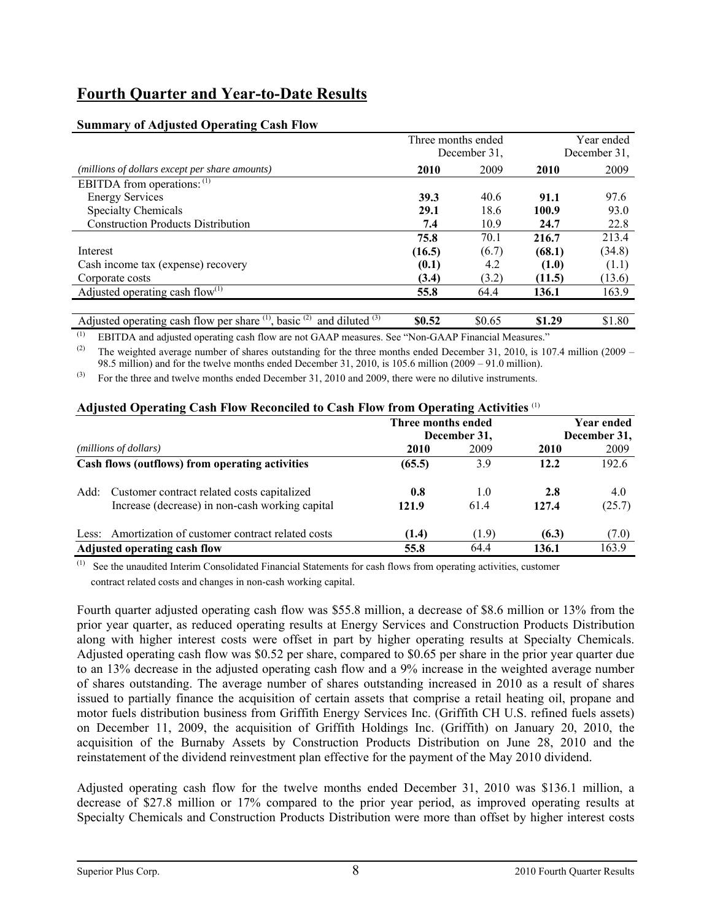# **Fourth Quarter and Year-to-Date Results**

|                                                                                 | Three months ended | December 31. |        | Year ended<br>December 31, |
|---------------------------------------------------------------------------------|--------------------|--------------|--------|----------------------------|
|                                                                                 |                    |              |        |                            |
| (millions of dollars except per share amounts)                                  | 2010               | 2009         | 2010   | 2009                       |
| EBITDA from operations: $(1)$                                                   |                    |              |        |                            |
| <b>Energy Services</b>                                                          | 39.3               | 40.6         | 91.1   | 97.6                       |
| <b>Specialty Chemicals</b>                                                      | 29.1               | 18.6         | 100.9  | 93.0                       |
| <b>Construction Products Distribution</b>                                       | 7.4                | 10.9         | 24.7   | 22.8                       |
|                                                                                 | 75.8               | 70.1         | 216.7  | 213.4                      |
| Interest                                                                        | (16.5)             | (6.7)        | (68.1) | (34.8)                     |
| Cash income tax (expense) recovery                                              | (0.1)              | 4.2          | (1.0)  | (1.1)                      |
| Corporate costs                                                                 | (3.4)              | (3.2)        | (11.5) | (13.6)                     |
| Adjusted operating cash flow $^{(1)}$                                           | 55.8               | 64.4         | 136.1  | 163.9                      |
|                                                                                 |                    |              |        |                            |
| Adjusted operating cash flow per share $(1)$ , basic $(2)$<br>and diluted $(3)$ | \$0.52             | \$0.65       | \$1.29 | \$1.80                     |

### **Summary of Adjusted Operating Cash Flow**

(1) EBITDA and adjusted operating cash flow are not GAAP measures. See "Non-GAAP Financial Measures."

<sup>(2)</sup> The weighted average number of shares outstanding for the three months ended December 31, 2010, is 107.4 million (2009 – 98.5 million) and for the twelve months ended December 31, 2010, is 105.6 million (2009 – 91.0 million).

 $^{(3)}$  For the three and twelve months ended December 31, 2010 and 2009, there were no dilutive instruments.

### **Adjusted Operating Cash Flow Reconciled to Cash Flow from Operating Activities** (1)

|       |                                                 | Three months ended |              |       | Year ended   |
|-------|-------------------------------------------------|--------------------|--------------|-------|--------------|
|       |                                                 |                    | December 31, |       | December 31, |
|       | (millions of dollars)                           | 2010               | 2009         | 2010  | 2009         |
|       | Cash flows (outflows) from operating activities | (65.5)             | 3.9          | 12.2  | 192.6        |
| Add:  | Customer contract related costs capitalized     | 0.8                | 1.0          | 2.8   | 4.0          |
|       | Increase (decrease) in non-cash working capital | 121.9              | 61.4         | 127.4 | (25.7)       |
| Less: | Amortization of customer contract related costs | (1.4)              | (1.9)        | (6.3) | (7.0)        |
|       | <b>Adjusted operating cash flow</b>             | 55.8               | 64.4         | 136.1 | 163.9        |

 $<sup>(1)</sup>$  See the unaudited Interim Consolidated Financial Statements for cash flows from operating activities, customer</sup> contract related costs and changes in non-cash working capital.

Fourth quarter adjusted operating cash flow was \$55.8 million, a decrease of \$8.6 million or 13% from the prior year quarter, as reduced operating results at Energy Services and Construction Products Distribution along with higher interest costs were offset in part by higher operating results at Specialty Chemicals. Adjusted operating cash flow was \$0.52 per share, compared to \$0.65 per share in the prior year quarter due to an 13% decrease in the adjusted operating cash flow and a 9% increase in the weighted average number of shares outstanding. The average number of shares outstanding increased in 2010 as a result of shares issued to partially finance the acquisition of certain assets that comprise a retail heating oil, propane and motor fuels distribution business from Griffith Energy Services Inc. (Griffith CH U.S. refined fuels assets) on December 11, 2009, the acquisition of Griffith Holdings Inc. (Griffith) on January 20, 2010, the acquisition of the Burnaby Assets by Construction Products Distribution on June 28, 2010 and the reinstatement of the dividend reinvestment plan effective for the payment of the May 2010 dividend.

Adjusted operating cash flow for the twelve months ended December 31, 2010 was \$136.1 million, a decrease of \$27.8 million or 17% compared to the prior year period, as improved operating results at Specialty Chemicals and Construction Products Distribution were more than offset by higher interest costs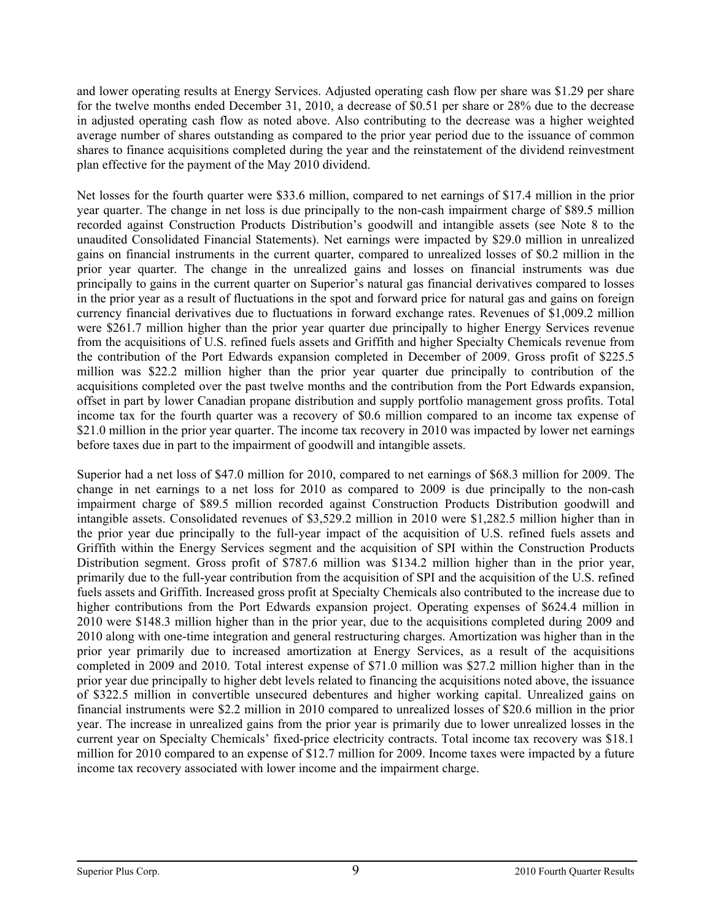and lower operating results at Energy Services. Adjusted operating cash flow per share was \$1.29 per share for the twelve months ended December 31, 2010, a decrease of \$0.51 per share or 28% due to the decrease in adjusted operating cash flow as noted above. Also contributing to the decrease was a higher weighted average number of shares outstanding as compared to the prior year period due to the issuance of common shares to finance acquisitions completed during the year and the reinstatement of the dividend reinvestment plan effective for the payment of the May 2010 dividend.

Net losses for the fourth quarter were \$33.6 million, compared to net earnings of \$17.4 million in the prior year quarter. The change in net loss is due principally to the non-cash impairment charge of \$89.5 million recorded against Construction Products Distribution's goodwill and intangible assets (see Note 8 to the unaudited Consolidated Financial Statements). Net earnings were impacted by \$29.0 million in unrealized gains on financial instruments in the current quarter, compared to unrealized losses of \$0.2 million in the prior year quarter. The change in the unrealized gains and losses on financial instruments was due principally to gains in the current quarter on Superior's natural gas financial derivatives compared to losses in the prior year as a result of fluctuations in the spot and forward price for natural gas and gains on foreign currency financial derivatives due to fluctuations in forward exchange rates. Revenues of \$1,009.2 million were \$261.7 million higher than the prior year quarter due principally to higher Energy Services revenue from the acquisitions of U.S. refined fuels assets and Griffith and higher Specialty Chemicals revenue from the contribution of the Port Edwards expansion completed in December of 2009. Gross profit of \$225.5 million was \$22.2 million higher than the prior year quarter due principally to contribution of the acquisitions completed over the past twelve months and the contribution from the Port Edwards expansion, offset in part by lower Canadian propane distribution and supply portfolio management gross profits. Total income tax for the fourth quarter was a recovery of \$0.6 million compared to an income tax expense of \$21.0 million in the prior year quarter. The income tax recovery in 2010 was impacted by lower net earnings before taxes due in part to the impairment of goodwill and intangible assets.

Superior had a net loss of \$47.0 million for 2010, compared to net earnings of \$68.3 million for 2009. The change in net earnings to a net loss for 2010 as compared to 2009 is due principally to the non-cash impairment charge of \$89.5 million recorded against Construction Products Distribution goodwill and intangible assets. Consolidated revenues of \$3,529.2 million in 2010 were \$1,282.5 million higher than in the prior year due principally to the full-year impact of the acquisition of U.S. refined fuels assets and Griffith within the Energy Services segment and the acquisition of SPI within the Construction Products Distribution segment. Gross profit of \$787.6 million was \$134.2 million higher than in the prior year, primarily due to the full-year contribution from the acquisition of SPI and the acquisition of the U.S. refined fuels assets and Griffith. Increased gross profit at Specialty Chemicals also contributed to the increase due to higher contributions from the Port Edwards expansion project. Operating expenses of \$624.4 million in 2010 were \$148.3 million higher than in the prior year, due to the acquisitions completed during 2009 and 2010 along with one-time integration and general restructuring charges. Amortization was higher than in the prior year primarily due to increased amortization at Energy Services, as a result of the acquisitions completed in 2009 and 2010. Total interest expense of \$71.0 million was \$27.2 million higher than in the prior year due principally to higher debt levels related to financing the acquisitions noted above, the issuance of \$322.5 million in convertible unsecured debentures and higher working capital. Unrealized gains on financial instruments were \$2.2 million in 2010 compared to unrealized losses of \$20.6 million in the prior year. The increase in unrealized gains from the prior year is primarily due to lower unrealized losses in the current year on Specialty Chemicals' fixed-price electricity contracts. Total income tax recovery was \$18.1 million for 2010 compared to an expense of \$12.7 million for 2009. Income taxes were impacted by a future income tax recovery associated with lower income and the impairment charge.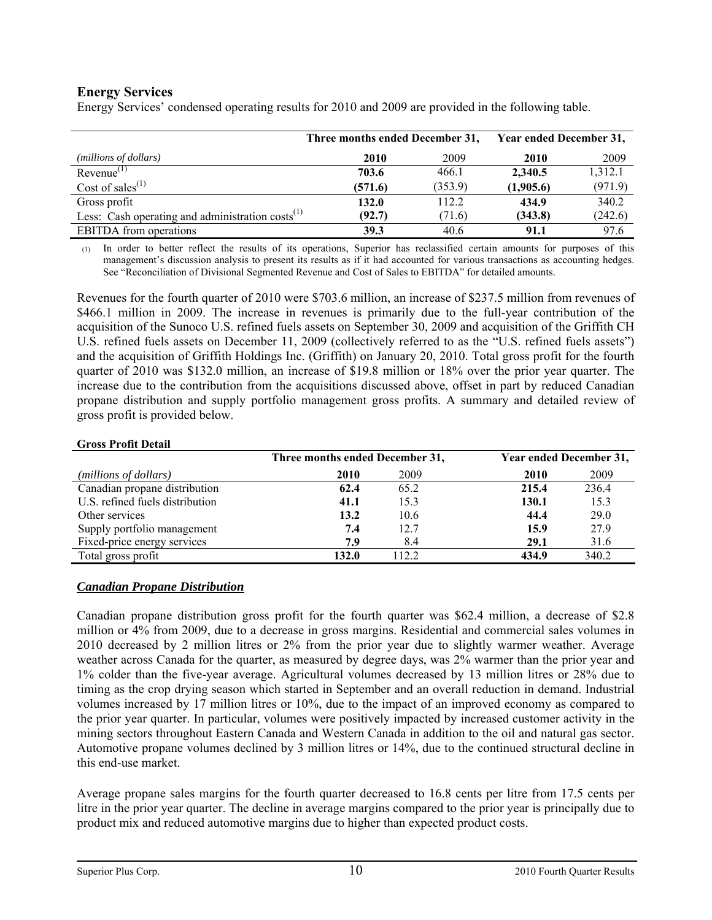# **Energy Services**

Energy Services' condensed operating results for 2010 and 2009 are provided in the following table.

|                                                       | Three months ended December 31, |         | <b>Year ended December 31,</b> |         |
|-------------------------------------------------------|---------------------------------|---------|--------------------------------|---------|
| (millions of dollars)                                 | 2010                            | 2009    | 2010                           | 2009    |
| Revenue $^{(1)}$                                      | 703.6                           | 466.1   | 2,340.5                        | 1,312.1 |
| Cost of sales <sup><math>(1)</math></sup>             | (571.6)                         | (353.9) | (1,905.6)                      | (971.9) |
| Gross profit                                          | 132.0                           | 112.2   | 434.9                          | 340.2   |
| Less: Cash operating and administration $costs^{(1)}$ | (92.7)                          | (71.6)  | (343.8)                        | (242.6) |
| <b>EBITDA</b> from operations                         | 39.3                            | 40.6    | 91.1                           | 97.6    |

In order to better reflect the results of its operations, Superior has reclassified certain amounts for purposes of this management's discussion analysis to present its results as if it had accounted for various transactions as accounting hedges. See "Reconciliation of Divisional Segmented Revenue and Cost of Sales to EBITDA" for detailed amounts.

Revenues for the fourth quarter of 2010 were \$703.6 million, an increase of \$237.5 million from revenues of \$466.1 million in 2009. The increase in revenues is primarily due to the full-year contribution of the acquisition of the Sunoco U.S. refined fuels assets on September 30, 2009 and acquisition of the Griffith CH U.S. refined fuels assets on December 11, 2009 (collectively referred to as the "U.S. refined fuels assets") and the acquisition of Griffith Holdings Inc. (Griffith) on January 20, 2010. Total gross profit for the fourth quarter of 2010 was \$132.0 million, an increase of \$19.8 million or 18% over the prior year quarter. The increase due to the contribution from the acquisitions discussed above, offset in part by reduced Canadian propane distribution and supply portfolio management gross profits. A summary and detailed review of gross profit is provided below.

### **Gross Profit Detail**

|                                 | Three months ended December 31, |       | Year ended December 31, |       |
|---------------------------------|---------------------------------|-------|-------------------------|-------|
| (millions of dollars)           | 2010                            | 2009  | 2010                    | 2009  |
| Canadian propane distribution   | 62.4                            | 65.2  | 215.4                   | 236.4 |
| U.S. refined fuels distribution | 41.1                            | 15.3  | 130.1                   | 15.3  |
| Other services                  | 13.2                            | 10.6  | 44.4                    | 29.0  |
| Supply portfolio management     | 7.4                             | 12.7  | 15.9                    | 27.9  |
| Fixed-price energy services     | 7.9                             | 8.4   | 29.1                    | 31.6  |
| Total gross profit              | 132.0                           | 112.2 | 434.9                   | 340.2 |

### *Canadian Propane Distribution*

Canadian propane distribution gross profit for the fourth quarter was \$62.4 million, a decrease of \$2.8 million or 4% from 2009, due to a decrease in gross margins. Residential and commercial sales volumes in 2010 decreased by 2 million litres or 2% from the prior year due to slightly warmer weather. Average weather across Canada for the quarter, as measured by degree days, was 2% warmer than the prior year and 1% colder than the five-year average. Agricultural volumes decreased by 13 million litres or 28% due to timing as the crop drying season which started in September and an overall reduction in demand. Industrial volumes increased by 17 million litres or 10%, due to the impact of an improved economy as compared to the prior year quarter. In particular, volumes were positively impacted by increased customer activity in the mining sectors throughout Eastern Canada and Western Canada in addition to the oil and natural gas sector. Automotive propane volumes declined by 3 million litres or 14%, due to the continued structural decline in this end-use market.

Average propane sales margins for the fourth quarter decreased to 16.8 cents per litre from 17.5 cents per litre in the prior year quarter. The decline in average margins compared to the prior year is principally due to product mix and reduced automotive margins due to higher than expected product costs.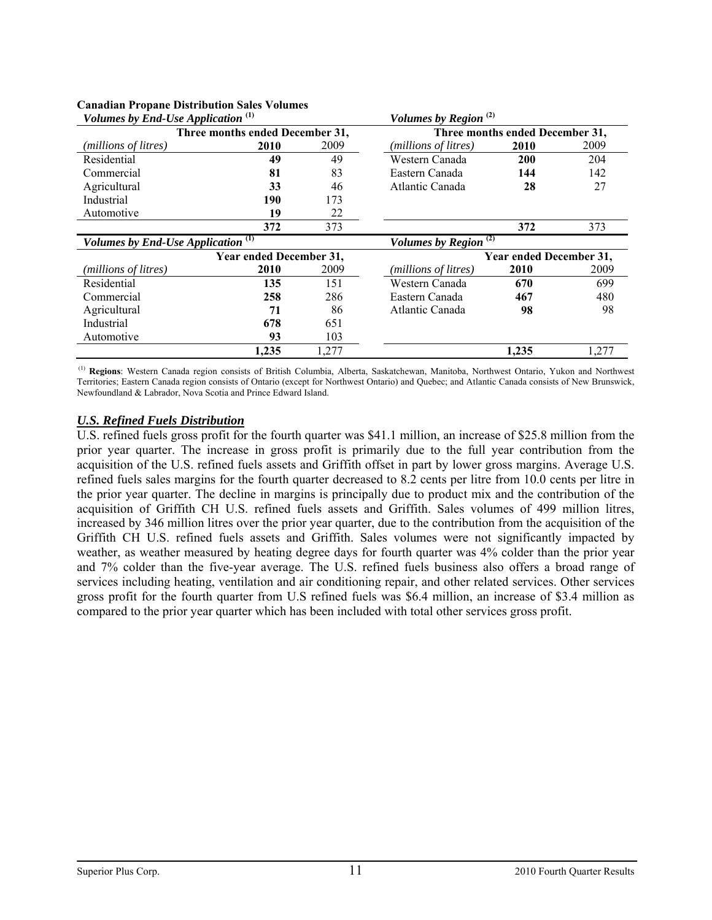| Volumes by End-Use Application <sup>(1)</sup> |                                 |      | Volumes by Region <sup>(2)</sup> |                                 |      |
|-----------------------------------------------|---------------------------------|------|----------------------------------|---------------------------------|------|
|                                               | Three months ended December 31, |      |                                  | Three months ended December 31, |      |
| (millions of litres)                          | 2010                            | 2009 | (millions of litres)             | 2010                            | 2009 |
| Residential                                   | 49                              | 49   | Western Canada                   | <b>200</b>                      | 204  |
| Commercial                                    | 81                              | 83   | Eastern Canada                   | 144                             | 142  |
| Agricultural                                  | 33                              | 46   | Atlantic Canada                  | 28                              | 27   |
| Industrial                                    | 190                             | 173  |                                  |                                 |      |
| Automotive                                    | 19                              | 22   |                                  |                                 |      |
|                                               | 372                             | 373  |                                  | 372                             | 373  |
|                                               |                                 |      |                                  |                                 |      |
| Volumes by End-Use Application <sup>(1)</sup> |                                 |      | Volumes by Region <sup>(2)</sup> |                                 |      |
|                                               | Year ended December 31,         |      |                                  | <b>Year ended December 31,</b>  |      |
| (millions of litres)                          | 2010                            | 2009 | (millions of litres)             | 2010                            | 2009 |
| Residential                                   | 135                             | 151  | Western Canada                   | 670                             | 699  |
| Commercial                                    | 258                             | 286  | Eastern Canada                   | 467                             | 480  |
| Agricultural                                  | 71                              | 86   | Atlantic Canada                  | 98                              | 98   |
| Industrial                                    | 678                             | 651  |                                  |                                 |      |
| Automotive                                    | 93                              | 103  |                                  |                                 |      |

#### **Canadian Propane Distribution Sales Volumes**

 (1) **Regions**: Western Canada region consists of British Columbia, Alberta, Saskatchewan, Manitoba, Northwest Ontario, Yukon and Northwest Territories; Eastern Canada region consists of Ontario (except for Northwest Ontario) and Quebec; and Atlantic Canada consists of New Brunswick, Newfoundland & Labrador, Nova Scotia and Prince Edward Island.

### *U.S. Refined Fuels Distribution*

U.S. refined fuels gross profit for the fourth quarter was \$41.1 million, an increase of \$25.8 million from the prior year quarter. The increase in gross profit is primarily due to the full year contribution from the acquisition of the U.S. refined fuels assets and Griffith offset in part by lower gross margins. Average U.S. refined fuels sales margins for the fourth quarter decreased to 8.2 cents per litre from 10.0 cents per litre in the prior year quarter. The decline in margins is principally due to product mix and the contribution of the acquisition of Griffith CH U.S. refined fuels assets and Griffith. Sales volumes of 499 million litres, increased by 346 million litres over the prior year quarter, due to the contribution from the acquisition of the Griffith CH U.S. refined fuels assets and Griffith. Sales volumes were not significantly impacted by weather, as weather measured by heating degree days for fourth quarter was 4% colder than the prior year and 7% colder than the five-year average. The U.S. refined fuels business also offers a broad range of services including heating, ventilation and air conditioning repair, and other related services. Other services gross profit for the fourth quarter from U.S refined fuels was \$6.4 million, an increase of \$3.4 million as compared to the prior year quarter which has been included with total other services gross profit.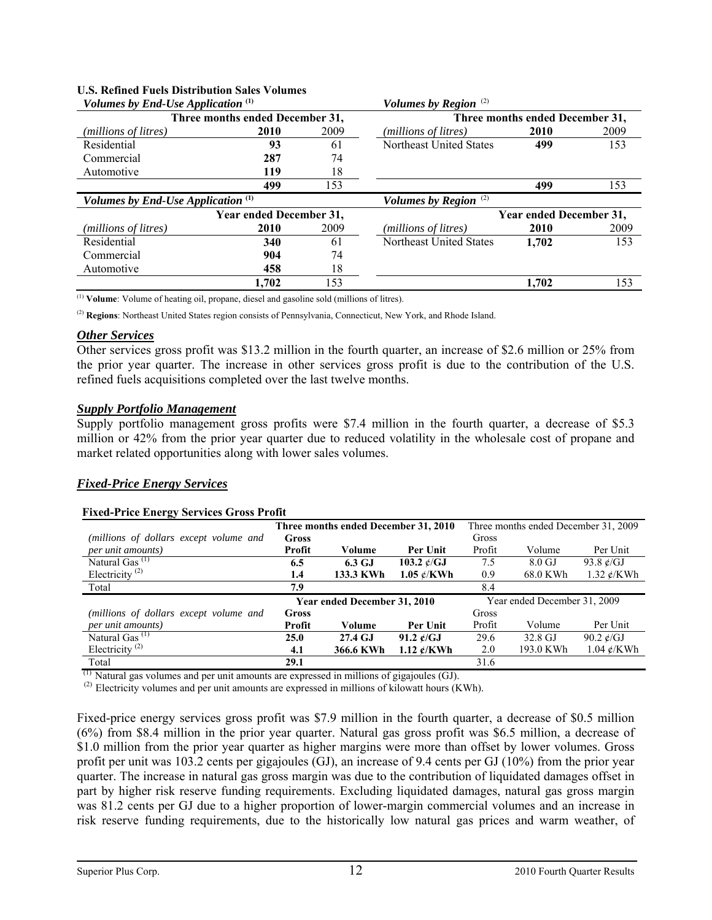| Volumes by End-Use Application $(1)$          |                                 |      | Volumes by Region <sup>(2)</sup> |                                 |      |
|-----------------------------------------------|---------------------------------|------|----------------------------------|---------------------------------|------|
|                                               | Three months ended December 31, |      |                                  | Three months ended December 31, |      |
| (millions of litres)                          | 2010                            | 2009 | (millions of litres)             | 2010                            | 2009 |
| Residential                                   | 93                              | 61   | Northeast United States          | 499                             | 153  |
| Commercial                                    | 287                             | 74   |                                  |                                 |      |
| Automotive                                    | 119                             | 18   |                                  |                                 |      |
|                                               | 499                             | 153  |                                  | 499                             | 153  |
| Volumes by End-Use Application <sup>(1)</sup> |                                 |      | Volumes by Region $(2)$          |                                 |      |
|                                               | Year ended December 31,         |      |                                  | Year ended December 31,         |      |
| (millions of litres)                          | 2010                            | 2009 | ( <i>millions of litres</i> )    | 2010                            | 2009 |
| Residential                                   | 340                             | 61   | Northeast United States          | 1.702                           | 153  |
| Commercial                                    | 904                             | 74   |                                  |                                 |      |
| Automotive                                    | 458                             | 18   |                                  |                                 |      |
|                                               | 1,702                           | 153  |                                  | 1.702                           | 153  |

#### **U.S. Refined Fuels Distribution Sales Volumes**

(1) **Volume**: Volume of heating oil, propane, diesel and gasoline sold (millions of litres).

(2) **Regions**: Northeast United States region consists of Pennsylvania, Connecticut, New York, and Rhode Island.

#### *Other Services*

Other services gross profit was \$13.2 million in the fourth quarter, an increase of \$2.6 million or 25% from the prior year quarter. The increase in other services gross profit is due to the contribution of the U.S. refined fuels acquisitions completed over the last twelve months.

#### *Supply Portfolio Management*

Supply portfolio management gross profits were \$7.4 million in the fourth quarter, a decrease of \$5.3 million or 42% from the prior year quarter due to reduced volatility in the wholesale cost of propane and market related opportunities along with lower sales volumes.

#### *Fixed-Price Energy Services*

| <b>Fixed-Price Energy Services Gross Profit</b> |  |  |
|-------------------------------------------------|--|--|
|                                                 |  |  |

|                                        |        | Three months ended December 31, 2010 |                        | Three months ended December 31, 2009 |                              |                               |
|----------------------------------------|--------|--------------------------------------|------------------------|--------------------------------------|------------------------------|-------------------------------|
| (millions of dollars except volume and | Gross  |                                      |                        | Gross                                |                              |                               |
| per unit amounts)                      | Profit | Volume                               | Per Unit               | Profit                               | Volume                       | Per Unit                      |
| Natural Gas $(1)$                      | 6.5    | 6.3 GJ                               | 103.2 $\ell$ /GJ       | 7.5                                  | 8.0 GJ                       | 93.8 $\epsilon$ /GJ           |
| Electricity <sup>(2)</sup>             | 1.4    | 133.3 KWh                            | 1.05 $\ell$ /KWh       | 0.9                                  | 68.0 KWh                     | $1.32 \text{ } \epsilon$ /KWh |
| Total                                  | 7.9    |                                      |                        | 8.4                                  |                              |                               |
|                                        |        |                                      |                        |                                      |                              |                               |
|                                        |        | Year ended December 31, 2010         |                        |                                      | Year ended December 31, 2009 |                               |
| (millions of dollars except volume and | Gross  |                                      |                        | Gross                                |                              |                               |
| per unit amounts)                      | Profit | Volume                               | Per Unit               | Profit                               | Volume                       | Per Unit                      |
| Natural Gas <sup>(1)</sup>             | 25.0   | 27.4 GJ                              | 91.2 $\epsilon$ /GJ    | 29.6                                 | 32.8 GJ                      | 90.2 $\epsilon$ /GJ           |
| Electricity <sup>(2)</sup>             | 4.1    | 366.6 KWh                            | $1.12 \t\epsilon$ /KWh | 2.0                                  | 193.0 KWh                    | $1.04 \text{ e/KWh}$          |

 $\overline{^{(1)}}$  Natural gas volumes and per unit amounts are expressed in millions of gigajoules (GJ).

<sup>(2)</sup> Electricity volumes and per unit amounts are expressed in millions of kilowatt hours (KWh).

Fixed-price energy services gross profit was \$7.9 million in the fourth quarter, a decrease of \$0.5 million (6%) from \$8.4 million in the prior year quarter. Natural gas gross profit was \$6.5 million, a decrease of \$1.0 million from the prior year quarter as higher margins were more than offset by lower volumes. Gross profit per unit was 103.2 cents per gigajoules (GJ), an increase of 9.4 cents per GJ (10%) from the prior year quarter. The increase in natural gas gross margin was due to the contribution of liquidated damages offset in part by higher risk reserve funding requirements. Excluding liquidated damages, natural gas gross margin was 81.2 cents per GJ due to a higher proportion of lower-margin commercial volumes and an increase in risk reserve funding requirements, due to the historically low natural gas prices and warm weather, of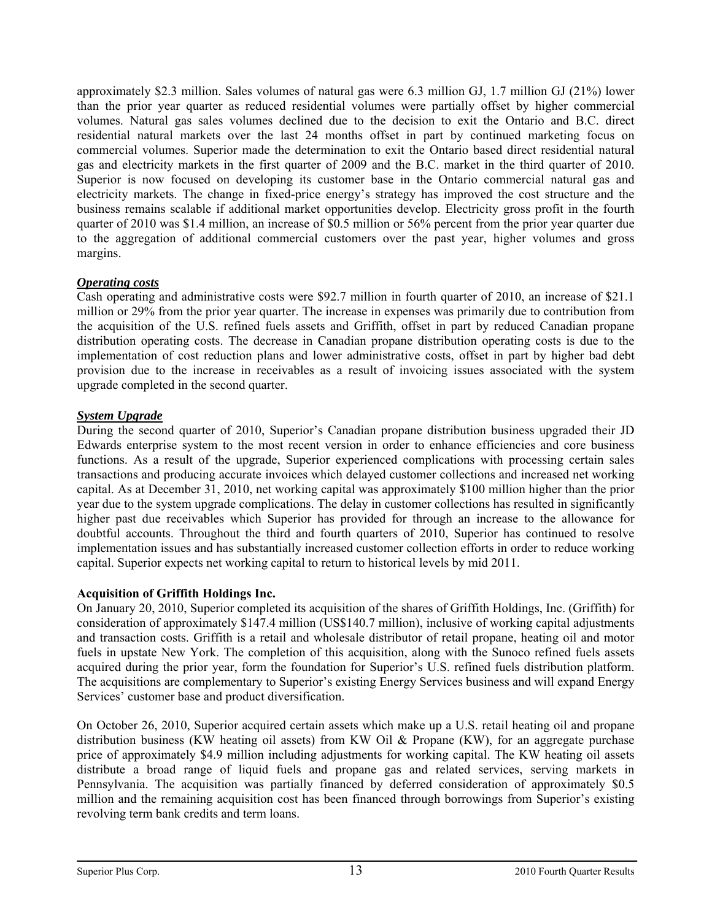approximately \$2.3 million. Sales volumes of natural gas were 6.3 million GJ, 1.7 million GJ (21%) lower than the prior year quarter as reduced residential volumes were partially offset by higher commercial volumes. Natural gas sales volumes declined due to the decision to exit the Ontario and B.C. direct residential natural markets over the last 24 months offset in part by continued marketing focus on commercial volumes. Superior made the determination to exit the Ontario based direct residential natural gas and electricity markets in the first quarter of 2009 and the B.C. market in the third quarter of 2010. Superior is now focused on developing its customer base in the Ontario commercial natural gas and electricity markets. The change in fixed-price energy's strategy has improved the cost structure and the business remains scalable if additional market opportunities develop. Electricity gross profit in the fourth quarter of 2010 was \$1.4 million, an increase of \$0.5 million or 56% percent from the prior year quarter due to the aggregation of additional commercial customers over the past year, higher volumes and gross margins.

### *Operating costs*

Cash operating and administrative costs were \$92.7 million in fourth quarter of 2010, an increase of \$21.1 million or 29% from the prior year quarter. The increase in expenses was primarily due to contribution from the acquisition of the U.S. refined fuels assets and Griffith, offset in part by reduced Canadian propane distribution operating costs. The decrease in Canadian propane distribution operating costs is due to the implementation of cost reduction plans and lower administrative costs, offset in part by higher bad debt provision due to the increase in receivables as a result of invoicing issues associated with the system upgrade completed in the second quarter.

## *System Upgrade*

During the second quarter of 2010, Superior's Canadian propane distribution business upgraded their JD Edwards enterprise system to the most recent version in order to enhance efficiencies and core business functions. As a result of the upgrade, Superior experienced complications with processing certain sales transactions and producing accurate invoices which delayed customer collections and increased net working capital. As at December 31, 2010, net working capital was approximately \$100 million higher than the prior year due to the system upgrade complications. The delay in customer collections has resulted in significantly higher past due receivables which Superior has provided for through an increase to the allowance for doubtful accounts. Throughout the third and fourth quarters of 2010, Superior has continued to resolve implementation issues and has substantially increased customer collection efforts in order to reduce working capital. Superior expects net working capital to return to historical levels by mid 2011.

## **Acquisition of Griffith Holdings Inc.**

On January 20, 2010, Superior completed its acquisition of the shares of Griffith Holdings, Inc. (Griffith) for consideration of approximately \$147.4 million (US\$140.7 million), inclusive of working capital adjustments and transaction costs. Griffith is a retail and wholesale distributor of retail propane, heating oil and motor fuels in upstate New York. The completion of this acquisition, along with the Sunoco refined fuels assets acquired during the prior year, form the foundation for Superior's U.S. refined fuels distribution platform. The acquisitions are complementary to Superior's existing Energy Services business and will expand Energy Services' customer base and product diversification.

On October 26, 2010, Superior acquired certain assets which make up a U.S. retail heating oil and propane distribution business (KW heating oil assets) from KW Oil & Propane (KW), for an aggregate purchase price of approximately \$4.9 million including adjustments for working capital. The KW heating oil assets distribute a broad range of liquid fuels and propane gas and related services, serving markets in Pennsylvania. The acquisition was partially financed by deferred consideration of approximately \$0.5 million and the remaining acquisition cost has been financed through borrowings from Superior's existing revolving term bank credits and term loans.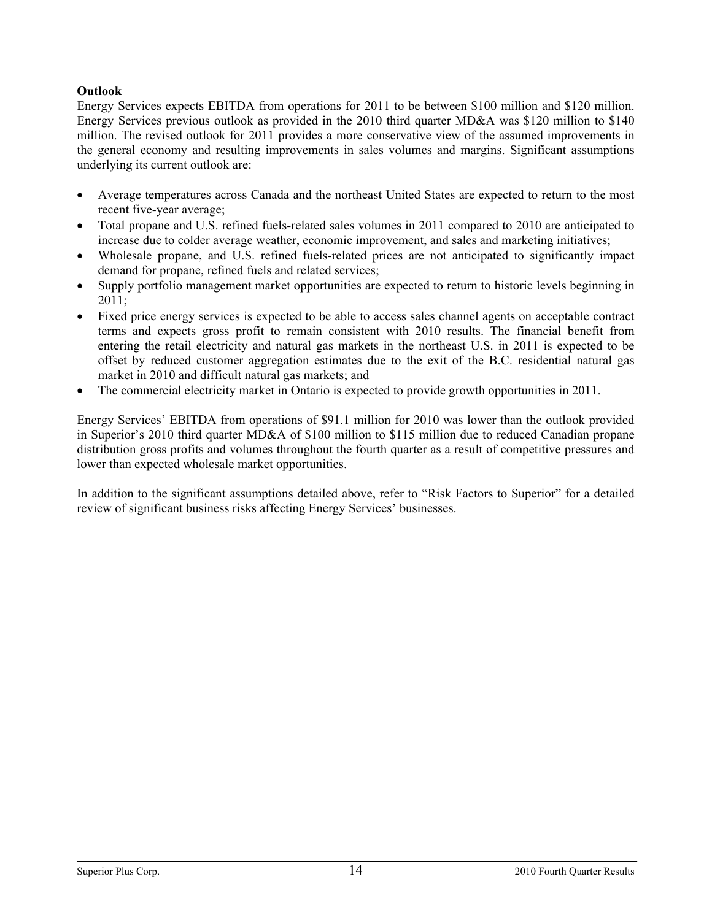## **Outlook**

Energy Services expects EBITDA from operations for 2011 to be between \$100 million and \$120 million. Energy Services previous outlook as provided in the 2010 third quarter MD&A was \$120 million to \$140 million. The revised outlook for 2011 provides a more conservative view of the assumed improvements in the general economy and resulting improvements in sales volumes and margins. Significant assumptions underlying its current outlook are:

- Average temperatures across Canada and the northeast United States are expected to return to the most recent five-year average;
- Total propane and U.S. refined fuels-related sales volumes in 2011 compared to 2010 are anticipated to increase due to colder average weather, economic improvement, and sales and marketing initiatives;
- Wholesale propane, and U.S. refined fuels-related prices are not anticipated to significantly impact demand for propane, refined fuels and related services;
- Supply portfolio management market opportunities are expected to return to historic levels beginning in 2011;
- Fixed price energy services is expected to be able to access sales channel agents on acceptable contract terms and expects gross profit to remain consistent with 2010 results. The financial benefit from entering the retail electricity and natural gas markets in the northeast U.S. in 2011 is expected to be offset by reduced customer aggregation estimates due to the exit of the B.C. residential natural gas market in 2010 and difficult natural gas markets; and
- The commercial electricity market in Ontario is expected to provide growth opportunities in 2011.

Energy Services' EBITDA from operations of \$91.1 million for 2010 was lower than the outlook provided in Superior's 2010 third quarter MD&A of \$100 million to \$115 million due to reduced Canadian propane distribution gross profits and volumes throughout the fourth quarter as a result of competitive pressures and lower than expected wholesale market opportunities.

In addition to the significant assumptions detailed above, refer to "Risk Factors to Superior" for a detailed review of significant business risks affecting Energy Services' businesses.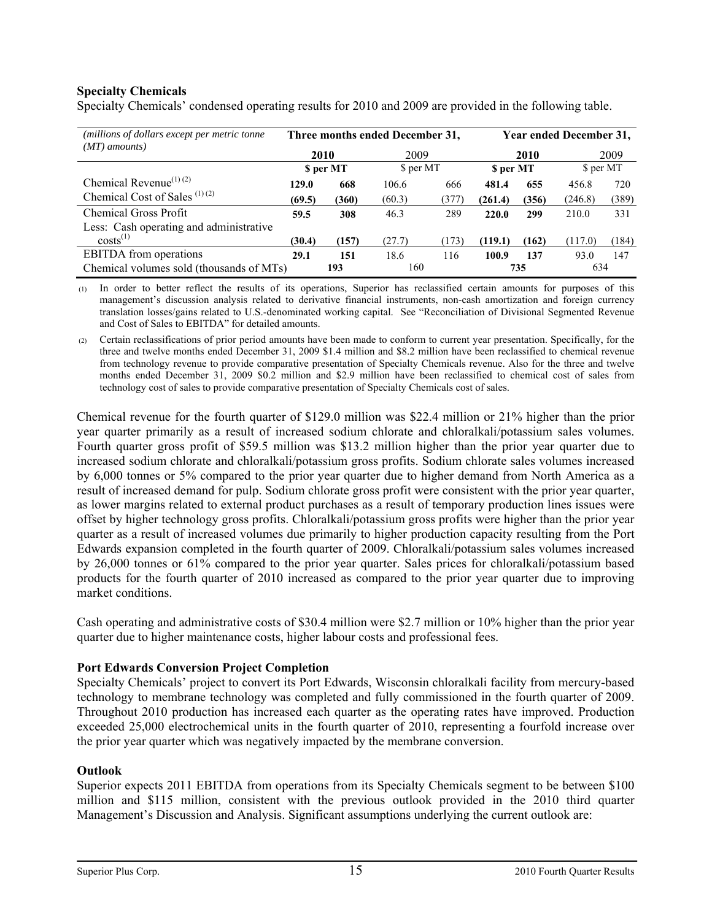### **Specialty Chemicals**

| (millions of dollars except per metric tonne |        | Three months ended December 31, |           |       |           | Year ended December 31, |           |       |  |
|----------------------------------------------|--------|---------------------------------|-----------|-------|-----------|-------------------------|-----------|-------|--|
| $(MT)$ amounts)                              |        | <b>2010</b>                     | 2009      |       |           | 2010                    |           | 2009  |  |
|                                              |        | \$ per MT                       | \$ per MT |       | \$ per MT |                         | \$ per MT |       |  |
| Chemical Revenue <sup>(1)(2)</sup>           | 129.0  | 668                             | 106.6     | 666   | 481.4     | 655                     | 456.8     | 720   |  |
| Chemical Cost of Sales $(1)(2)$              | (69.5) | (360)                           | (60.3)    | (377) | (261.4)   | (356)                   | (246.8)   | (389) |  |
| Chemical Gross Profit                        | 59.5   | 308                             | 46.3      | 289   | 220.0     | 299                     | 210.0     | 331   |  |
| Less: Cash operating and administrative      |        |                                 |           |       |           |                         |           |       |  |
| $costs^{(1)}$                                | (30.4) | (157)                           | (27.7)    | (173) | (119.1)   | (162)                   | (117.0)   | (184) |  |
| <b>EBITDA</b> from operations                | 29.1   | 151                             | 18.6      | 116   | 100.9     | 137                     | 93.0      | 147   |  |
| Chemical volumes sold (thousands of MTs)     |        | 193                             | 160       |       |           | 735                     | 634       |       |  |

Specialty Chemicals' condensed operating results for 2010 and 2009 are provided in the following table.

(1) In order to better reflect the results of its operations, Superior has reclassified certain amounts for purposes of this management's discussion analysis related to derivative financial instruments, non-cash amortization and foreign currency translation losses/gains related to U.S.-denominated working capital. See "Reconciliation of Divisional Segmented Revenue and Cost of Sales to EBITDA" for detailed amounts.

Certain reclassifications of prior period amounts have been made to conform to current year presentation. Specifically, for the three and twelve months ended December 31, 2009 \$1.4 million and \$8.2 million have been reclassified to chemical revenue from technology revenue to provide comparative presentation of Specialty Chemicals revenue. Also for the three and twelve months ended December 31, 2009 \$0.2 million and \$2.9 million have been reclassified to chemical cost of sales from technology cost of sales to provide comparative presentation of Specialty Chemicals cost of sales.

Chemical revenue for the fourth quarter of \$129.0 million was \$22.4 million or 21% higher than the prior year quarter primarily as a result of increased sodium chlorate and chloralkali/potassium sales volumes. Fourth quarter gross profit of \$59.5 million was \$13.2 million higher than the prior year quarter due to increased sodium chlorate and chloralkali/potassium gross profits. Sodium chlorate sales volumes increased by 6,000 tonnes or 5% compared to the prior year quarter due to higher demand from North America as a result of increased demand for pulp. Sodium chlorate gross profit were consistent with the prior year quarter, as lower margins related to external product purchases as a result of temporary production lines issues were offset by higher technology gross profits. Chloralkali/potassium gross profits were higher than the prior year quarter as a result of increased volumes due primarily to higher production capacity resulting from the Port Edwards expansion completed in the fourth quarter of 2009. Chloralkali/potassium sales volumes increased by 26,000 tonnes or 61% compared to the prior year quarter. Sales prices for chloralkali/potassium based products for the fourth quarter of 2010 increased as compared to the prior year quarter due to improving market conditions.

Cash operating and administrative costs of \$30.4 million were \$2.7 million or 10% higher than the prior year quarter due to higher maintenance costs, higher labour costs and professional fees.

### **Port Edwards Conversion Project Completion**

Specialty Chemicals' project to convert its Port Edwards, Wisconsin chloralkali facility from mercury-based technology to membrane technology was completed and fully commissioned in the fourth quarter of 2009. Throughout 2010 production has increased each quarter as the operating rates have improved. Production exceeded 25,000 electrochemical units in the fourth quarter of 2010, representing a fourfold increase over the prior year quarter which was negatively impacted by the membrane conversion.

### **Outlook**

Superior expects 2011 EBITDA from operations from its Specialty Chemicals segment to be between \$100 million and \$115 million, consistent with the previous outlook provided in the 2010 third quarter Management's Discussion and Analysis. Significant assumptions underlying the current outlook are: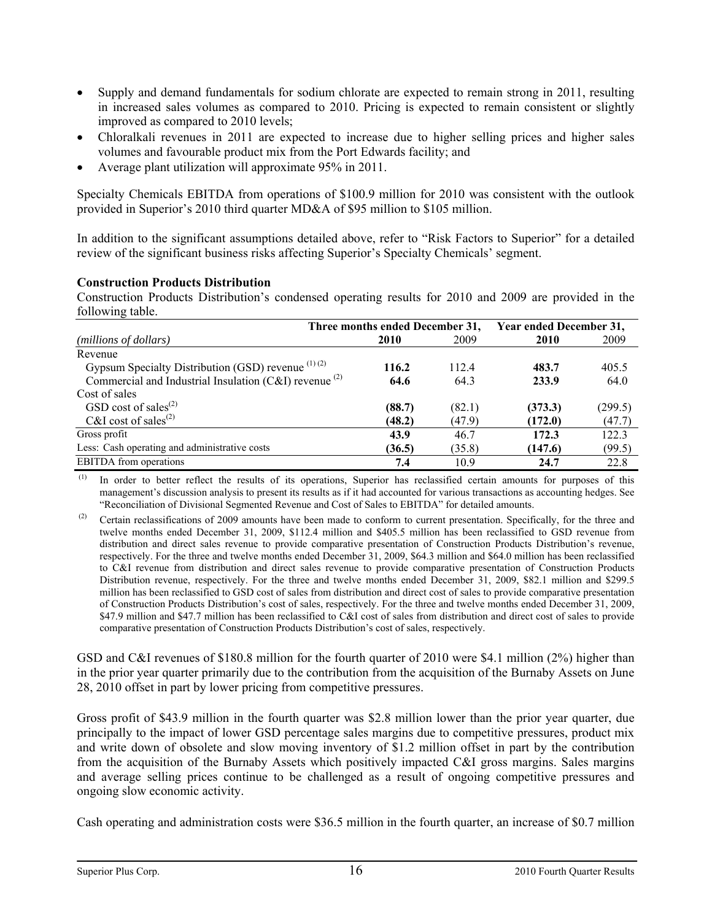- Supply and demand fundamentals for sodium chlorate are expected to remain strong in 2011, resulting in increased sales volumes as compared to 2010. Pricing is expected to remain consistent or slightly improved as compared to 2010 levels;
- Chloralkali revenues in 2011 are expected to increase due to higher selling prices and higher sales volumes and favourable product mix from the Port Edwards facility; and
- Average plant utilization will approximate 95% in 2011.

Specialty Chemicals EBITDA from operations of \$100.9 million for 2010 was consistent with the outlook provided in Superior's 2010 third quarter MD&A of \$95 million to \$105 million.

In addition to the significant assumptions detailed above, refer to "Risk Factors to Superior" for a detailed review of the significant business risks affecting Superior's Specialty Chemicals' segment.

### **Construction Products Distribution**

Construction Products Distribution's condensed operating results for 2010 and 2009 are provided in the following table.

|                                                             | Three months ended December 31, |        |         | Year ended December 31, |
|-------------------------------------------------------------|---------------------------------|--------|---------|-------------------------|
| ( <i>millions of dollars</i> )                              | <b>2010</b>                     | 2009   | 2010    | 2009                    |
| Revenue                                                     |                                 |        |         |                         |
| Gypsum Specialty Distribution (GSD) revenue $(1)(2)$        | 116.2                           | 112.4  | 483.7   | 405.5                   |
| Commercial and Industrial Insulation (C&I) revenue $^{(2)}$ | 64.6                            | 64.3   | 233.9   | 64.0                    |
| Cost of sales                                               |                                 |        |         |                         |
| GSD cost of sales <sup><math>(2)</math></sup>               | (88.7)                          | (82.1) | (373.3) | (299.5)                 |
| C&I cost of sales <sup>(2)</sup>                            | (48.2)                          | (47.9) | (172.0) | (47.7)                  |
| Gross profit                                                | 43.9                            | 46.7   | 172.3   | 122.3                   |
| Less: Cash operating and administrative costs               | (36.5)                          | (35.8) | (147.6) | (99.5)                  |
| <b>EBITDA</b> from operations                               | 7.4                             | 10.9   | 24.7    | 22.8                    |

(1) In order to better reflect the results of its operations, Superior has reclassified certain amounts for purposes of this management's discussion analysis to present its results as if it had accounted for various transactions as accounting hedges. See "Reconciliation of Divisional Segmented Revenue and Cost of Sales to EBITDA" for detailed amounts.

(2) Certain reclassifications of 2009 amounts have been made to conform to current presentation. Specifically, for the three and twelve months ended December 31, 2009, \$112.4 million and \$405.5 million has been reclassified to GSD revenue from distribution and direct sales revenue to provide comparative presentation of Construction Products Distribution's revenue, respectively. For the three and twelve months ended December 31, 2009, \$64.3 million and \$64.0 million has been reclassified to C&I revenue from distribution and direct sales revenue to provide comparative presentation of Construction Products Distribution revenue, respectively. For the three and twelve months ended December 31, 2009, \$82.1 million and \$299.5 million has been reclassified to GSD cost of sales from distribution and direct cost of sales to provide comparative presentation of Construction Products Distribution's cost of sales, respectively. For the three and twelve months ended December 31, 2009, \$47.9 million and \$47.7 million has been reclassified to C&I cost of sales from distribution and direct cost of sales to provide comparative presentation of Construction Products Distribution's cost of sales, respectively.

GSD and C&I revenues of \$180.8 million for the fourth quarter of 2010 were \$4.1 million (2%) higher than in the prior year quarter primarily due to the contribution from the acquisition of the Burnaby Assets on June 28, 2010 offset in part by lower pricing from competitive pressures.

Gross profit of \$43.9 million in the fourth quarter was \$2.8 million lower than the prior year quarter, due principally to the impact of lower GSD percentage sales margins due to competitive pressures, product mix and write down of obsolete and slow moving inventory of \$1.2 million offset in part by the contribution from the acquisition of the Burnaby Assets which positively impacted C&I gross margins. Sales margins and average selling prices continue to be challenged as a result of ongoing competitive pressures and ongoing slow economic activity.

Cash operating and administration costs were \$36.5 million in the fourth quarter, an increase of \$0.7 million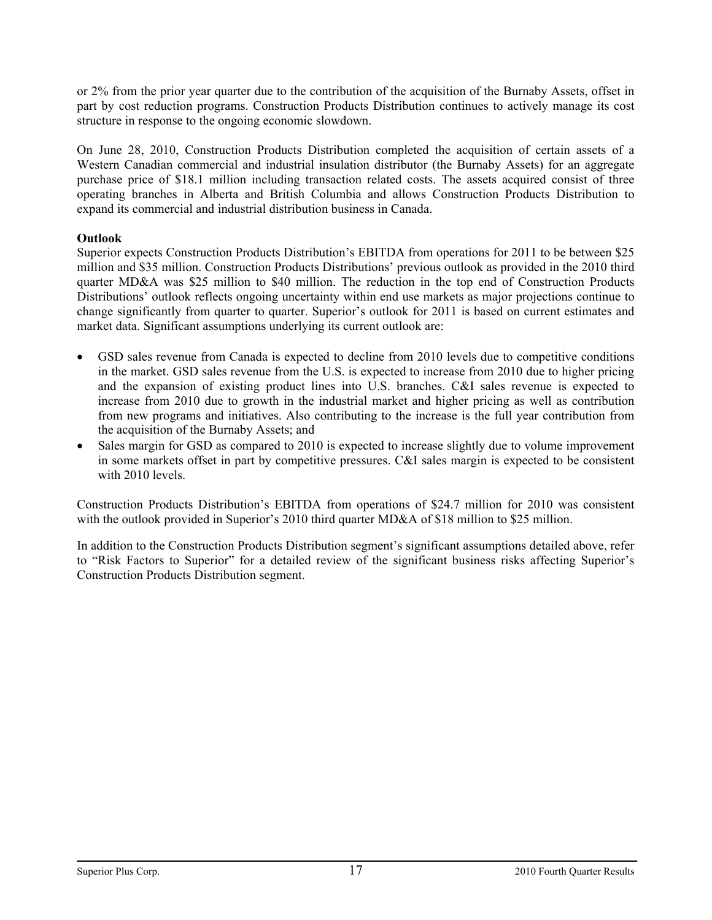or 2% from the prior year quarter due to the contribution of the acquisition of the Burnaby Assets, offset in part by cost reduction programs. Construction Products Distribution continues to actively manage its cost structure in response to the ongoing economic slowdown.

On June 28, 2010, Construction Products Distribution completed the acquisition of certain assets of a Western Canadian commercial and industrial insulation distributor (the Burnaby Assets) for an aggregate purchase price of \$18.1 million including transaction related costs. The assets acquired consist of three operating branches in Alberta and British Columbia and allows Construction Products Distribution to expand its commercial and industrial distribution business in Canada.

### **Outlook**

Superior expects Construction Products Distribution's EBITDA from operations for 2011 to be between \$25 million and \$35 million. Construction Products Distributions' previous outlook as provided in the 2010 third quarter MD&A was \$25 million to \$40 million. The reduction in the top end of Construction Products Distributions' outlook reflects ongoing uncertainty within end use markets as major projections continue to change significantly from quarter to quarter. Superior's outlook for 2011 is based on current estimates and market data. Significant assumptions underlying its current outlook are:

- GSD sales revenue from Canada is expected to decline from 2010 levels due to competitive conditions in the market. GSD sales revenue from the U.S. is expected to increase from 2010 due to higher pricing and the expansion of existing product lines into U.S. branches. C&I sales revenue is expected to increase from 2010 due to growth in the industrial market and higher pricing as well as contribution from new programs and initiatives. Also contributing to the increase is the full year contribution from the acquisition of the Burnaby Assets; and
- Sales margin for GSD as compared to 2010 is expected to increase slightly due to volume improvement in some markets offset in part by competitive pressures. C&I sales margin is expected to be consistent with 2010 levels.

Construction Products Distribution's EBITDA from operations of \$24.7 million for 2010 was consistent with the outlook provided in Superior's 2010 third quarter MD&A of \$18 million to \$25 million.

In addition to the Construction Products Distribution segment's significant assumptions detailed above, refer to "Risk Factors to Superior" for a detailed review of the significant business risks affecting Superior's Construction Products Distribution segment.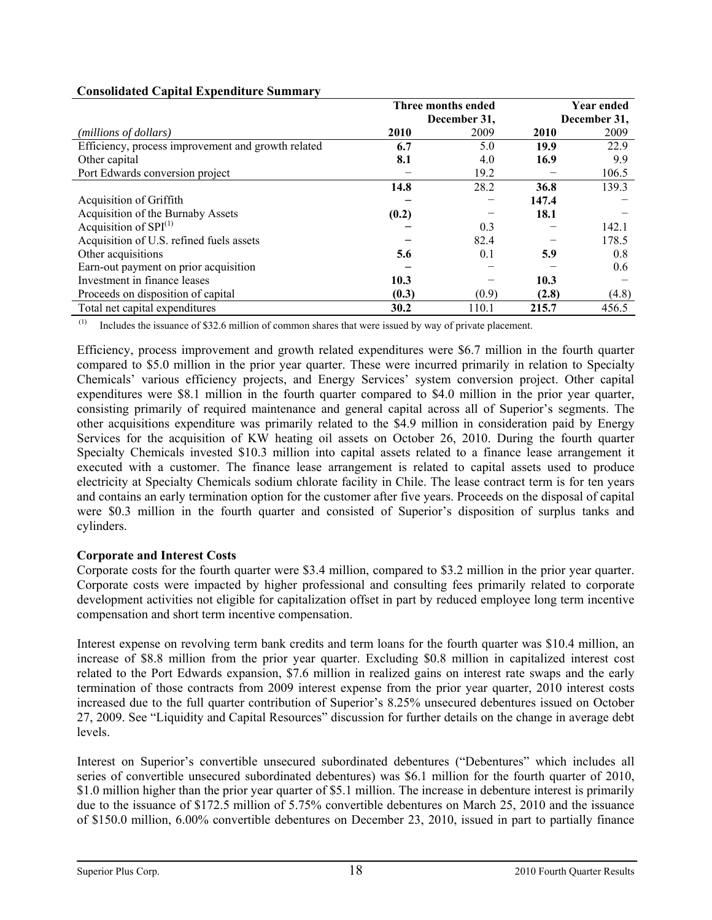|                                                    | Three months ended |              | Year ended |              |  |
|----------------------------------------------------|--------------------|--------------|------------|--------------|--|
|                                                    |                    | December 31, |            | December 31, |  |
| (millions of dollars)                              | 2010               | 2009         | 2010       | 2009         |  |
| Efficiency, process improvement and growth related | 6.7                | 5.0          | 19.9       | 22.9         |  |
| Other capital                                      | 8.1                | 4.0          | 16.9       | 9.9          |  |
| Port Edwards conversion project                    |                    | 19.2         |            | 106.5        |  |
|                                                    | 14.8               | 28.2         | 36.8       | 139.3        |  |
| Acquisition of Griffith                            |                    |              | 147.4      |              |  |
| Acquisition of the Burnaby Assets                  | (0.2)              |              | 18.1       |              |  |
| Acquisition of $SPI^{(1)}$                         |                    | 0.3          |            | 142.1        |  |
| Acquisition of U.S. refined fuels assets           |                    | 82.4         |            | 178.5        |  |
| Other acquisitions                                 | 5.6                | 0.1          | 5.9        | 0.8          |  |
| Earn-out payment on prior acquisition              |                    |              |            | 0.6          |  |
| Investment in finance leases                       | 10.3               |              | 10.3       |              |  |
| Proceeds on disposition of capital                 | (0.3)              | (0.9)        | (2.8)      | (4.8)        |  |
| Total net capital expenditures                     | 30.2               | 110.1        | 215.7      | 456.5        |  |

### **Consolidated Capital Expenditure Summary**

(1) Includes the issuance of \$32.6 million of common shares that were issued by way of private placement.

Efficiency, process improvement and growth related expenditures were \$6.7 million in the fourth quarter compared to \$5.0 million in the prior year quarter. These were incurred primarily in relation to Specialty Chemicals' various efficiency projects, and Energy Services' system conversion project. Other capital expenditures were \$8.1 million in the fourth quarter compared to \$4.0 million in the prior year quarter, consisting primarily of required maintenance and general capital across all of Superior's segments. The other acquisitions expenditure was primarily related to the \$4.9 million in consideration paid by Energy Services for the acquisition of KW heating oil assets on October 26, 2010. During the fourth quarter Specialty Chemicals invested \$10.3 million into capital assets related to a finance lease arrangement it executed with a customer. The finance lease arrangement is related to capital assets used to produce electricity at Specialty Chemicals sodium chlorate facility in Chile. The lease contract term is for ten years and contains an early termination option for the customer after five years. Proceeds on the disposal of capital were \$0.3 million in the fourth quarter and consisted of Superior's disposition of surplus tanks and cylinders.

### **Corporate and Interest Costs**

Corporate costs for the fourth quarter were \$3.4 million, compared to \$3.2 million in the prior year quarter. Corporate costs were impacted by higher professional and consulting fees primarily related to corporate development activities not eligible for capitalization offset in part by reduced employee long term incentive compensation and short term incentive compensation.

Interest expense on revolving term bank credits and term loans for the fourth quarter was \$10.4 million, an increase of \$8.8 million from the prior year quarter. Excluding \$0.8 million in capitalized interest cost related to the Port Edwards expansion, \$7.6 million in realized gains on interest rate swaps and the early termination of those contracts from 2009 interest expense from the prior year quarter, 2010 interest costs increased due to the full quarter contribution of Superior's 8.25% unsecured debentures issued on October 27, 2009. See "Liquidity and Capital Resources" discussion for further details on the change in average debt levels.

Interest on Superior's convertible unsecured subordinated debentures ("Debentures" which includes all series of convertible unsecured subordinated debentures) was \$6.1 million for the fourth quarter of 2010, \$1.0 million higher than the prior year quarter of \$5.1 million. The increase in debenture interest is primarily due to the issuance of \$172.5 million of 5.75% convertible debentures on March 25, 2010 and the issuance of \$150.0 million, 6.00% convertible debentures on December 23, 2010, issued in part to partially finance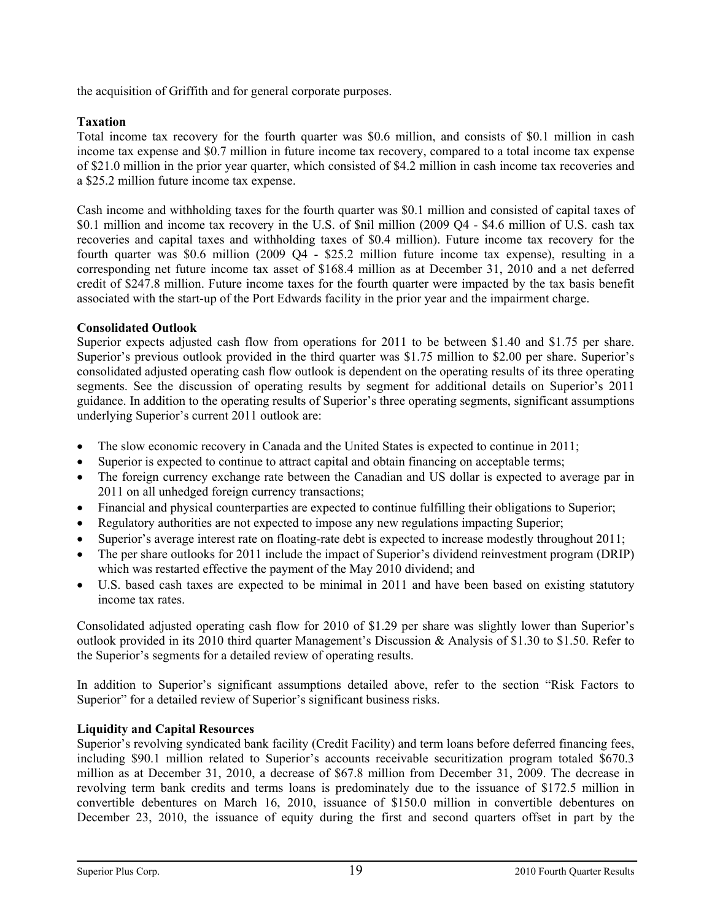the acquisition of Griffith and for general corporate purposes.

## **Taxation**

Total income tax recovery for the fourth quarter was \$0.6 million, and consists of \$0.1 million in cash income tax expense and \$0.7 million in future income tax recovery, compared to a total income tax expense of \$21.0 million in the prior year quarter, which consisted of \$4.2 million in cash income tax recoveries and a \$25.2 million future income tax expense.

Cash income and withholding taxes for the fourth quarter was \$0.1 million and consisted of capital taxes of \$0.1 million and income tax recovery in the U.S. of \$nil million (2009 Q4 - \$4.6 million of U.S. cash tax recoveries and capital taxes and withholding taxes of \$0.4 million). Future income tax recovery for the fourth quarter was \$0.6 million (2009 Q4 - \$25.2 million future income tax expense), resulting in a corresponding net future income tax asset of \$168.4 million as at December 31, 2010 and a net deferred credit of \$247.8 million. Future income taxes for the fourth quarter were impacted by the tax basis benefit associated with the start-up of the Port Edwards facility in the prior year and the impairment charge.

## **Consolidated Outlook**

Superior expects adjusted cash flow from operations for 2011 to be between \$1.40 and \$1.75 per share. Superior's previous outlook provided in the third quarter was \$1.75 million to \$2.00 per share. Superior's consolidated adjusted operating cash flow outlook is dependent on the operating results of its three operating segments. See the discussion of operating results by segment for additional details on Superior's 2011 guidance. In addition to the operating results of Superior's three operating segments, significant assumptions underlying Superior's current 2011 outlook are:

- The slow economic recovery in Canada and the United States is expected to continue in 2011;
- Superior is expected to continue to attract capital and obtain financing on acceptable terms;
- The foreign currency exchange rate between the Canadian and US dollar is expected to average par in 2011 on all unhedged foreign currency transactions;
- Financial and physical counterparties are expected to continue fulfilling their obligations to Superior;
- Regulatory authorities are not expected to impose any new regulations impacting Superior;
- Superior's average interest rate on floating-rate debt is expected to increase modestly throughout 2011;
- The per share outlooks for 2011 include the impact of Superior's dividend reinvestment program (DRIP) which was restarted effective the payment of the May 2010 dividend; and
- U.S. based cash taxes are expected to be minimal in 2011 and have been based on existing statutory income tax rates.

Consolidated adjusted operating cash flow for 2010 of \$1.29 per share was slightly lower than Superior's outlook provided in its 2010 third quarter Management's Discussion & Analysis of \$1.30 to \$1.50. Refer to the Superior's segments for a detailed review of operating results.

In addition to Superior's significant assumptions detailed above, refer to the section "Risk Factors to Superior" for a detailed review of Superior's significant business risks.

# **Liquidity and Capital Resources**

Superior's revolving syndicated bank facility (Credit Facility) and term loans before deferred financing fees, including \$90.1 million related to Superior's accounts receivable securitization program totaled \$670.3 million as at December 31, 2010, a decrease of \$67.8 million from December 31, 2009. The decrease in revolving term bank credits and terms loans is predominately due to the issuance of \$172.5 million in convertible debentures on March 16, 2010, issuance of \$150.0 million in convertible debentures on December 23, 2010, the issuance of equity during the first and second quarters offset in part by the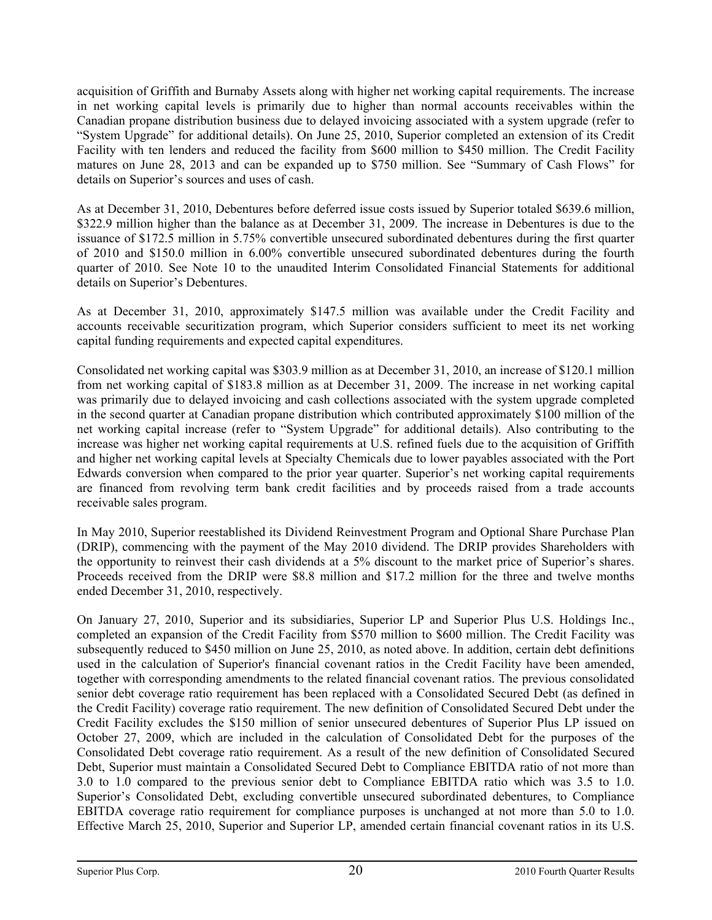acquisition of Griffith and Burnaby Assets along with higher net working capital requirements. The increase in net working capital levels is primarily due to higher than normal accounts receivables within the Canadian propane distribution business due to delayed invoicing associated with a system upgrade (refer to "System Upgrade" for additional details). On June 25, 2010, Superior completed an extension of its Credit Facility with ten lenders and reduced the facility from \$600 million to \$450 million. The Credit Facility matures on June 28, 2013 and can be expanded up to \$750 million. See "Summary of Cash Flows" for details on Superior's sources and uses of cash.

As at December 31, 2010, Debentures before deferred issue costs issued by Superior totaled \$639.6 million, \$322.9 million higher than the balance as at December 31, 2009. The increase in Debentures is due to the issuance of \$172.5 million in 5.75% convertible unsecured subordinated debentures during the first quarter of 2010 and \$150.0 million in 6.00% convertible unsecured subordinated debentures during the fourth quarter of 2010. See Note 10 to the unaudited Interim Consolidated Financial Statements for additional details on Superior's Debentures.

As at December 31, 2010, approximately \$147.5 million was available under the Credit Facility and accounts receivable securitization program, which Superior considers sufficient to meet its net working capital funding requirements and expected capital expenditures.

Consolidated net working capital was \$303.9 million as at December 31, 2010, an increase of \$120.1 million from net working capital of \$183.8 million as at December 31, 2009. The increase in net working capital was primarily due to delayed invoicing and cash collections associated with the system upgrade completed in the second quarter at Canadian propane distribution which contributed approximately \$100 million of the net working capital increase (refer to "System Upgrade" for additional details). Also contributing to the increase was higher net working capital requirements at U.S. refined fuels due to the acquisition of Griffith and higher net working capital levels at Specialty Chemicals due to lower payables associated with the Port Edwards conversion when compared to the prior year quarter. Superior's net working capital requirements are financed from revolving term bank credit facilities and by proceeds raised from a trade accounts receivable sales program.

In May 2010, Superior reestablished its Dividend Reinvestment Program and Optional Share Purchase Plan (DRIP), commencing with the payment of the May 2010 dividend. The DRIP provides Shareholders with the opportunity to reinvest their cash dividends at a 5% discount to the market price of Superior's shares. Proceeds received from the DRIP were \$8.8 million and \$17.2 million for the three and twelve months ended December 31, 2010, respectively.

On January 27, 2010, Superior and its subsidiaries, Superior LP and Superior Plus U.S. Holdings Inc., completed an expansion of the Credit Facility from \$570 million to \$600 million. The Credit Facility was subsequently reduced to \$450 million on June 25, 2010, as noted above. In addition, certain debt definitions used in the calculation of Superior's financial covenant ratios in the Credit Facility have been amended, together with corresponding amendments to the related financial covenant ratios. The previous consolidated senior debt coverage ratio requirement has been replaced with a Consolidated Secured Debt (as defined in the Credit Facility) coverage ratio requirement. The new definition of Consolidated Secured Debt under the Credit Facility excludes the \$150 million of senior unsecured debentures of Superior Plus LP issued on October 27, 2009, which are included in the calculation of Consolidated Debt for the purposes of the Consolidated Debt coverage ratio requirement. As a result of the new definition of Consolidated Secured Debt, Superior must maintain a Consolidated Secured Debt to Compliance EBITDA ratio of not more than 3.0 to 1.0 compared to the previous senior debt to Compliance EBITDA ratio which was 3.5 to 1.0. Superior's Consolidated Debt, excluding convertible unsecured subordinated debentures, to Compliance EBITDA coverage ratio requirement for compliance purposes is unchanged at not more than 5.0 to 1.0. Effective March 25, 2010, Superior and Superior LP, amended certain financial covenant ratios in its U.S.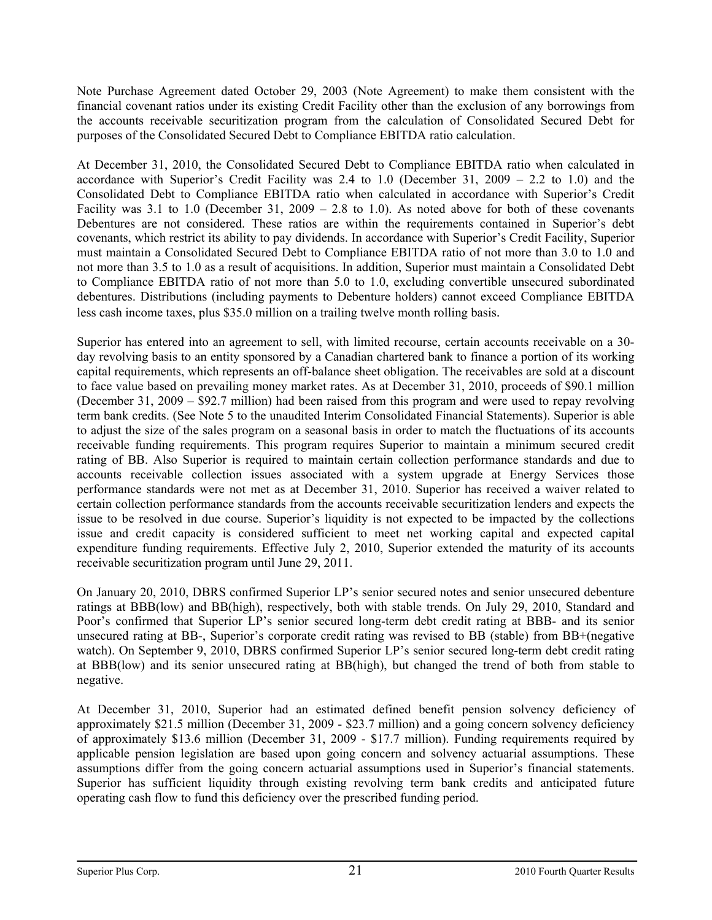Note Purchase Agreement dated October 29, 2003 (Note Agreement) to make them consistent with the financial covenant ratios under its existing Credit Facility other than the exclusion of any borrowings from the accounts receivable securitization program from the calculation of Consolidated Secured Debt for purposes of the Consolidated Secured Debt to Compliance EBITDA ratio calculation.

At December 31, 2010, the Consolidated Secured Debt to Compliance EBITDA ratio when calculated in accordance with Superior's Credit Facility was  $2.4$  to  $1.0$  (December 31,  $2009 - 2.2$  to  $1.0$ ) and the Consolidated Debt to Compliance EBITDA ratio when calculated in accordance with Superior's Credit Facility was 3.1 to 1.0 (December 31, 2009 – 2.8 to 1.0). As noted above for both of these covenants Debentures are not considered. These ratios are within the requirements contained in Superior's debt covenants, which restrict its ability to pay dividends. In accordance with Superior's Credit Facility, Superior must maintain a Consolidated Secured Debt to Compliance EBITDA ratio of not more than 3.0 to 1.0 and not more than 3.5 to 1.0 as a result of acquisitions. In addition, Superior must maintain a Consolidated Debt to Compliance EBITDA ratio of not more than 5.0 to 1.0, excluding convertible unsecured subordinated debentures. Distributions (including payments to Debenture holders) cannot exceed Compliance EBITDA less cash income taxes, plus \$35.0 million on a trailing twelve month rolling basis.

Superior has entered into an agreement to sell, with limited recourse, certain accounts receivable on a 30 day revolving basis to an entity sponsored by a Canadian chartered bank to finance a portion of its working capital requirements, which represents an off-balance sheet obligation. The receivables are sold at a discount to face value based on prevailing money market rates. As at December 31, 2010, proceeds of \$90.1 million (December 31, 2009 – \$92.7 million) had been raised from this program and were used to repay revolving term bank credits. (See Note 5 to the unaudited Interim Consolidated Financial Statements). Superior is able to adjust the size of the sales program on a seasonal basis in order to match the fluctuations of its accounts receivable funding requirements. This program requires Superior to maintain a minimum secured credit rating of BB. Also Superior is required to maintain certain collection performance standards and due to accounts receivable collection issues associated with a system upgrade at Energy Services those performance standards were not met as at December 31, 2010. Superior has received a waiver related to certain collection performance standards from the accounts receivable securitization lenders and expects the issue to be resolved in due course. Superior's liquidity is not expected to be impacted by the collections issue and credit capacity is considered sufficient to meet net working capital and expected capital expenditure funding requirements. Effective July 2, 2010, Superior extended the maturity of its accounts receivable securitization program until June 29, 2011.

On January 20, 2010, DBRS confirmed Superior LP's senior secured notes and senior unsecured debenture ratings at BBB(low) and BB(high), respectively, both with stable trends. On July 29, 2010, Standard and Poor's confirmed that Superior LP's senior secured long-term debt credit rating at BBB- and its senior unsecured rating at BB-, Superior's corporate credit rating was revised to BB (stable) from BB+(negative watch). On September 9, 2010, DBRS confirmed Superior LP's senior secured long-term debt credit rating at BBB(low) and its senior unsecured rating at BB(high), but changed the trend of both from stable to negative.

At December 31, 2010, Superior had an estimated defined benefit pension solvency deficiency of approximately \$21.5 million (December 31, 2009 - \$23.7 million) and a going concern solvency deficiency of approximately \$13.6 million (December 31, 2009 - \$17.7 million). Funding requirements required by applicable pension legislation are based upon going concern and solvency actuarial assumptions. These assumptions differ from the going concern actuarial assumptions used in Superior's financial statements. Superior has sufficient liquidity through existing revolving term bank credits and anticipated future operating cash flow to fund this deficiency over the prescribed funding period.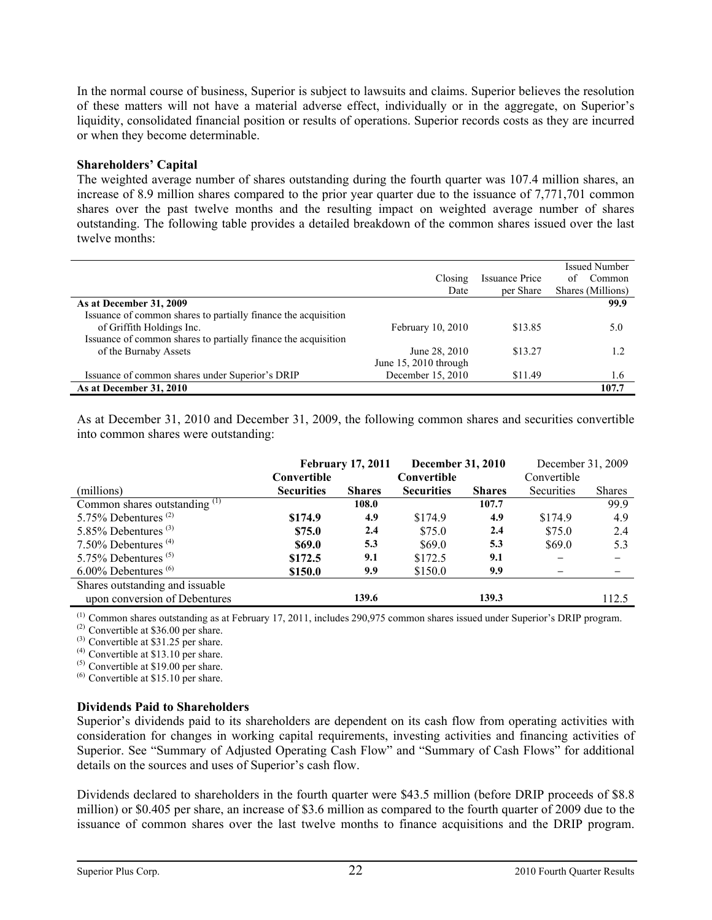In the normal course of business, Superior is subject to lawsuits and claims. Superior believes the resolution of these matters will not have a material adverse effect, individually or in the aggregate, on Superior's liquidity, consolidated financial position or results of operations. Superior records costs as they are incurred or when they become determinable.

### **Shareholders' Capital**

The weighted average number of shares outstanding during the fourth quarter was 107.4 million shares, an increase of 8.9 million shares compared to the prior year quarter due to the issuance of 7,771,701 common shares over the past twelve months and the resulting impact on weighted average number of shares outstanding. The following table provides a detailed breakdown of the common shares issued over the last twelve months:

|                                                                |                       |                       | <b>Issued Number</b> |
|----------------------------------------------------------------|-----------------------|-----------------------|----------------------|
|                                                                | Closing               | <b>Issuance Price</b> | Common<br>of         |
|                                                                | Date                  | per Share             | Shares (Millions)    |
| As at December 31, 2009                                        |                       |                       | 99.9                 |
| Issuance of common shares to partially finance the acquisition |                       |                       |                      |
| of Griffith Holdings Inc.                                      | February 10, 2010     | \$13.85               | 5.0                  |
| Issuance of common shares to partially finance the acquisition |                       |                       |                      |
| of the Burnaby Assets                                          | June 28, 2010         | \$13.27               | 1.2                  |
|                                                                | June 15, 2010 through |                       |                      |
| Issuance of common shares under Superior's DRIP                | December 15, 2010     | \$11.49               | 1.6                  |
| As at December 31, 2010                                        |                       |                       | 107.7                |

As at December 31, 2010 and December 31, 2009, the following common shares and securities convertible into common shares were outstanding:

|                                                 |                   | <b>February 17, 2011</b> | <b>December 31, 2010</b> |               | December 31, 2009 |               |
|-------------------------------------------------|-------------------|--------------------------|--------------------------|---------------|-------------------|---------------|
|                                                 | Convertible       |                          | Convertible              |               | Convertible       |               |
| (millions)                                      | <b>Securities</b> | <b>Shares</b>            | <b>Securities</b>        | <b>Shares</b> | <b>Securities</b> | <b>Shares</b> |
| Common shares outstanding <sup>(1)</sup>        |                   | 108.0                    |                          | 107.7         |                   | 999           |
| 5.75% Debentures <sup>(2)</sup>                 | \$174.9           | 4.9                      | \$174.9                  | 4.9           | \$174.9           | 4.9           |
| 5.85% Debentures $(3)$                          | \$75.0            | 2.4                      | \$75.0                   | 2.4           | \$75.0            | 2.4           |
| 7.50% Debentures <sup><math>(4)</math></sup>    | <b>\$69.0</b>     | 5.3                      | \$69.0                   | 5.3           | \$69.0            | 5.3           |
| 5.75% Debentures <sup><math>(5)</math></sup>    | \$172.5           | 9.1                      | \$172.5                  | 9.1           |                   |               |
| $6.00\%$ Debentures <sup><math>(6)</math></sup> | \$150.0           | 9.9                      | \$150.0                  | 9.9           |                   |               |
| Shares outstanding and issuable                 |                   |                          |                          |               |                   |               |
| upon conversion of Debentures                   |                   | 139.6                    |                          | 139.3         |                   | 112.5         |

(1) Common shares outstanding as at February 17, 2011, includes 290,975 common shares issued under Superior's DRIP program.

(2) Convertible at \$36.00 per share.

 $^{(3)}$  Convertible at \$31.25 per share.

 $^{(4)}$  Convertible at \$13.10 per share.

 $(5)$  Convertible at \$19.00 per share.

 $^{(6)}$  Convertible at \$15.10 per share.

### **Dividends Paid to Shareholders**

Superior's dividends paid to its shareholders are dependent on its cash flow from operating activities with consideration for changes in working capital requirements, investing activities and financing activities of Superior. See "Summary of Adjusted Operating Cash Flow" and "Summary of Cash Flows" for additional details on the sources and uses of Superior's cash flow.

Dividends declared to shareholders in the fourth quarter were \$43.5 million (before DRIP proceeds of \$8.8 million) or \$0.405 per share, an increase of \$3.6 million as compared to the fourth quarter of 2009 due to the issuance of common shares over the last twelve months to finance acquisitions and the DRIP program.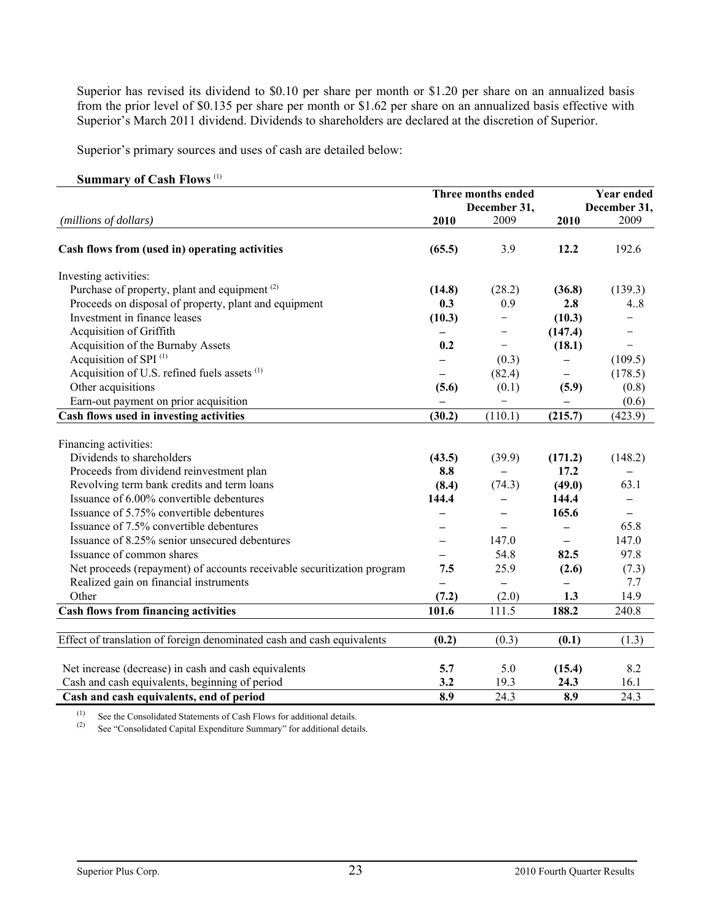Superior has revised its dividend to \$0.10 per share per month or \$1.20 per share on an annualized basis from the prior level of \$0.135 per share per month or \$1.62 per share on an annualized basis effective with Superior's March 2011 dividend. Dividends to shareholders are declared at the discretion of Superior.

Superior's primary sources and uses of cash are detailed below:

| <b>Summary of Cash Flows [1]</b> |  |  |  |
|----------------------------------|--|--|--|
|----------------------------------|--|--|--|

|                                                                        |          | Three months ended       |                          | <b>Year ended</b>        |
|------------------------------------------------------------------------|----------|--------------------------|--------------------------|--------------------------|
|                                                                        |          | December 31,             |                          | December 31,             |
| (millions of dollars)                                                  | 2010     | 2009                     | 2010                     | 2009                     |
| Cash flows from (used in) operating activities                         | (65.5)   | 3.9                      | 12.2                     | 192.6                    |
| Investing activities:                                                  |          |                          |                          |                          |
| Purchase of property, plant and equipment <sup>(2)</sup>               | (14.8)   | (28.2)                   | (36.8)                   | (139.3)                  |
| Proceeds on disposal of property, plant and equipment                  | 0.3      | 0.9                      | 2.8                      | 4.8                      |
| Investment in finance leases                                           | (10.3)   |                          | (10.3)                   |                          |
| Acquisition of Griffith                                                |          |                          | (147.4)                  | $\overline{\phantom{0}}$ |
| Acquisition of the Burnaby Assets                                      | 0.2      | $\overline{\phantom{0}}$ | (18.1)                   | $\equiv$                 |
| Acquisition of SPI <sup>(1)</sup>                                      |          | (0.3)                    | —                        | (109.5)                  |
| Acquisition of U.S. refined fuels assets (1)                           |          | (82.4)                   | $\overline{\phantom{0}}$ | (178.5)                  |
| Other acquisitions                                                     | (5.6)    | (0.1)                    | (5.9)                    | (0.8)                    |
| Earn-out payment on prior acquisition                                  |          |                          |                          | (0.6)                    |
| Cash flows used in investing activities                                | (30.2)   | (110.1)                  | (215.7)                  | (423.9)                  |
| Financing activities:                                                  |          |                          |                          |                          |
| Dividends to shareholders                                              | (43.5)   | (39.9)                   | (171.2)                  | (148.2)                  |
| Proceeds from dividend reinvestment plan                               | 8.8      |                          | 17.2                     |                          |
| Revolving term bank credits and term loans                             | (8.4)    | (74.3)                   | (49.0)                   | 63.1                     |
| Issuance of 6.00% convertible debentures                               | 144.4    |                          | 144.4                    |                          |
| Issuance of 5.75% convertible debentures                               |          |                          | 165.6                    |                          |
| Issuance of 7.5% convertible debentures                                |          |                          | $\overline{\phantom{0}}$ | 65.8                     |
| Issuance of 8.25% senior unsecured debentures                          |          | 147.0                    | $\overline{\phantom{0}}$ | 147.0                    |
| Issuance of common shares                                              |          | 54.8                     | 82.5                     | 97.8                     |
| Net proceeds (repayment) of accounts receivable securitization program | 7.5      | 25.9                     | (2.6)                    | (7.3)                    |
| Realized gain on financial instruments                                 | $\equiv$ | $\overline{\phantom{0}}$ |                          | 7.7                      |
| Other                                                                  | (7.2)    | (2.0)                    | 1.3                      | 14.9                     |
| <b>Cash flows from financing activities</b>                            | 101.6    | 111.5                    | 188.2                    | 240.8                    |
|                                                                        |          |                          |                          |                          |
| Effect of translation of foreign denominated cash and cash equivalents | (0.2)    | (0.3)                    | (0.1)                    | (1.3)                    |
|                                                                        |          |                          |                          |                          |
| Net increase (decrease) in cash and cash equivalents                   | 5.7      | 5.0                      | (15.4)                   | 8.2                      |
| Cash and cash equivalents, beginning of period                         | 3.2      | 19.3                     | 24.3                     | 16.1                     |
| Cash and cash equivalents, end of period                               | 8.9      | 24.3                     | 8.9                      | 24.3                     |

 $(1)$  See the Consolidated Statements of Cash Flows for additional details.

(2) See "Consolidated Capital Expenditure Summary" for additional details.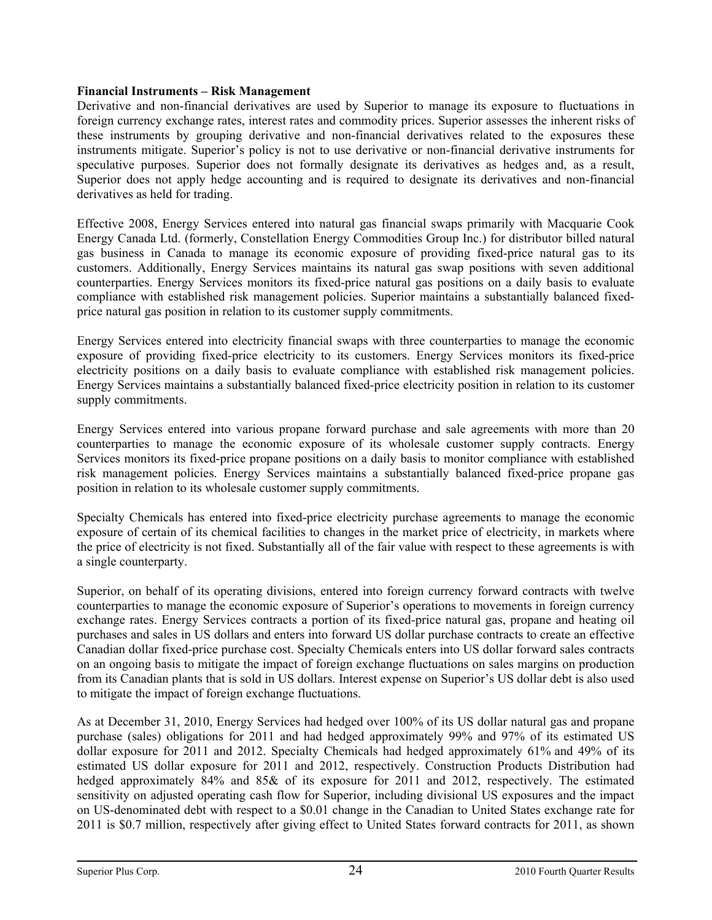### **Financial Instruments – Risk Management**

Derivative and non-financial derivatives are used by Superior to manage its exposure to fluctuations in foreign currency exchange rates, interest rates and commodity prices. Superior assesses the inherent risks of these instruments by grouping derivative and non-financial derivatives related to the exposures these instruments mitigate. Superior's policy is not to use derivative or non-financial derivative instruments for speculative purposes. Superior does not formally designate its derivatives as hedges and, as a result, Superior does not apply hedge accounting and is required to designate its derivatives and non-financial derivatives as held for trading.

Effective 2008, Energy Services entered into natural gas financial swaps primarily with Macquarie Cook Energy Canada Ltd. (formerly, Constellation Energy Commodities Group Inc.) for distributor billed natural gas business in Canada to manage its economic exposure of providing fixed-price natural gas to its customers. Additionally, Energy Services maintains its natural gas swap positions with seven additional counterparties. Energy Services monitors its fixed-price natural gas positions on a daily basis to evaluate compliance with established risk management policies. Superior maintains a substantially balanced fixedprice natural gas position in relation to its customer supply commitments.

Energy Services entered into electricity financial swaps with three counterparties to manage the economic exposure of providing fixed-price electricity to its customers. Energy Services monitors its fixed-price electricity positions on a daily basis to evaluate compliance with established risk management policies. Energy Services maintains a substantially balanced fixed-price electricity position in relation to its customer supply commitments.

Energy Services entered into various propane forward purchase and sale agreements with more than 20 counterparties to manage the economic exposure of its wholesale customer supply contracts. Energy Services monitors its fixed-price propane positions on a daily basis to monitor compliance with established risk management policies. Energy Services maintains a substantially balanced fixed-price propane gas position in relation to its wholesale customer supply commitments.

Specialty Chemicals has entered into fixed-price electricity purchase agreements to manage the economic exposure of certain of its chemical facilities to changes in the market price of electricity, in markets where the price of electricity is not fixed. Substantially all of the fair value with respect to these agreements is with a single counterparty.

Superior, on behalf of its operating divisions, entered into foreign currency forward contracts with twelve counterparties to manage the economic exposure of Superior's operations to movements in foreign currency exchange rates. Energy Services contracts a portion of its fixed-price natural gas, propane and heating oil purchases and sales in US dollars and enters into forward US dollar purchase contracts to create an effective Canadian dollar fixed-price purchase cost. Specialty Chemicals enters into US dollar forward sales contracts on an ongoing basis to mitigate the impact of foreign exchange fluctuations on sales margins on production from its Canadian plants that is sold in US dollars. Interest expense on Superior's US dollar debt is also used to mitigate the impact of foreign exchange fluctuations.

As at December 31, 2010, Energy Services had hedged over 100% of its US dollar natural gas and propane purchase (sales) obligations for 2011 and had hedged approximately 99% and 97% of its estimated US dollar exposure for 2011 and 2012. Specialty Chemicals had hedged approximately 61% and 49% of its estimated US dollar exposure for 2011 and 2012, respectively. Construction Products Distribution had hedged approximately 84% and 85& of its exposure for 2011 and 2012, respectively. The estimated sensitivity on adjusted operating cash flow for Superior, including divisional US exposures and the impact on US-denominated debt with respect to a \$0.01 change in the Canadian to United States exchange rate for 2011 is \$0.7 million, respectively after giving effect to United States forward contracts for 2011, as shown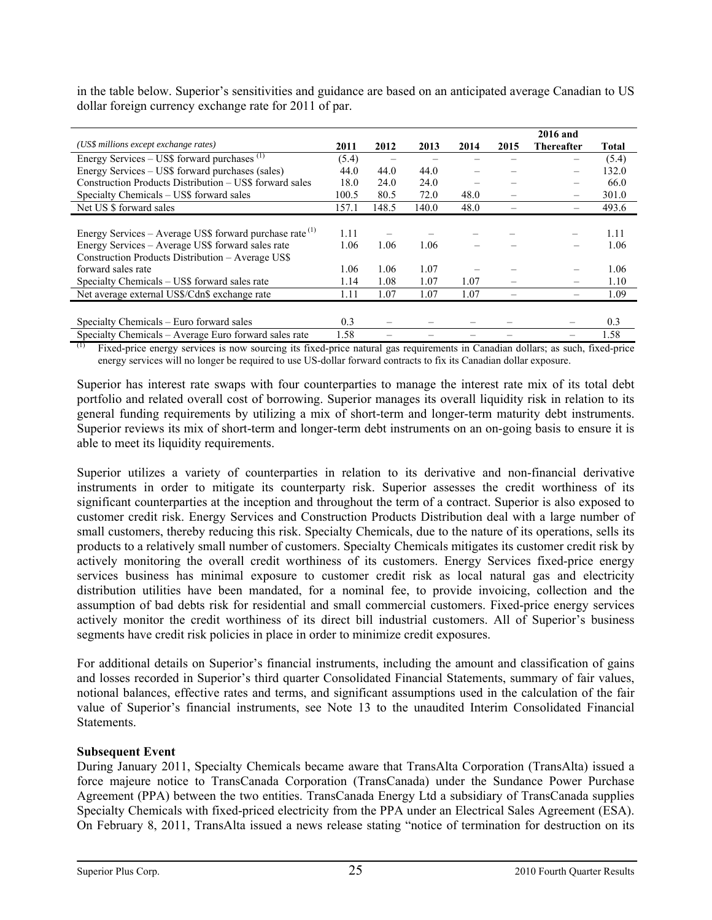in the table below. Superior's sensitivities and guidance are based on an anticipated average Canadian to US dollar foreign currency exchange rate for 2011 of par.

|                                                            |       |       |       |      |      | 2016 and          |       |
|------------------------------------------------------------|-------|-------|-------|------|------|-------------------|-------|
| (US\$ millions except exchange rates)                      | 2011  | 2012  | 2013  | 2014 | 2015 | <b>Thereafter</b> | Total |
| Energy Services – US\$ forward purchases $(1)$             | (5.4) |       |       |      |      |                   | (5.4) |
| Energy Services - US\$ forward purchases (sales)           | 44.0  | 44.0  | 44.0  |      |      |                   | 132.0 |
| Construction Products Distribution – US\$ forward sales    | 18.0  | 24.0  | 24.0  |      |      |                   | 66.0  |
| Specialty Chemicals – US\$ forward sales                   | 100.5 | 80.5  | 72.0  | 48.0 | -    |                   | 301.0 |
| Net US \$ forward sales                                    | 157.1 | 148.5 | 140.0 | 48.0 |      |                   | 493.6 |
|                                                            |       |       |       |      |      |                   |       |
| Energy Services – Average US\$ forward purchase rate $(1)$ | 1.11  |       |       |      |      |                   | 1.11  |
| Energy Services - Average US\$ forward sales rate          | 1.06  | 1.06  | 1.06  |      |      |                   | 1.06  |
| Construction Products Distribution – Average US\$          |       |       |       |      |      |                   |       |
| forward sales rate                                         | 1.06  | 1.06  | 1.07  |      |      |                   | 1.06  |
| Specialty Chemicals – US\$ forward sales rate              | 1.14  | 1.08  | 1.07  | 1.07 |      |                   | 1.10  |
| Net average external US\$/Cdn\$ exchange rate              | 1.11  | 1.07  | 1.07  | 1.07 |      |                   | 1.09  |
|                                                            |       |       |       |      |      |                   |       |
| Specialty Chemicals – Euro forward sales                   | 0.3   |       |       |      |      |                   | 0.3   |
| Specialty Chemicals – Average Euro forward sales rate      | 1.58  |       |       |      |      |                   | l.58  |

 $(1)$  Fixed-price energy services is now sourcing its fixed-price natural gas requirements in Canadian dollars; as such, fixed-price energy services will no longer be required to use US-dollar forward contracts to fix its Canadian dollar exposure.

Superior has interest rate swaps with four counterparties to manage the interest rate mix of its total debt portfolio and related overall cost of borrowing. Superior manages its overall liquidity risk in relation to its general funding requirements by utilizing a mix of short-term and longer-term maturity debt instruments. Superior reviews its mix of short-term and longer-term debt instruments on an on-going basis to ensure it is able to meet its liquidity requirements.

Superior utilizes a variety of counterparties in relation to its derivative and non-financial derivative instruments in order to mitigate its counterparty risk. Superior assesses the credit worthiness of its significant counterparties at the inception and throughout the term of a contract. Superior is also exposed to customer credit risk. Energy Services and Construction Products Distribution deal with a large number of small customers, thereby reducing this risk. Specialty Chemicals, due to the nature of its operations, sells its products to a relatively small number of customers. Specialty Chemicals mitigates its customer credit risk by actively monitoring the overall credit worthiness of its customers. Energy Services fixed-price energy services business has minimal exposure to customer credit risk as local natural gas and electricity distribution utilities have been mandated, for a nominal fee, to provide invoicing, collection and the assumption of bad debts risk for residential and small commercial customers. Fixed-price energy services actively monitor the credit worthiness of its direct bill industrial customers. All of Superior's business segments have credit risk policies in place in order to minimize credit exposures.

For additional details on Superior's financial instruments, including the amount and classification of gains and losses recorded in Superior's third quarter Consolidated Financial Statements, summary of fair values, notional balances, effective rates and terms, and significant assumptions used in the calculation of the fair value of Superior's financial instruments, see Note 13 to the unaudited Interim Consolidated Financial Statements.

### **Subsequent Event**

During January 2011, Specialty Chemicals became aware that TransAlta Corporation (TransAlta) issued a force majeure notice to TransCanada Corporation (TransCanada) under the Sundance Power Purchase Agreement (PPA) between the two entities. TransCanada Energy Ltd a subsidiary of TransCanada supplies Specialty Chemicals with fixed-priced electricity from the PPA under an Electrical Sales Agreement (ESA). On February 8, 2011, TransAlta issued a news release stating "notice of termination for destruction on its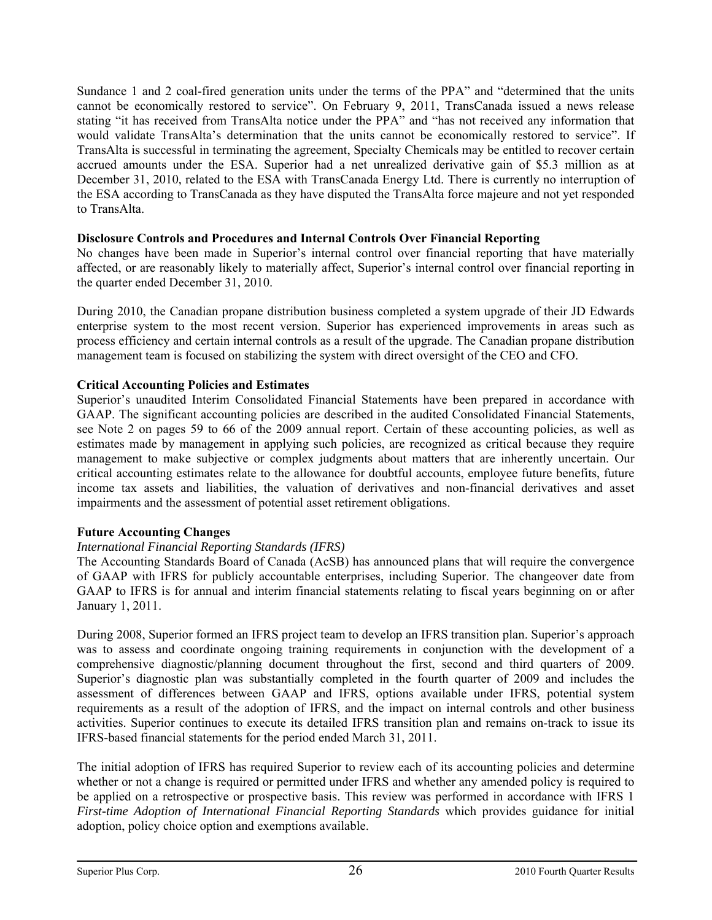Sundance 1 and 2 coal-fired generation units under the terms of the PPA" and "determined that the units cannot be economically restored to service". On February 9, 2011, TransCanada issued a news release stating "it has received from TransAlta notice under the PPA" and "has not received any information that would validate TransAlta's determination that the units cannot be economically restored to service". If TransAlta is successful in terminating the agreement, Specialty Chemicals may be entitled to recover certain accrued amounts under the ESA. Superior had a net unrealized derivative gain of \$5.3 million as at December 31, 2010, related to the ESA with TransCanada Energy Ltd. There is currently no interruption of the ESA according to TransCanada as they have disputed the TransAlta force majeure and not yet responded to TransAlta.

### **Disclosure Controls and Procedures and Internal Controls Over Financial Reporting**

No changes have been made in Superior's internal control over financial reporting that have materially affected, or are reasonably likely to materially affect, Superior's internal control over financial reporting in the quarter ended December 31, 2010.

During 2010, the Canadian propane distribution business completed a system upgrade of their JD Edwards enterprise system to the most recent version. Superior has experienced improvements in areas such as process efficiency and certain internal controls as a result of the upgrade. The Canadian propane distribution management team is focused on stabilizing the system with direct oversight of the CEO and CFO.

### **Critical Accounting Policies and Estimates**

Superior's unaudited Interim Consolidated Financial Statements have been prepared in accordance with GAAP. The significant accounting policies are described in the audited Consolidated Financial Statements, see Note 2 on pages 59 to 66 of the 2009 annual report. Certain of these accounting policies, as well as estimates made by management in applying such policies, are recognized as critical because they require management to make subjective or complex judgments about matters that are inherently uncertain. Our critical accounting estimates relate to the allowance for doubtful accounts, employee future benefits, future income tax assets and liabilities, the valuation of derivatives and non-financial derivatives and asset impairments and the assessment of potential asset retirement obligations.

### **Future Accounting Changes**

## *International Financial Reporting Standards (IFRS)*

The Accounting Standards Board of Canada (AcSB) has announced plans that will require the convergence of GAAP with IFRS for publicly accountable enterprises, including Superior. The changeover date from GAAP to IFRS is for annual and interim financial statements relating to fiscal years beginning on or after January 1, 2011.

During 2008, Superior formed an IFRS project team to develop an IFRS transition plan. Superior's approach was to assess and coordinate ongoing training requirements in conjunction with the development of a comprehensive diagnostic/planning document throughout the first, second and third quarters of 2009. Superior's diagnostic plan was substantially completed in the fourth quarter of 2009 and includes the assessment of differences between GAAP and IFRS, options available under IFRS, potential system requirements as a result of the adoption of IFRS, and the impact on internal controls and other business activities. Superior continues to execute its detailed IFRS transition plan and remains on-track to issue its IFRS-based financial statements for the period ended March 31, 2011.

The initial adoption of IFRS has required Superior to review each of its accounting policies and determine whether or not a change is required or permitted under IFRS and whether any amended policy is required to be applied on a retrospective or prospective basis. This review was performed in accordance with IFRS 1 *First-time Adoption of International Financial Reporting Standards* which provides guidance for initial adoption, policy choice option and exemptions available.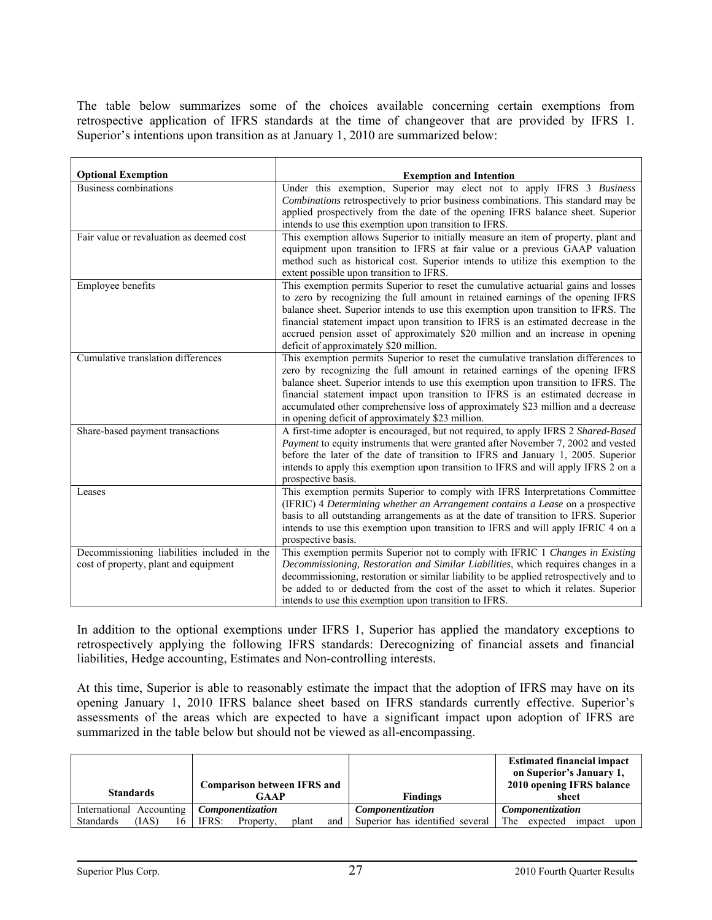The table below summarizes some of the choices available concerning certain exemptions from retrospective application of IFRS standards at the time of changeover that are provided by IFRS 1. Superior's intentions upon transition as at January 1, 2010 are summarized below:

| <b>Optional Exemption</b>                                                            | <b>Exemption and Intention</b>                                                                                                                                                                                                                                                                                                                                                                                                                                                       |
|--------------------------------------------------------------------------------------|--------------------------------------------------------------------------------------------------------------------------------------------------------------------------------------------------------------------------------------------------------------------------------------------------------------------------------------------------------------------------------------------------------------------------------------------------------------------------------------|
| Business combinations                                                                | Under this exemption, Superior may elect not to apply IFRS 3 Business<br>Combinations retrospectively to prior business combinations. This standard may be<br>applied prospectively from the date of the opening IFRS balance sheet. Superior<br>intends to use this exemption upon transition to IFRS.                                                                                                                                                                              |
| Fair value or revaluation as deemed cost                                             | This exemption allows Superior to initially measure an item of property, plant and<br>equipment upon transition to IFRS at fair value or a previous GAAP valuation<br>method such as historical cost. Superior intends to utilize this exemption to the<br>extent possible upon transition to IFRS.                                                                                                                                                                                  |
| Employee benefits                                                                    | This exemption permits Superior to reset the cumulative actuarial gains and losses<br>to zero by recognizing the full amount in retained earnings of the opening IFRS<br>balance sheet. Superior intends to use this exemption upon transition to IFRS. The<br>financial statement impact upon transition to IFRS is an estimated decrease in the<br>accrued pension asset of approximately \$20 million and an increase in opening<br>deficit of approximately \$20 million.        |
| Cumulative translation differences                                                   | This exemption permits Superior to reset the cumulative translation differences to<br>zero by recognizing the full amount in retained earnings of the opening IFRS<br>balance sheet. Superior intends to use this exemption upon transition to IFRS. The<br>financial statement impact upon transition to IFRS is an estimated decrease in<br>accumulated other comprehensive loss of approximately \$23 million and a decrease<br>in opening deficit of approximately \$23 million. |
| Share-based payment transactions                                                     | A first-time adopter is encouraged, but not required, to apply IFRS 2 Shared-Based<br>Payment to equity instruments that were granted after November 7, 2002 and vested<br>before the later of the date of transition to IFRS and January 1, 2005. Superior<br>intends to apply this exemption upon transition to IFRS and will apply IFRS 2 on a<br>prospective basis.                                                                                                              |
| Leases                                                                               | This exemption permits Superior to comply with IFRS Interpretations Committee<br>(IFRIC) 4 Determining whether an Arrangement contains a Lease on a prospective<br>basis to all outstanding arrangements as at the date of transition to IFRS. Superior<br>intends to use this exemption upon transition to IFRS and will apply IFRIC 4 on a<br>prospective basis.                                                                                                                   |
| Decommissioning liabilities included in the<br>cost of property, plant and equipment | This exemption permits Superior not to comply with IFRIC 1 Changes in Existing<br>Decommissioning, Restoration and Similar Liabilities, which requires changes in a<br>decommissioning, restoration or similar liability to be applied retrospectively and to<br>be added to or deducted from the cost of the asset to which it relates. Superior<br>intends to use this exemption upon transition to IFRS.                                                                          |

In addition to the optional exemptions under IFRS 1, Superior has applied the mandatory exceptions to retrospectively applying the following IFRS standards: Derecognizing of financial assets and financial liabilities, Hedge accounting, Estimates and Non-controlling interests.

At this time, Superior is able to reasonably estimate the impact that the adoption of IFRS may have on its opening January 1, 2010 IFRS balance sheet based on IFRS standards currently effective. Superior's assessments of the areas which are expected to have a significant impact upon adoption of IFRS are summarized in the table below but should not be viewed as all-encompassing.

| <b>Standards</b>                | <b>Comparison between IFRS and</b><br>GAAP | <b>Findings</b>                 | <b>Estimated financial impact</b><br>on Superior's January 1,<br>2010 opening IFRS balance<br>sheet |
|---------------------------------|--------------------------------------------|---------------------------------|-----------------------------------------------------------------------------------------------------|
| International Accounting        | <i><b>Componentization</b></i>             | <i>Componentization</i>         | <b>Componentization</b>                                                                             |
| <b>Standards</b><br>16<br>(IAS) | IFRS:<br>plant<br>Property.<br>and         | Superior has identified several | The<br>expected<br>impact<br>upon                                                                   |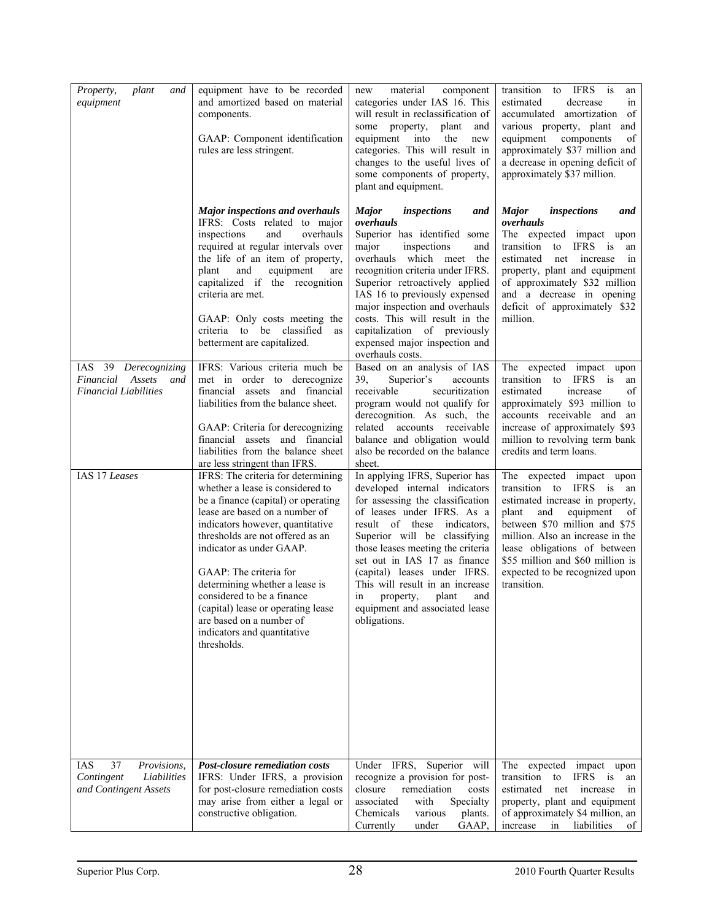| plant<br>and<br>Property,<br>equipment                                                | equipment have to be recorded<br>and amortized based on material<br>components.<br>GAAP: Component identification<br>rules are less stringent.                                                                                                                                                                                                                                                                                                                | material<br>component<br>new<br>categories under IAS 16. This<br>will result in reclassification of<br>some property,<br>plant<br>and<br>equipment<br>into<br>the<br>new<br>categories. This will result in<br>changes to the useful lives of<br>some components of property,<br>plant and equipment.                                                                                                                         | IFRS is<br>transition<br>to<br>an<br>estimated<br>decrease<br>in<br>of<br>accumulated amortization<br>various property, plant and<br>equipment<br>components<br>of<br>approximately \$37 million and<br>a decrease in opening deficit of<br>approximately \$37 million.                                              |
|---------------------------------------------------------------------------------------|---------------------------------------------------------------------------------------------------------------------------------------------------------------------------------------------------------------------------------------------------------------------------------------------------------------------------------------------------------------------------------------------------------------------------------------------------------------|-------------------------------------------------------------------------------------------------------------------------------------------------------------------------------------------------------------------------------------------------------------------------------------------------------------------------------------------------------------------------------------------------------------------------------|----------------------------------------------------------------------------------------------------------------------------------------------------------------------------------------------------------------------------------------------------------------------------------------------------------------------|
|                                                                                       | <b>Major inspections and overhauls</b><br>IFRS: Costs related to major<br>inspections<br>and<br>overhauls<br>required at regular intervals over<br>the life of an item of property,<br>equipment<br>plant<br>and<br>are<br>capitalized if the recognition<br>criteria are met.<br>GAAP: Only costs meeting the<br>criteria to be classified<br>as<br>betterment are capitalized.                                                                              | <b>Major</b><br>inspections<br>and<br>overhauls<br>Superior has identified some<br>major<br>inspections<br>and<br>overhauls which meet the<br>recognition criteria under IFRS.<br>Superior retroactively applied<br>IAS 16 to previously expensed<br>major inspection and overhauls<br>costs. This will result in the<br>capitalization of previously<br>expensed major inspection and<br>overhauls costs.                    | <b>Major</b><br>inspections<br>and<br>overhauls<br>The expected impact upon<br>transition<br>to IFRS<br>$\frac{1}{1}$<br>an<br>estimated<br>net increase<br>in<br>property, plant and equipment<br>of approximately \$32 million<br>and a decrease in opening<br>deficit of approximately \$32<br>million.           |
| IAS 39 Derecognizing<br>Financial<br>Assets<br>and<br><b>Financial Liabilities</b>    | IFRS: Various criteria much be<br>met in order to derecognize<br>financial assets and financial<br>liabilities from the balance sheet.<br>GAAP: Criteria for derecognizing<br>financial assets and financial<br>liabilities from the balance sheet<br>are less stringent than IFRS.                                                                                                                                                                           | Based on an analysis of IAS<br>39,<br>Superior's<br>accounts<br>receivable<br>securitization<br>program would not qualify for<br>derecognition. As such, the<br>accounts<br>receivable<br>related<br>balance and obligation would<br>also be recorded on the balance<br>sheet.                                                                                                                                                | The expected impact upon<br>transition to IFRS is<br>an<br>estimated<br>increase<br>of<br>approximately \$93 million to<br>accounts receivable and<br>an<br>increase of approximately \$93<br>million to revolving term bank<br>credits and term loans.                                                              |
| IAS 17 Leases                                                                         | IFRS: The criteria for determining<br>whether a lease is considered to<br>be a finance (capital) or operating<br>lease are based on a number of<br>indicators however, quantitative<br>thresholds are not offered as an<br>indicator as under GAAP.<br>GAAP: The criteria for<br>determining whether a lease is<br>considered to be a finance<br>(capital) lease or operating lease<br>are based on a number of<br>indicators and quantitative<br>thresholds. | In applying IFRS, Superior has<br>developed internal indicators<br>for assessing the classification<br>of leases under IFRS. As a<br>result of these indicators,<br>Superior will be classifying<br>those leases meeting the criteria<br>set out in IAS 17 as finance<br>(capital) leases under IFRS.<br>This will result in an increase<br>plant<br>and<br>1n<br>property,<br>equipment and associated lease<br>obligations. | The expected impact upon<br>transition to IFRS is an<br>estimated increase in property,<br>equipment<br>plant<br>and<br>of<br>between \$70 million and \$75<br>million. Also an increase in the<br>lease obligations of between<br>\$55 million and \$60 million is<br>expected to be recognized upon<br>transition. |
| 37<br><b>IAS</b><br>Provisions,<br>Contingent<br>Liabilities<br>and Contingent Assets | Post-closure remediation costs<br>IFRS: Under IFRS, a provision<br>for post-closure remediation costs<br>may arise from either a legal or<br>constructive obligation.                                                                                                                                                                                                                                                                                         | Under IFRS, Superior will<br>recognize a provision for post-<br>closure<br>remediation<br>costs<br>associated<br>with<br>Specialty<br>Chemicals<br>various<br>plants.<br>Currently<br>under<br>GAAP,                                                                                                                                                                                                                          | The<br>expected<br>impact upon<br>transition<br>to<br><b>IFRS</b><br>$\frac{1}{1}$<br>an<br>estimated<br>net<br>increase<br>in<br>property, plant and equipment<br>of approximately \$4 million, an<br>liabilities<br>increase<br>in<br>οf                                                                           |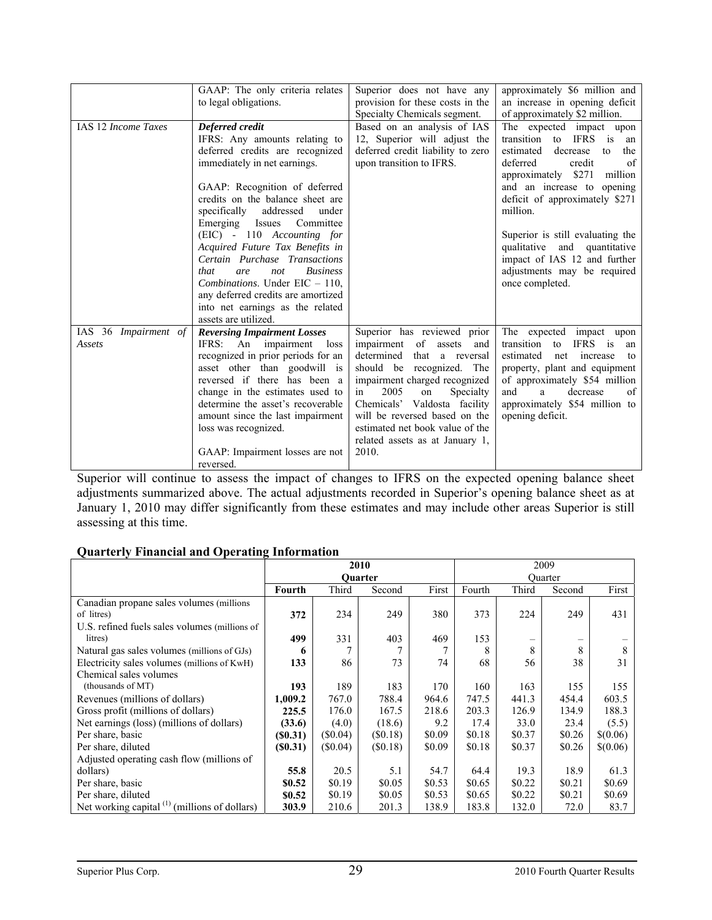|                      | GAAP: The only criteria relates       | Superior does not have any        | approximately \$6 million and      |
|----------------------|---------------------------------------|-----------------------------------|------------------------------------|
|                      | to legal obligations.                 | provision for these costs in the  | an increase in opening deficit     |
|                      |                                       | Specialty Chemicals segment.      | of approximately \$2 million.      |
| IAS 12 Income Taxes  | Deferred credit                       | Based on an analysis of IAS       | The expected impact upon           |
|                      | IFRS: Any amounts relating to         | 12, Superior will adjust the      | transition to IFRS is<br>an        |
|                      | deferred credits are recognized       | deferred credit liability to zero | estimated<br>decrease<br>the<br>to |
|                      | immediately in net earnings.          | upon transition to IFRS.          | deferred<br>credit<br>of           |
|                      |                                       |                                   | approximately \$271<br>million     |
|                      | GAAP: Recognition of deferred         |                                   | and an increase to opening         |
|                      | credits on the balance sheet are      |                                   | deficit of approximately \$271     |
|                      | specifically<br>addressed<br>under    |                                   | million.                           |
|                      |                                       |                                   |                                    |
|                      | Emerging Issues<br>Committee          |                                   |                                    |
|                      | (EIC) - 110 Accounting for            |                                   | Superior is still evaluating the   |
|                      | Acquired Future Tax Benefits in       |                                   | qualitative<br>and<br>quantitative |
|                      | Certain Purchase Transactions         |                                   | impact of IAS 12 and further       |
|                      | <b>Business</b><br>that<br>not<br>are |                                   | adjustments may be required        |
|                      | Combinations. Under EIC - 110.        |                                   | once completed.                    |
|                      | any deferred credits are amortized    |                                   |                                    |
|                      | into net earnings as the related      |                                   |                                    |
|                      | assets are utilized.                  |                                   |                                    |
| IAS 36 Impairment of | <b>Reversing Impairment Losses</b>    | Superior has reviewed prior       | The expected impact upon           |
| Assets               | IFRS: An impairment<br>loss           | impairment<br>of<br>assets<br>and | transition to<br>IFRS is<br>an     |
|                      | recognized in prior periods for an    | determined<br>that a reversal     | estimated<br>increase<br>net<br>to |
|                      | asset other than goodwill is          | should be recognized.<br>The      | property, plant and equipment      |
|                      | reversed if there has been a          |                                   |                                    |
|                      |                                       | impairment charged recognized     | of approximately \$54 million      |
|                      | change in the estimates used to       | 2005<br>in<br>Specialty<br>on     | and<br>a<br>decrease<br>of         |
|                      | determine the asset's recoverable     | Chemicals' Valdosta facility      | approximately \$54 million to      |
|                      | amount since the last impairment      | will be reversed based on the     | opening deficit.                   |
|                      | loss was recognized.                  | estimated net book value of the   |                                    |
|                      |                                       | related assets as at January 1,   |                                    |
|                      | GAAP: Impairment losses are not       | 2010.                             |                                    |
|                      | reversed.                             |                                   |                                    |

Superior will continue to assess the impact of changes to IFRS on the expected opening balance sheet adjustments summarized above. The actual adjustments recorded in Superior's opening balance sheet as at January 1, 2010 may differ significantly from these estimates and may include other areas Superior is still assessing at this time.

### **Quarterly Financial and Operating Information**

|                                                 | 2010           |            |            | 2009    |        |        |        |          |
|-------------------------------------------------|----------------|------------|------------|---------|--------|--------|--------|----------|
|                                                 | <b>Ouarter</b> |            |            | Ouarter |        |        |        |          |
|                                                 | Fourth         | Third      | Second     | First   | Fourth | Third  | Second | First    |
| Canadian propane sales volumes (millions)       |                |            |            |         |        |        |        |          |
| of litres)                                      | 372            | 234        | 249        | 380     | 373    | 224    | 249    | 431      |
| U.S. refined fuels sales volumes (millions of   |                |            |            |         |        |        |        |          |
| litres)                                         | 499            | 331        | 403        | 469     | 153    |        |        |          |
| Natural gas sales volumes (millions of GJs)     | 6              |            |            |         | 8      | 8      | 8      | 8        |
| Electricity sales volumes (millions of KwH)     | 133            | 86         | 73         | 74      | 68     | 56     | 38     | 31       |
| Chemical sales volumes                          |                |            |            |         |        |        |        |          |
| (thousands of MT)                               | 193            | 189        | 183        | 170     | 160    | 163    | 155    | 155      |
| Revenues (millions of dollars)                  | 1,009.2        | 767.0      | 788.4      | 964.6   | 747.5  | 441.3  | 454.4  | 603.5    |
| Gross profit (millions of dollars)              | 225.5          | 176.0      | 167.5      | 218.6   | 203.3  | 126.9  | 134.9  | 188.3    |
| Net earnings (loss) (millions of dollars)       | (33.6)         | (4.0)      | (18.6)     | 9.2     | 17.4   | 33.0   | 23.4   | (5.5)    |
| Per share, basic                                | (S0.31)        | (S0.04)    | $(\$0.18)$ | \$0.09  | \$0.18 | \$0.37 | \$0.26 | \$(0.06) |
| Per share, diluted                              | (S0.31)        | $(\$0.04)$ | $(\$0.18)$ | \$0.09  | \$0.18 | \$0.37 | \$0.26 | \$(0.06) |
| Adjusted operating cash flow (millions of       |                |            |            |         |        |        |        |          |
| dollars)                                        | 55.8           | 20.5       | 5.1        | 54.7    | 64.4   | 19.3   | 18.9   | 61.3     |
| Per share, basic                                | \$0.52         | \$0.19     | \$0.05     | \$0.53  | \$0.65 | \$0.22 | \$0.21 | \$0.69   |
| Per share, diluted                              | \$0.52         | \$0.19     | \$0.05     | \$0.53  | \$0.65 | \$0.22 | \$0.21 | \$0.69   |
| Net working capital $(1)$ (millions of dollars) | 303.9          | 210.6      | 201.3      | 138.9   | 183.8  | 132.0  | 72.0   | 83.7     |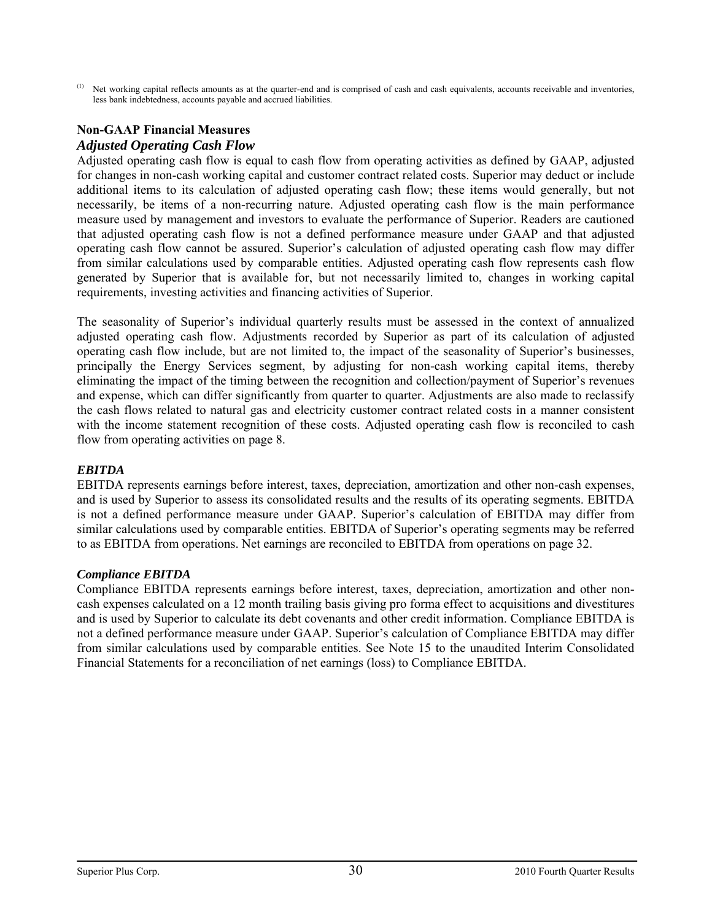(1) Net working capital reflects amounts as at the quarter-end and is comprised of cash and cash equivalents, accounts receivable and inventories, less bank indebtedness, accounts payable and accrued liabilities.

### **Non-GAAP Financial Measures**  *Adjusted Operating Cash Flow*

Adjusted operating cash flow is equal to cash flow from operating activities as defined by GAAP, adjusted for changes in non-cash working capital and customer contract related costs. Superior may deduct or include additional items to its calculation of adjusted operating cash flow; these items would generally, but not necessarily, be items of a non-recurring nature. Adjusted operating cash flow is the main performance measure used by management and investors to evaluate the performance of Superior. Readers are cautioned that adjusted operating cash flow is not a defined performance measure under GAAP and that adjusted operating cash flow cannot be assured. Superior's calculation of adjusted operating cash flow may differ from similar calculations used by comparable entities. Adjusted operating cash flow represents cash flow generated by Superior that is available for, but not necessarily limited to, changes in working capital requirements, investing activities and financing activities of Superior.

The seasonality of Superior's individual quarterly results must be assessed in the context of annualized adjusted operating cash flow. Adjustments recorded by Superior as part of its calculation of adjusted operating cash flow include, but are not limited to, the impact of the seasonality of Superior's businesses, principally the Energy Services segment, by adjusting for non-cash working capital items, thereby eliminating the impact of the timing between the recognition and collection/payment of Superior's revenues and expense, which can differ significantly from quarter to quarter. Adjustments are also made to reclassify the cash flows related to natural gas and electricity customer contract related costs in a manner consistent with the income statement recognition of these costs. Adjusted operating cash flow is reconciled to cash flow from operating activities on page 8.

## *EBITDA*

EBITDA represents earnings before interest, taxes, depreciation, amortization and other non-cash expenses, and is used by Superior to assess its consolidated results and the results of its operating segments. EBITDA is not a defined performance measure under GAAP. Superior's calculation of EBITDA may differ from similar calculations used by comparable entities. EBITDA of Superior's operating segments may be referred to as EBITDA from operations. Net earnings are reconciled to EBITDA from operations on page 32.

### *Compliance EBITDA*

Compliance EBITDA represents earnings before interest, taxes, depreciation, amortization and other noncash expenses calculated on a 12 month trailing basis giving pro forma effect to acquisitions and divestitures and is used by Superior to calculate its debt covenants and other credit information. Compliance EBITDA is not a defined performance measure under GAAP. Superior's calculation of Compliance EBITDA may differ from similar calculations used by comparable entities. See Note 15 to the unaudited Interim Consolidated Financial Statements for a reconciliation of net earnings (loss) to Compliance EBITDA.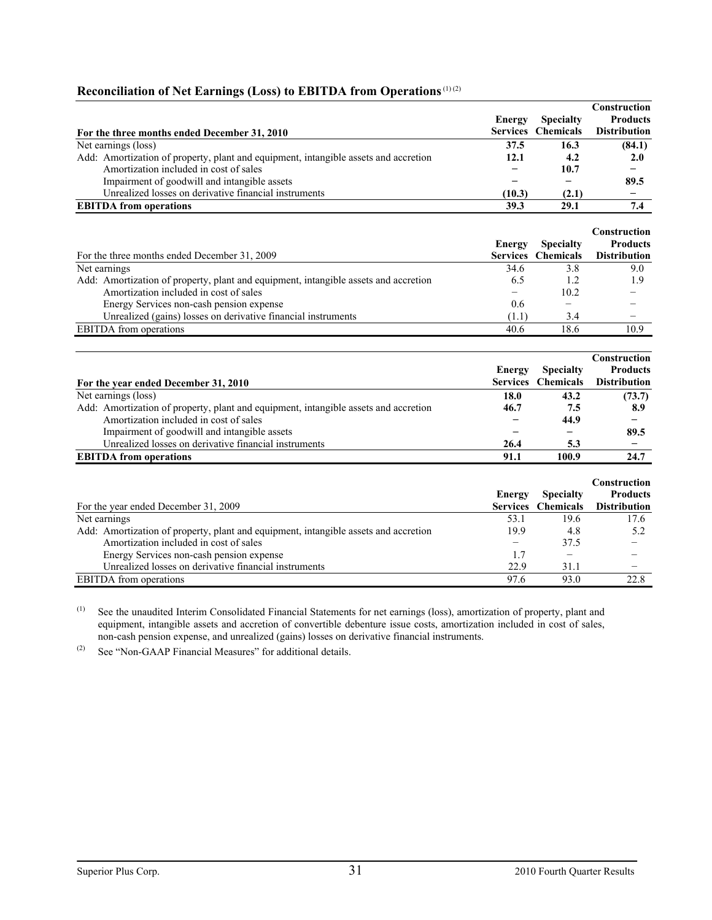| For the three months ended December 31, 2010                                        | <b>Energy</b><br><b>Services</b> | <b>Specialty</b><br>Chemicals                 | Construction<br><b>Products</b><br><b>Distribution</b> |
|-------------------------------------------------------------------------------------|----------------------------------|-----------------------------------------------|--------------------------------------------------------|
| Net earnings (loss)                                                                 | 37.5                             | 16.3                                          | (84.1)                                                 |
| Add: Amortization of property, plant and equipment, intangible assets and accretion | 12.1                             | 4.2                                           | 2.0                                                    |
| Amortization included in cost of sales                                              |                                  | 10.7                                          |                                                        |
| Impairment of goodwill and intangible assets                                        |                                  | -                                             | 89.5                                                   |
| Unrealized losses on derivative financial instruments                               | (10.3)                           | (2.1)                                         |                                                        |
| <b>EBITDA</b> from operations                                                       | 39.3                             | 29.1                                          | 7.4                                                    |
| For the three months ended December 31, 2009                                        | <b>Energy</b><br><b>Services</b> | <b>Specialty</b><br><b>Chemicals</b>          | Construction<br><b>Products</b><br><b>Distribution</b> |
| Net earnings                                                                        | 34.6                             | 3.8                                           | 9.0                                                    |
| Add: Amortization of property, plant and equipment, intangible assets and accretion | 6.5                              | 1.2                                           | 1.9                                                    |
| Amortization included in cost of sales                                              | $\equiv$                         | 10.2                                          |                                                        |
| Energy Services non-cash pension expense                                            | 0.6                              | $\overline{\phantom{0}}$                      |                                                        |
| Unrealized (gains) losses on derivative financial instruments                       | (1.1)                            | 3.4                                           |                                                        |
| <b>EBITDA</b> from operations                                                       | 40.6                             | 18.6                                          | 10.9                                                   |
| For the year ended December 31, 2010                                                | Energy<br><b>Services</b>        | <b>Specialty</b><br><b>Chemicals</b>          | Construction<br><b>Products</b><br><b>Distribution</b> |
| Net earnings (loss)                                                                 | 18.0                             | 43.2                                          | (73.7)                                                 |
| Add: Amortization of property, plant and equipment, intangible assets and accretion | 46.7                             | 7.5                                           | 8.9                                                    |
| Amortization included in cost of sales                                              | $\overline{\phantom{0}}$         | 44.9                                          |                                                        |
| Impairment of goodwill and intangible assets                                        |                                  |                                               | 89.5                                                   |
| Unrealized losses on derivative financial instruments                               | 26.4                             | 5.3                                           |                                                        |
| <b>EBITDA</b> from operations                                                       | 91.1                             | 100.9                                         | 24.7                                                   |
| For the year ended December 31, 2009                                                | Energy                           | <b>Specialty</b><br><b>Services</b> Chemicals | Construction<br><b>Products</b><br><b>Distribution</b> |
| Net earnings                                                                        | 53.1                             | 19.6                                          | 17.6                                                   |
| Add: Amortization of property, plant and equipment, intangible assets and accretion | 19.9                             | 4.8                                           | 5.2                                                    |
| Amortization included in cost of sales                                              | $\overline{\phantom{0}}$         | 37.5                                          |                                                        |
| Energy Services non-cash pension expense                                            | 1.7                              | $\overline{\phantom{0}}$                      |                                                        |
| Unrealized losses on derivative financial instruments                               | 22.9                             | 31.1                                          |                                                        |
|                                                                                     |                                  |                                               |                                                        |

### **Reconciliation of Net Earnings (Loss) to EBITDA from Operations** (1) (2)

(1) See the unaudited Interim Consolidated Financial Statements for net earnings (loss), amortization of property, plant and equipment, intangible assets and accretion of convertible debenture issue costs, amortization included in cost of sales, non-cash pension expense, and unrealized (gains) losses on derivative financial instruments.

(2) See "Non-GAAP Financial Measures" for additional details.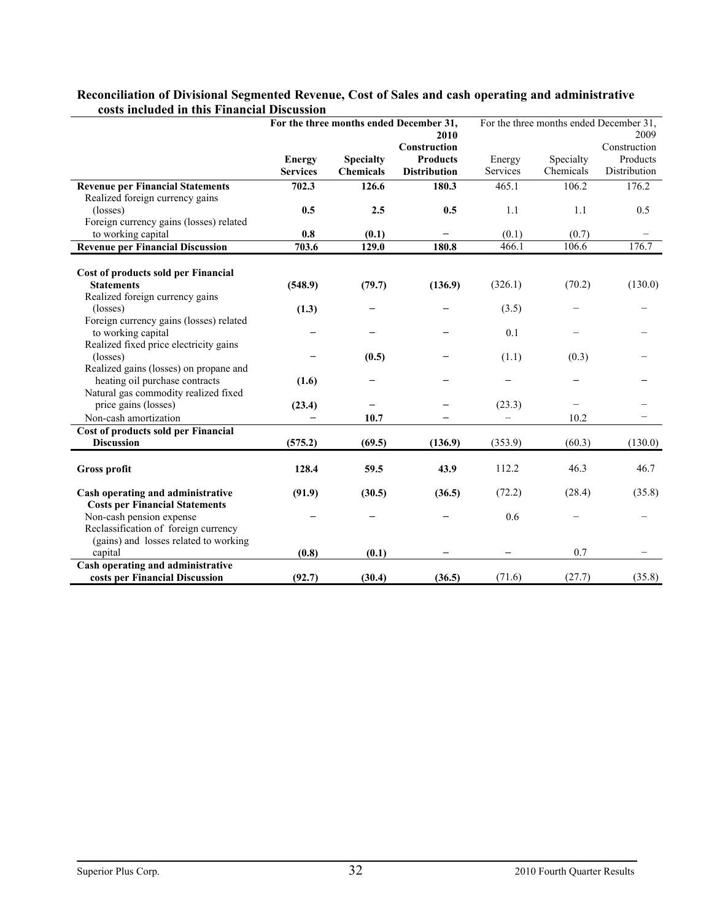| соэгэ нісіййсй ні типэ і інансіат Discussion             |                 |                  | For the three months ended December 31, |          | For the three months ended December 31, |                      |
|----------------------------------------------------------|-----------------|------------------|-----------------------------------------|----------|-----------------------------------------|----------------------|
|                                                          |                 |                  | 2010<br>Construction                    |          |                                         | 2009<br>Construction |
|                                                          | <b>Energy</b>   | <b>Specialty</b> | <b>Products</b>                         | Energy   | Specialty                               | Products             |
|                                                          | <b>Services</b> | <b>Chemicals</b> | <b>Distribution</b>                     | Services | Chemicals                               | Distribution         |
| <b>Revenue per Financial Statements</b>                  | 702.3           | 126.6            | 180.3                                   | 465.1    | 106.2                                   | 176.2                |
| Realized foreign currency gains                          |                 |                  |                                         |          |                                         |                      |
| (losses)                                                 | 0.5             | 2.5              | 0.5                                     | 1.1      | 1.1                                     | 0.5                  |
| Foreign currency gains (losses) related                  |                 |                  |                                         |          |                                         |                      |
| to working capital                                       | 0.8             | (0.1)            |                                         | (0.1)    | (0.7)                                   |                      |
| <b>Revenue per Financial Discussion</b>                  | 703.6           | 129.0            | 180.8                                   | 466.1    | 106.6                                   | 176.7                |
|                                                          |                 |                  |                                         |          |                                         |                      |
| Cost of products sold per Financial                      |                 |                  |                                         |          |                                         |                      |
| <b>Statements</b>                                        | (548.9)         | (79.7)           | (136.9)                                 | (326.1)  | (70.2)                                  | (130.0)              |
| Realized foreign currency gains                          |                 |                  |                                         |          |                                         |                      |
| (losses)                                                 | (1.3)           |                  |                                         | (3.5)    |                                         |                      |
| Foreign currency gains (losses) related                  |                 |                  |                                         |          |                                         |                      |
| to working capital                                       |                 |                  |                                         | 0.1      |                                         |                      |
| Realized fixed price electricity gains                   |                 |                  |                                         |          |                                         |                      |
| $(\text{losses})$                                        |                 | (0.5)            |                                         | (1.1)    | (0.3)                                   |                      |
| Realized gains (losses) on propane and                   |                 |                  |                                         |          |                                         |                      |
| heating oil purchase contracts                           | (1.6)           |                  |                                         |          |                                         |                      |
| Natural gas commodity realized fixed                     |                 |                  |                                         |          |                                         |                      |
| price gains (losses)                                     | (23.4)          |                  |                                         | (23.3)   |                                         |                      |
| Non-cash amortization                                    |                 | 10.7             |                                         |          | 10.2                                    |                      |
| Cost of products sold per Financial<br><b>Discussion</b> | (575.2)         | (69.5)           | (136.9)                                 | (353.9)  | (60.3)                                  | (130.0)              |
|                                                          |                 |                  |                                         |          |                                         |                      |
| <b>Gross profit</b>                                      | 128.4           | 59.5             | 43.9                                    | 112.2    | 46.3                                    | 46.7                 |
|                                                          |                 |                  |                                         |          |                                         |                      |
| Cash operating and administrative                        | (91.9)          | (30.5)           | (36.5)                                  | (72.2)   | (28.4)                                  | (35.8)               |
| <b>Costs per Financial Statements</b>                    |                 |                  |                                         |          |                                         |                      |
| Non-cash pension expense                                 |                 |                  |                                         | 0.6      |                                         |                      |
| Reclassification of foreign currency                     |                 |                  |                                         |          |                                         |                      |
| (gains) and losses related to working<br>capital         | (0.8)           | (0.1)            |                                         |          | 0.7                                     |                      |
| Cash operating and administrative                        |                 |                  |                                         |          |                                         |                      |
| costs per Financial Discussion                           | (92.7)          | (30.4)           | (36.5)                                  | (71.6)   | (27.7)                                  | (35.8)               |
|                                                          |                 |                  |                                         |          |                                         |                      |

#### **Reconciliation of Divisional Segmented Revenue, Cost of Sales and cash operating and administrative costs included in this Financial Discussion**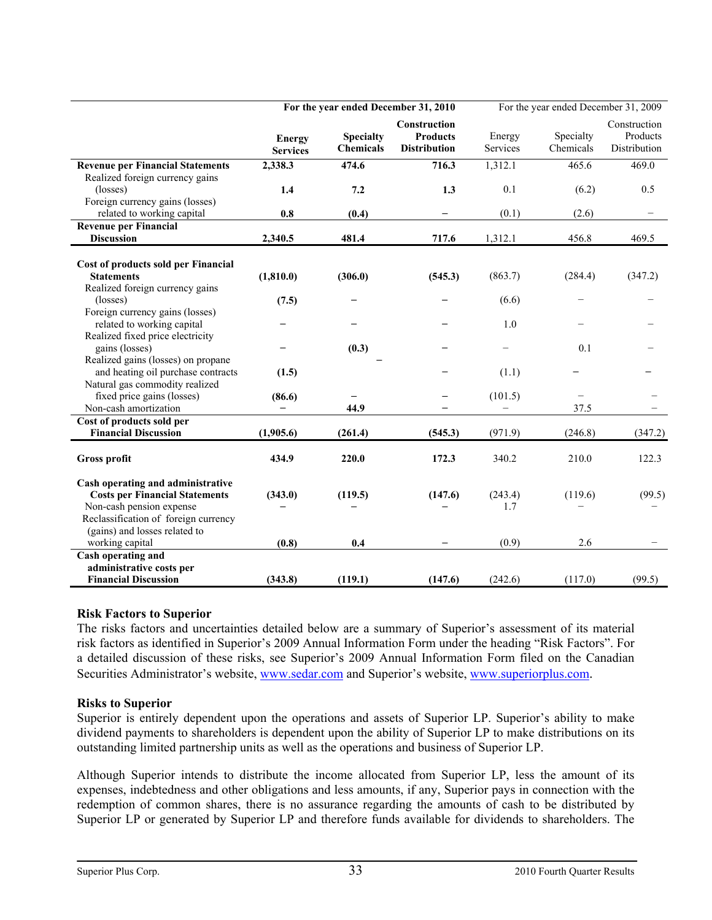|                                                                                                                                                | For the year ended December 31, 2010 |                                      |                                                               | For the year ended December 31, 2009 |                        |                                          |
|------------------------------------------------------------------------------------------------------------------------------------------------|--------------------------------------|--------------------------------------|---------------------------------------------------------------|--------------------------------------|------------------------|------------------------------------------|
|                                                                                                                                                | <b>Energy</b><br><b>Services</b>     | <b>Specialty</b><br><b>Chemicals</b> | <b>Construction</b><br><b>Products</b><br><b>Distribution</b> | Energy<br>Services                   | Specialty<br>Chemicals | Construction<br>Products<br>Distribution |
| <b>Revenue per Financial Statements</b>                                                                                                        | 2,338.3                              | 474.6                                | 716.3                                                         | 1,312.1                              | 465.6                  | 469.0                                    |
| Realized foreign currency gains<br>(losses)<br>Foreign currency gains (losses)                                                                 | 1.4                                  | 7.2                                  | 1.3                                                           | 0.1                                  | (6.2)                  | 0.5                                      |
| related to working capital                                                                                                                     | 0.8                                  | (0.4)                                |                                                               | (0.1)                                | (2.6)                  |                                          |
| Revenue per Financial                                                                                                                          |                                      |                                      |                                                               |                                      |                        |                                          |
| <b>Discussion</b>                                                                                                                              | 2,340.5                              | 481.4                                | 717.6                                                         | 1,312.1                              | 456.8                  | 469.5                                    |
| Cost of products sold per Financial<br><b>Statements</b><br>Realized foreign currency gains                                                    | (1,810.0)                            | (306.0)                              | (545.3)                                                       | (863.7)                              | (284.4)                | (347.2)                                  |
| $(\text{losses})$                                                                                                                              | (7.5)                                |                                      |                                                               | (6.6)                                |                        |                                          |
| Foreign currency gains (losses)<br>related to working capital<br>Realized fixed price electricity                                              |                                      |                                      |                                                               | 1.0                                  |                        |                                          |
| gains (losses)                                                                                                                                 | $\overline{\phantom{0}}$             | (0.3)                                |                                                               |                                      | 0.1                    |                                          |
| Realized gains (losses) on propane<br>and heating oil purchase contracts<br>Natural gas commodity realized                                     | (1.5)                                |                                      |                                                               | (1.1)                                |                        |                                          |
| fixed price gains (losses)                                                                                                                     | (86.6)                               |                                      |                                                               | (101.5)                              |                        |                                          |
| Non-cash amortization                                                                                                                          |                                      | 44.9                                 |                                                               |                                      | 37.5                   |                                          |
| Cost of products sold per<br><b>Financial Discussion</b>                                                                                       | (1,905.6)                            | (261.4)                              | (545.3)                                                       | (971.9)                              | (246.8)                | (347.2)                                  |
| <b>Gross profit</b>                                                                                                                            | 434.9                                | 220.0                                | 172.3                                                         | 340.2                                | 210.0                  | 122.3                                    |
| Cash operating and administrative<br><b>Costs per Financial Statements</b><br>Non-cash pension expense<br>Reclassification of foreign currency | (343.0)                              | (119.5)                              | (147.6)                                                       | (243.4)<br>1.7                       | (119.6)                | (99.5)                                   |
| (gains) and losses related to<br>working capital                                                                                               | (0.8)                                | 0.4                                  |                                                               | (0.9)                                | 2.6                    |                                          |
| Cash operating and                                                                                                                             |                                      |                                      |                                                               |                                      |                        |                                          |
| administrative costs per                                                                                                                       |                                      |                                      |                                                               |                                      |                        |                                          |
| <b>Financial Discussion</b>                                                                                                                    | (343.8)                              | (119.1)                              | (147.6)                                                       | (242.6)                              | (117.0)                | (99.5)                                   |

#### **Risk Factors to Superior**

The risks factors and uncertainties detailed below are a summary of Superior's assessment of its material risk factors as identified in Superior's 2009 Annual Information Form under the heading "Risk Factors". For a detailed discussion of these risks, see Superior's 2009 Annual Information Form filed on the Canadian Securities Administrator's website, www.sedar.com and Superior's website, www.superiorplus.com.

#### **Risks to Superior**

Superior is entirely dependent upon the operations and assets of Superior LP. Superior's ability to make dividend payments to shareholders is dependent upon the ability of Superior LP to make distributions on its outstanding limited partnership units as well as the operations and business of Superior LP.

Although Superior intends to distribute the income allocated from Superior LP, less the amount of its expenses, indebtedness and other obligations and less amounts, if any, Superior pays in connection with the redemption of common shares, there is no assurance regarding the amounts of cash to be distributed by Superior LP or generated by Superior LP and therefore funds available for dividends to shareholders. The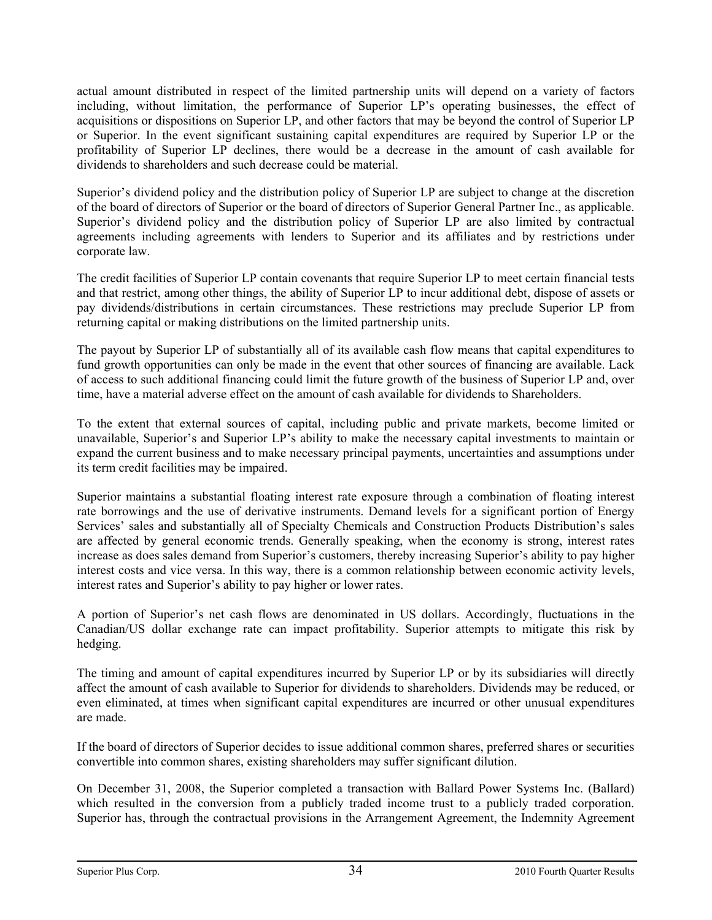actual amount distributed in respect of the limited partnership units will depend on a variety of factors including, without limitation, the performance of Superior LP's operating businesses, the effect of acquisitions or dispositions on Superior LP, and other factors that may be beyond the control of Superior LP or Superior. In the event significant sustaining capital expenditures are required by Superior LP or the profitability of Superior LP declines, there would be a decrease in the amount of cash available for dividends to shareholders and such decrease could be material.

Superior's dividend policy and the distribution policy of Superior LP are subject to change at the discretion of the board of directors of Superior or the board of directors of Superior General Partner Inc., as applicable. Superior's dividend policy and the distribution policy of Superior LP are also limited by contractual agreements including agreements with lenders to Superior and its affiliates and by restrictions under corporate law.

The credit facilities of Superior LP contain covenants that require Superior LP to meet certain financial tests and that restrict, among other things, the ability of Superior LP to incur additional debt, dispose of assets or pay dividends/distributions in certain circumstances. These restrictions may preclude Superior LP from returning capital or making distributions on the limited partnership units.

The payout by Superior LP of substantially all of its available cash flow means that capital expenditures to fund growth opportunities can only be made in the event that other sources of financing are available. Lack of access to such additional financing could limit the future growth of the business of Superior LP and, over time, have a material adverse effect on the amount of cash available for dividends to Shareholders.

To the extent that external sources of capital, including public and private markets, become limited or unavailable, Superior's and Superior LP's ability to make the necessary capital investments to maintain or expand the current business and to make necessary principal payments, uncertainties and assumptions under its term credit facilities may be impaired.

Superior maintains a substantial floating interest rate exposure through a combination of floating interest rate borrowings and the use of derivative instruments. Demand levels for a significant portion of Energy Services' sales and substantially all of Specialty Chemicals and Construction Products Distribution's sales are affected by general economic trends. Generally speaking, when the economy is strong, interest rates increase as does sales demand from Superior's customers, thereby increasing Superior's ability to pay higher interest costs and vice versa. In this way, there is a common relationship between economic activity levels, interest rates and Superior's ability to pay higher or lower rates.

A portion of Superior's net cash flows are denominated in US dollars. Accordingly, fluctuations in the Canadian/US dollar exchange rate can impact profitability. Superior attempts to mitigate this risk by hedging.

The timing and amount of capital expenditures incurred by Superior LP or by its subsidiaries will directly affect the amount of cash available to Superior for dividends to shareholders. Dividends may be reduced, or even eliminated, at times when significant capital expenditures are incurred or other unusual expenditures are made.

If the board of directors of Superior decides to issue additional common shares, preferred shares or securities convertible into common shares, existing shareholders may suffer significant dilution.

On December 31, 2008, the Superior completed a transaction with Ballard Power Systems Inc. (Ballard) which resulted in the conversion from a publicly traded income trust to a publicly traded corporation. Superior has, through the contractual provisions in the Arrangement Agreement, the Indemnity Agreement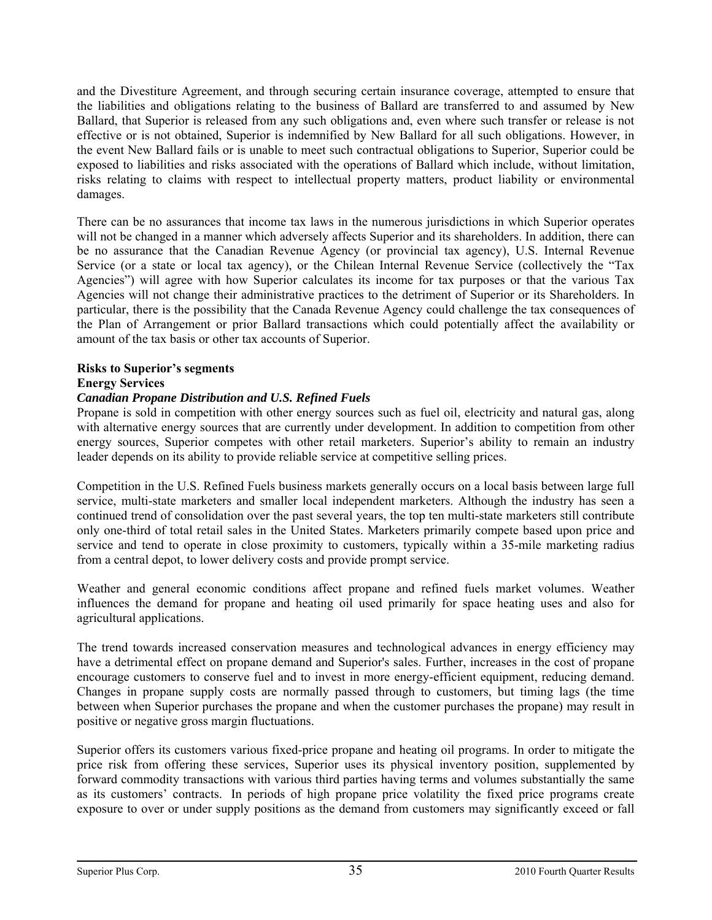and the Divestiture Agreement, and through securing certain insurance coverage, attempted to ensure that the liabilities and obligations relating to the business of Ballard are transferred to and assumed by New Ballard, that Superior is released from any such obligations and, even where such transfer or release is not effective or is not obtained, Superior is indemnified by New Ballard for all such obligations. However, in the event New Ballard fails or is unable to meet such contractual obligations to Superior, Superior could be exposed to liabilities and risks associated with the operations of Ballard which include, without limitation, risks relating to claims with respect to intellectual property matters, product liability or environmental damages.

There can be no assurances that income tax laws in the numerous jurisdictions in which Superior operates will not be changed in a manner which adversely affects Superior and its shareholders. In addition, there can be no assurance that the Canadian Revenue Agency (or provincial tax agency), U.S. Internal Revenue Service (or a state or local tax agency), or the Chilean Internal Revenue Service (collectively the "Tax Agencies") will agree with how Superior calculates its income for tax purposes or that the various Tax Agencies will not change their administrative practices to the detriment of Superior or its Shareholders. In particular, there is the possibility that the Canada Revenue Agency could challenge the tax consequences of the Plan of Arrangement or prior Ballard transactions which could potentially affect the availability or amount of the tax basis or other tax accounts of Superior.

# **Risks to Superior's segments**

# **Energy Services**

### *Canadian Propane Distribution and U.S. Refined Fuels*

Propane is sold in competition with other energy sources such as fuel oil, electricity and natural gas, along with alternative energy sources that are currently under development. In addition to competition from other energy sources, Superior competes with other retail marketers. Superior's ability to remain an industry leader depends on its ability to provide reliable service at competitive selling prices.

Competition in the U.S. Refined Fuels business markets generally occurs on a local basis between large full service, multi-state marketers and smaller local independent marketers. Although the industry has seen a continued trend of consolidation over the past several years, the top ten multi-state marketers still contribute only one-third of total retail sales in the United States. Marketers primarily compete based upon price and service and tend to operate in close proximity to customers, typically within a 35-mile marketing radius from a central depot, to lower delivery costs and provide prompt service.

Weather and general economic conditions affect propane and refined fuels market volumes. Weather influences the demand for propane and heating oil used primarily for space heating uses and also for agricultural applications.

The trend towards increased conservation measures and technological advances in energy efficiency may have a detrimental effect on propane demand and Superior's sales. Further, increases in the cost of propane encourage customers to conserve fuel and to invest in more energy-efficient equipment, reducing demand. Changes in propane supply costs are normally passed through to customers, but timing lags (the time between when Superior purchases the propane and when the customer purchases the propane) may result in positive or negative gross margin fluctuations.

Superior offers its customers various fixed-price propane and heating oil programs. In order to mitigate the price risk from offering these services, Superior uses its physical inventory position, supplemented by forward commodity transactions with various third parties having terms and volumes substantially the same as its customers' contracts. In periods of high propane price volatility the fixed price programs create exposure to over or under supply positions as the demand from customers may significantly exceed or fall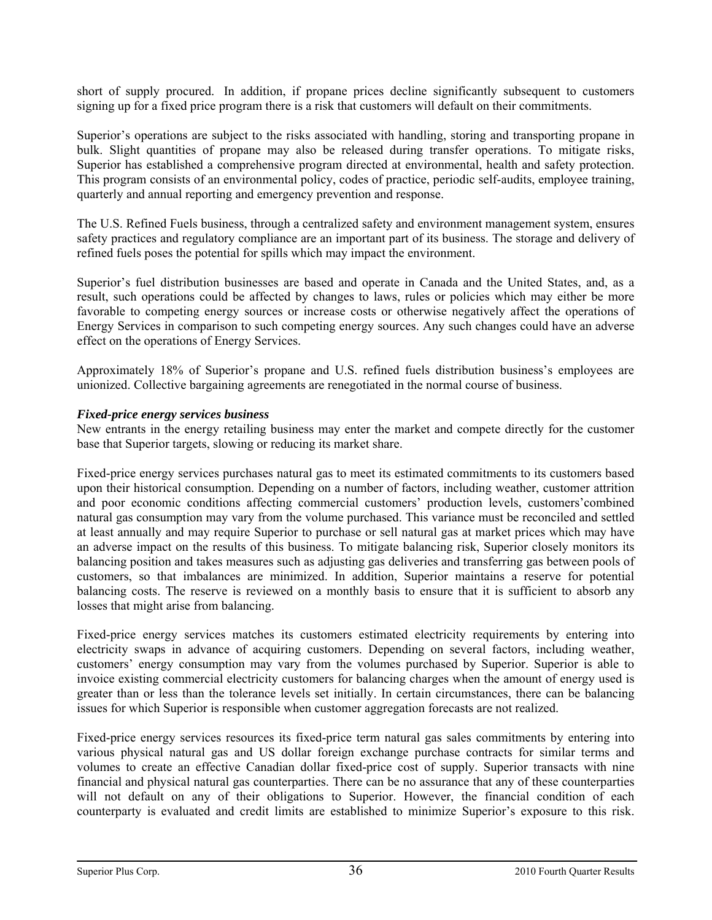short of supply procured. In addition, if propane prices decline significantly subsequent to customers signing up for a fixed price program there is a risk that customers will default on their commitments.

Superior's operations are subject to the risks associated with handling, storing and transporting propane in bulk. Slight quantities of propane may also be released during transfer operations. To mitigate risks, Superior has established a comprehensive program directed at environmental, health and safety protection. This program consists of an environmental policy, codes of practice, periodic self-audits, employee training, quarterly and annual reporting and emergency prevention and response.

The U.S. Refined Fuels business, through a centralized safety and environment management system, ensures safety practices and regulatory compliance are an important part of its business. The storage and delivery of refined fuels poses the potential for spills which may impact the environment.

Superior's fuel distribution businesses are based and operate in Canada and the United States, and, as a result, such operations could be affected by changes to laws, rules or policies which may either be more favorable to competing energy sources or increase costs or otherwise negatively affect the operations of Energy Services in comparison to such competing energy sources. Any such changes could have an adverse effect on the operations of Energy Services.

Approximately 18% of Superior's propane and U.S. refined fuels distribution business's employees are unionized. Collective bargaining agreements are renegotiated in the normal course of business.

### *Fixed-price energy services business*

New entrants in the energy retailing business may enter the market and compete directly for the customer base that Superior targets, slowing or reducing its market share.

Fixed-price energy services purchases natural gas to meet its estimated commitments to its customers based upon their historical consumption. Depending on a number of factors, including weather, customer attrition and poor economic conditions affecting commercial customers' production levels, customers'combined natural gas consumption may vary from the volume purchased. This variance must be reconciled and settled at least annually and may require Superior to purchase or sell natural gas at market prices which may have an adverse impact on the results of this business. To mitigate balancing risk, Superior closely monitors its balancing position and takes measures such as adjusting gas deliveries and transferring gas between pools of customers, so that imbalances are minimized. In addition, Superior maintains a reserve for potential balancing costs. The reserve is reviewed on a monthly basis to ensure that it is sufficient to absorb any losses that might arise from balancing.

Fixed-price energy services matches its customers estimated electricity requirements by entering into electricity swaps in advance of acquiring customers. Depending on several factors, including weather, customers' energy consumption may vary from the volumes purchased by Superior. Superior is able to invoice existing commercial electricity customers for balancing charges when the amount of energy used is greater than or less than the tolerance levels set initially. In certain circumstances, there can be balancing issues for which Superior is responsible when customer aggregation forecasts are not realized.

Fixed-price energy services resources its fixed-price term natural gas sales commitments by entering into various physical natural gas and US dollar foreign exchange purchase contracts for similar terms and volumes to create an effective Canadian dollar fixed-price cost of supply. Superior transacts with nine financial and physical natural gas counterparties. There can be no assurance that any of these counterparties will not default on any of their obligations to Superior. However, the financial condition of each counterparty is evaluated and credit limits are established to minimize Superior's exposure to this risk.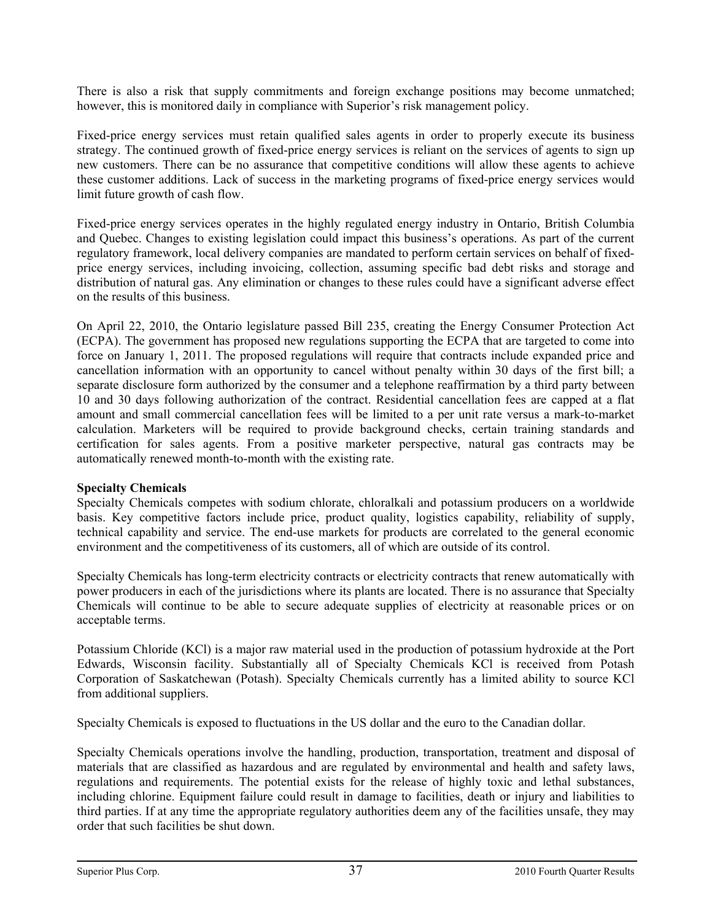There is also a risk that supply commitments and foreign exchange positions may become unmatched; however, this is monitored daily in compliance with Superior's risk management policy.

Fixed-price energy services must retain qualified sales agents in order to properly execute its business strategy. The continued growth of fixed-price energy services is reliant on the services of agents to sign up new customers. There can be no assurance that competitive conditions will allow these agents to achieve these customer additions. Lack of success in the marketing programs of fixed-price energy services would limit future growth of cash flow.

Fixed-price energy services operates in the highly regulated energy industry in Ontario, British Columbia and Quebec. Changes to existing legislation could impact this business's operations. As part of the current regulatory framework, local delivery companies are mandated to perform certain services on behalf of fixedprice energy services, including invoicing, collection, assuming specific bad debt risks and storage and distribution of natural gas. Any elimination or changes to these rules could have a significant adverse effect on the results of this business.

On April 22, 2010, the Ontario legislature passed Bill 235, creating the Energy Consumer Protection Act (ECPA). The government has proposed new regulations supporting the ECPA that are targeted to come into force on January 1, 2011. The proposed regulations will require that contracts include expanded price and cancellation information with an opportunity to cancel without penalty within 30 days of the first bill; a separate disclosure form authorized by the consumer and a telephone reaffirmation by a third party between 10 and 30 days following authorization of the contract. Residential cancellation fees are capped at a flat amount and small commercial cancellation fees will be limited to a per unit rate versus a mark-to-market calculation. Marketers will be required to provide background checks, certain training standards and certification for sales agents. From a positive marketer perspective, natural gas contracts may be automatically renewed month-to-month with the existing rate.

### **Specialty Chemicals**

Specialty Chemicals competes with sodium chlorate, chloralkali and potassium producers on a worldwide basis. Key competitive factors include price, product quality, logistics capability, reliability of supply, technical capability and service. The end-use markets for products are correlated to the general economic environment and the competitiveness of its customers, all of which are outside of its control.

Specialty Chemicals has long-term electricity contracts or electricity contracts that renew automatically with power producers in each of the jurisdictions where its plants are located. There is no assurance that Specialty Chemicals will continue to be able to secure adequate supplies of electricity at reasonable prices or on acceptable terms.

Potassium Chloride (KCl) is a major raw material used in the production of potassium hydroxide at the Port Edwards, Wisconsin facility. Substantially all of Specialty Chemicals KCl is received from Potash Corporation of Saskatchewan (Potash). Specialty Chemicals currently has a limited ability to source KCl from additional suppliers.

Specialty Chemicals is exposed to fluctuations in the US dollar and the euro to the Canadian dollar.

Specialty Chemicals operations involve the handling, production, transportation, treatment and disposal of materials that are classified as hazardous and are regulated by environmental and health and safety laws, regulations and requirements. The potential exists for the release of highly toxic and lethal substances, including chlorine. Equipment failure could result in damage to facilities, death or injury and liabilities to third parties. If at any time the appropriate regulatory authorities deem any of the facilities unsafe, they may order that such facilities be shut down.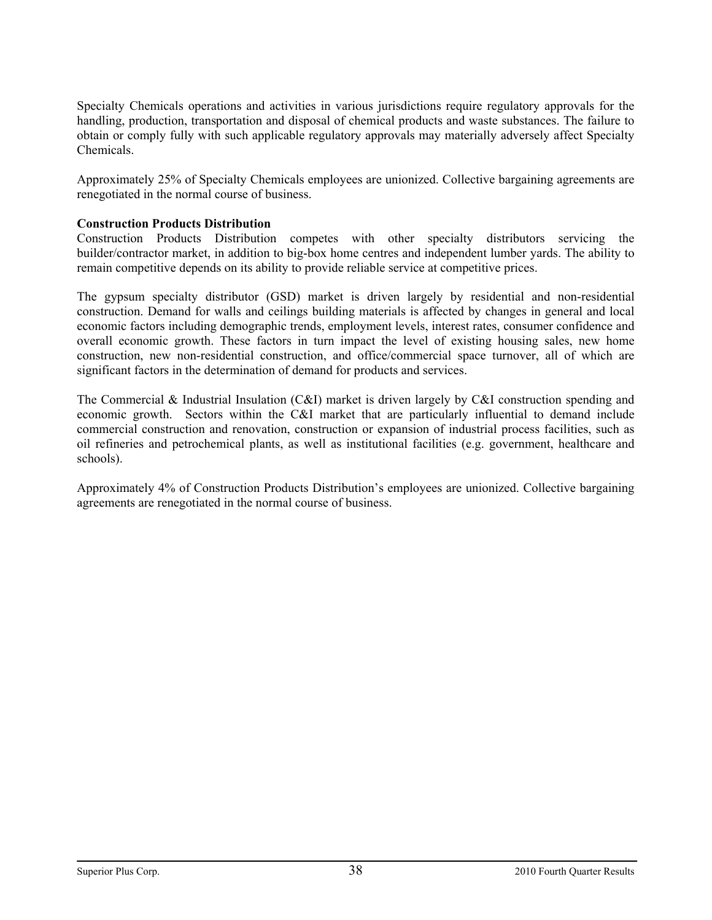Specialty Chemicals operations and activities in various jurisdictions require regulatory approvals for the handling, production, transportation and disposal of chemical products and waste substances. The failure to obtain or comply fully with such applicable regulatory approvals may materially adversely affect Specialty Chemicals.

Approximately 25% of Specialty Chemicals employees are unionized. Collective bargaining agreements are renegotiated in the normal course of business.

### **Construction Products Distribution**

Construction Products Distribution competes with other specialty distributors servicing the builder/contractor market, in addition to big-box home centres and independent lumber yards. The ability to remain competitive depends on its ability to provide reliable service at competitive prices.

The gypsum specialty distributor (GSD) market is driven largely by residential and non-residential construction. Demand for walls and ceilings building materials is affected by changes in general and local economic factors including demographic trends, employment levels, interest rates, consumer confidence and overall economic growth. These factors in turn impact the level of existing housing sales, new home construction, new non-residential construction, and office/commercial space turnover, all of which are significant factors in the determination of demand for products and services.

The Commercial & Industrial Insulation (C&I) market is driven largely by C&I construction spending and economic growth. Sectors within the C&I market that are particularly influential to demand include commercial construction and renovation, construction or expansion of industrial process facilities, such as oil refineries and petrochemical plants, as well as institutional facilities (e.g. government, healthcare and schools).

Approximately 4% of Construction Products Distribution's employees are unionized. Collective bargaining agreements are renegotiated in the normal course of business.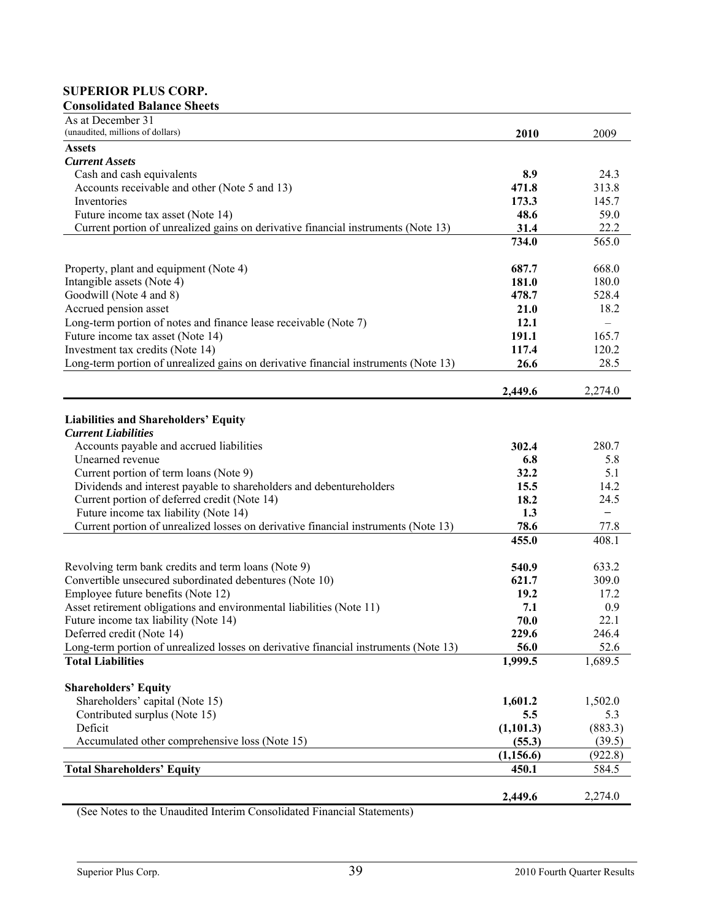### **SUPERIOR PLUS CORP. Consolidated Balance Sheets**

| As at December 31<br>(unaudited, millions of dollars)                                                                 | 2010       | 2009              |
|-----------------------------------------------------------------------------------------------------------------------|------------|-------------------|
| <b>Assets</b>                                                                                                         |            |                   |
| <b>Current Assets</b>                                                                                                 |            |                   |
| Cash and cash equivalents                                                                                             | 8.9        | 24.3              |
| Accounts receivable and other (Note 5 and 13)                                                                         | 471.8      | 313.8             |
| Inventories                                                                                                           | 173.3      | 145.7             |
| Future income tax asset (Note 14)                                                                                     | 48.6       | 59.0              |
| Current portion of unrealized gains on derivative financial instruments (Note 13)                                     | 31.4       | 22.2              |
|                                                                                                                       | 734.0      | 565.0             |
|                                                                                                                       |            |                   |
| Property, plant and equipment (Note 4)                                                                                | 687.7      | 668.0             |
| Intangible assets (Note 4)                                                                                            | 181.0      | 180.0             |
| Goodwill (Note 4 and 8)                                                                                               | 478.7      | 528.4             |
| Accrued pension asset                                                                                                 | 21.0       | 18.2              |
| Long-term portion of notes and finance lease receivable (Note 7)                                                      | 12.1       |                   |
| Future income tax asset (Note 14)                                                                                     | 191.1      | 165.7             |
| Investment tax credits (Note 14)                                                                                      | 117.4      | 120.2             |
| Long-term portion of unrealized gains on derivative financial instruments (Note 13)                                   | 26.6       | 28.5              |
|                                                                                                                       | 2,449.6    | 2,274.0           |
| <b>Liabilities and Shareholders' Equity</b><br><b>Current Liabilities</b><br>Accounts payable and accrued liabilities | 302.4      | 280.7             |
| Unearned revenue                                                                                                      | 6.8        | 5.8               |
| Current portion of term loans (Note 9)                                                                                | 32.2       | 5.1               |
| Dividends and interest payable to shareholders and debentureholders                                                   | 15.5       | 14.2              |
| Current portion of deferred credit (Note 14)                                                                          | 18.2       | 24.5              |
| Future income tax liability (Note 14)                                                                                 | 1.3        | $\qquad \qquad -$ |
| Current portion of unrealized losses on derivative financial instruments (Note 13)                                    | 78.6       | 77.8              |
|                                                                                                                       | 455.0      | 408.1             |
| Revolving term bank credits and term loans (Note 9)                                                                   | 540.9      | 633.2             |
| Convertible unsecured subordinated debentures (Note 10)                                                               | 621.7      | 309.0             |
| Employee future benefits (Note 12)                                                                                    | 19.2       | 17.2              |
| Asset retirement obligations and environmental liabilities (Note 11)                                                  | 7.1        | 0.9               |
| Future income tax liability (Note 14)                                                                                 | 70.0       | 22.1              |
| Deferred credit (Note 14)                                                                                             | 229.6      | 246.4             |
| Long-term portion of unrealized losses on derivative financial instruments (Note 13)                                  | 56.0       | 52.6              |
| <b>Total Liabilities</b>                                                                                              | 1,999.5    | 1,689.5           |
| <b>Shareholders' Equity</b>                                                                                           |            |                   |
| Shareholders' capital (Note 15)                                                                                       | 1,601.2    | 1,502.0           |
| Contributed surplus (Note 15)                                                                                         | 5.5        | 5.3               |
| Deficit                                                                                                               | (1,101.3)  | (883.3)           |
| Accumulated other comprehensive loss (Note 15)                                                                        | (55.3)     | (39.5)            |
|                                                                                                                       | (1, 156.6) | (922.8)           |
| <b>Total Shareholders' Equity</b>                                                                                     | 450.1      | 584.5             |
|                                                                                                                       | 2,449.6    | 2,274.0           |

(See Notes to the Unaudited Interim Consolidated Financial Statements)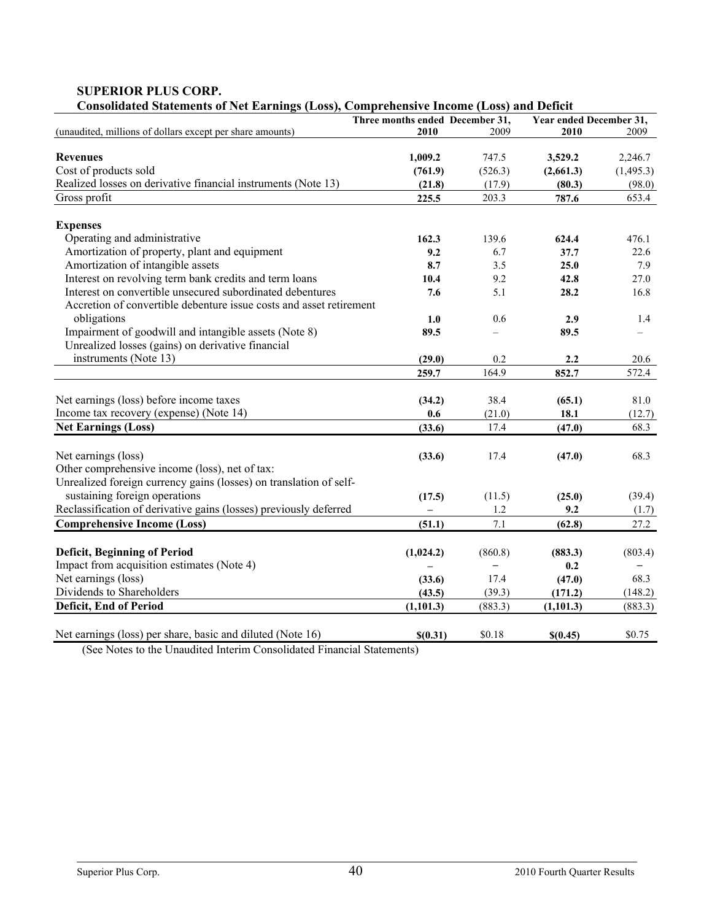## **SUPERIOR PLUS CORP.**

| Consolidated Statements of Net Earnings (Loss), Comprenensive Income (Loss) and Deficit |                                 |                          |                         |            |  |
|-----------------------------------------------------------------------------------------|---------------------------------|--------------------------|-------------------------|------------|--|
|                                                                                         | Three months ended December 31, |                          | Year ended December 31, |            |  |
| (unaudited, millions of dollars except per share amounts)                               | 2010                            | 2009                     | 2010                    | 2009       |  |
| <b>Revenues</b>                                                                         | 1,009.2                         | 747.5                    | 3,529.2                 | 2,246.7    |  |
| Cost of products sold                                                                   | (761.9)                         | (526.3)                  | (2,661.3)               | (1, 495.3) |  |
| Realized losses on derivative financial instruments (Note 13)                           | (21.8)                          | (17.9)                   | (80.3)                  | (98.0)     |  |
| Gross profit                                                                            | 225.5                           | 203.3                    | 787.6                   | 653.4      |  |
|                                                                                         |                                 |                          |                         |            |  |
| <b>Expenses</b>                                                                         |                                 |                          |                         |            |  |
| Operating and administrative                                                            | 162.3                           | 139.6                    | 624.4                   | 476.1      |  |
| Amortization of property, plant and equipment                                           | 9.2                             | 6.7                      | 37.7                    | 22.6       |  |
| Amortization of intangible assets                                                       | 8.7                             | 3.5                      | 25.0                    | 7.9        |  |
| Interest on revolving term bank credits and term loans                                  | 10.4                            | 9.2                      | 42.8                    | 27.0       |  |
| Interest on convertible unsecured subordinated debentures                               | 7.6                             | 5.1                      | 28.2                    | 16.8       |  |
| Accretion of convertible debenture issue costs and asset retirement                     |                                 |                          |                         |            |  |
| obligations                                                                             | 1.0                             | 0.6                      | 2.9                     | 1.4        |  |
| Impairment of goodwill and intangible assets (Note 8)                                   | 89.5                            |                          | 89.5                    |            |  |
| Unrealized losses (gains) on derivative financial                                       |                                 |                          |                         |            |  |
| instruments (Note 13)                                                                   | (29.0)                          | 0.2                      | 2.2                     | 20.6       |  |
|                                                                                         | 259.7                           | 164.9                    | 852.7                   | 572.4      |  |
|                                                                                         |                                 |                          |                         |            |  |
| Net earnings (loss) before income taxes                                                 | (34.2)                          | 38.4                     | (65.1)                  | 81.0       |  |
| Income tax recovery (expense) (Note 14)                                                 | 0.6                             | (21.0)                   | 18.1                    | (12.7)     |  |
| <b>Net Earnings (Loss)</b>                                                              | (33.6)                          | 17.4                     | (47.0)                  | 68.3       |  |
|                                                                                         |                                 |                          |                         |            |  |
| Net earnings (loss)                                                                     | (33.6)                          | 17.4                     | (47.0)                  | 68.3       |  |
| Other comprehensive income (loss), net of tax:                                          |                                 |                          |                         |            |  |
| Unrealized foreign currency gains (losses) on translation of self-                      |                                 |                          |                         |            |  |
| sustaining foreign operations                                                           | (17.5)                          | (11.5)                   | (25.0)                  | (39.4)     |  |
| Reclassification of derivative gains (losses) previously deferred                       |                                 | 1.2                      | 9.2                     | (1.7)      |  |
| <b>Comprehensive Income (Loss)</b>                                                      | (51.1)                          | 7.1                      | (62.8)                  | 27.2       |  |
|                                                                                         |                                 |                          |                         |            |  |
| Deficit, Beginning of Period                                                            | (1,024.2)                       | (860.8)                  | (883.3)                 | (803.4)    |  |
| Impact from acquisition estimates (Note 4)                                              |                                 | $\overline{\phantom{0}}$ | 0.2                     |            |  |
| Net earnings (loss)                                                                     | (33.6)                          | 17.4                     | (47.0)                  | 68.3       |  |
| Dividends to Shareholders                                                               | (43.5)                          | (39.3)                   | (171.2)                 | (148.2)    |  |
| Deficit, End of Period                                                                  | (1, 101.3)                      | (883.3)                  | (1,101.3)               | (883.3)    |  |
|                                                                                         |                                 |                          |                         |            |  |
| Net earnings (loss) per share, basic and diluted (Note 16)                              | \$(0.31)                        | \$0.18                   | \$(0.45)                | \$0.75     |  |

**Consolidated Statements of Net Earnings (Loss), Comprehensive Income (Loss) and Deficit** 

(See Notes to the Unaudited Interim Consolidated Financial Statements)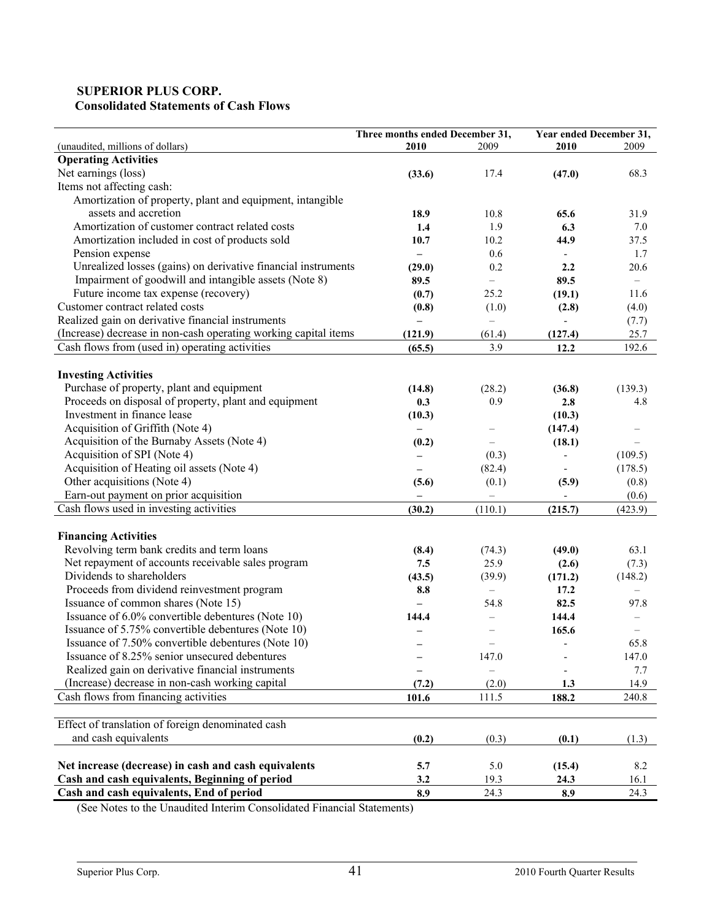### **SUPERIOR PLUS CORP. Consolidated Statements of Cash Flows**

|                                                                 |                          | Three months ended December 31, |                | Year ended December 31,  |
|-----------------------------------------------------------------|--------------------------|---------------------------------|----------------|--------------------------|
| (unaudited, millions of dollars)                                | 2010                     | 2009                            | 2010           | 2009                     |
| <b>Operating Activities</b>                                     |                          |                                 |                |                          |
| Net earnings (loss)                                             | (33.6)                   | 17.4                            | (47.0)         | 68.3                     |
| Items not affecting cash:                                       |                          |                                 |                |                          |
| Amortization of property, plant and equipment, intangible       |                          |                                 |                |                          |
| assets and accretion                                            | 18.9                     | 10.8                            | 65.6           | 31.9                     |
| Amortization of customer contract related costs                 | 1.4                      | 1.9                             | 6.3            | 7.0                      |
| Amortization included in cost of products sold                  | 10.7                     | 10.2                            | 44.9           | 37.5                     |
| Pension expense                                                 | $\overline{\phantom{0}}$ | 0.6                             | $\blacksquare$ | 1.7                      |
| Unrealized losses (gains) on derivative financial instruments   | (29.0)                   | 0.2                             | 2.2            | 20.6                     |
| Impairment of goodwill and intangible assets (Note 8)           | 89.5                     | $\qquad \qquad -$               | 89.5           | $\qquad \qquad -$        |
| Future income tax expense (recovery)                            | (0.7)                    | 25.2                            | (19.1)         | 11.6                     |
| Customer contract related costs                                 | (0.8)                    | (1.0)                           | (2.8)          | (4.0)                    |
| Realized gain on derivative financial instruments               | $\qquad \qquad -$        | $\overline{\phantom{0}}$        |                | (7.7)                    |
| (Increase) decrease in non-cash operating working capital items | (121.9)                  | (61.4)                          | (127.4)        | 25.7                     |
| Cash flows from (used in) operating activities                  | (65.5)                   | 3.9                             |                | 192.6                    |
|                                                                 |                          |                                 | 12.2           |                          |
| <b>Investing Activities</b>                                     |                          |                                 |                |                          |
| Purchase of property, plant and equipment                       | (14.8)                   | (28.2)                          | (36.8)         | (139.3)                  |
| Proceeds on disposal of property, plant and equipment           | 0.3                      | 0.9                             | 2.8            | 4.8                      |
| Investment in finance lease                                     | (10.3)                   |                                 | (10.3)         |                          |
| Acquisition of Griffith (Note 4)                                |                          |                                 | (147.4)        |                          |
| Acquisition of the Burnaby Assets (Note 4)                      | (0.2)                    | -                               | (18.1)         | $\qquad \qquad -$        |
| Acquisition of SPI (Note 4)                                     |                          | (0.3)                           |                | (109.5)                  |
| Acquisition of Heating oil assets (Note 4)                      |                          | (82.4)                          |                | (178.5)                  |
| Other acquisitions (Note 4)                                     | (5.6)                    | (0.1)                           | (5.9)          | (0.8)                    |
| Earn-out payment on prior acquisition                           |                          |                                 |                | (0.6)                    |
| Cash flows used in investing activities                         |                          |                                 |                |                          |
|                                                                 | (30.2)                   | (110.1)                         | (215.7)        | (423.9)                  |
| <b>Financing Activities</b>                                     |                          |                                 |                |                          |
| Revolving term bank credits and term loans                      | (8.4)                    | (74.3)                          | (49.0)         | 63.1                     |
| Net repayment of accounts receivable sales program              | 7.5                      | 25.9                            | (2.6)          | (7.3)                    |
| Dividends to shareholders                                       | (43.5)                   | (39.9)                          | (171.2)        | (148.2)                  |
| Proceeds from dividend reinvestment program                     | 8.8                      |                                 | 17.2           |                          |
| Issuance of common shares (Note 15)                             |                          | 54.8                            | 82.5           | 97.8                     |
| Issuance of 6.0% convertible debentures (Note 10)               | 144.4                    |                                 | 144.4          | $\overline{\phantom{0}}$ |
| Issuance of 5.75% convertible debentures (Note 10)              | $\overline{\phantom{0}}$ |                                 | 165.6          | $\qquad \qquad -$        |
| Issuance of 7.50% convertible debentures (Note 10)              |                          |                                 |                | 65.8                     |
| Issuance of 8.25% senior unsecured debentures                   |                          | 147.0                           |                | 147.0                    |
| Realized gain on derivative financial instruments               |                          |                                 |                | 7.7                      |
| (Increase) decrease in non-cash working capital                 |                          |                                 |                |                          |
|                                                                 | (7.2)                    | (2.0)                           | 1.3            | 14.9                     |
| Cash flows from financing activities                            | 101.6                    | 111.5                           | 188.2          | 240.8                    |
| Effect of translation of foreign denominated cash               |                          |                                 |                |                          |
| and cash equivalents                                            | (0.2)                    | (0.3)                           | (0.1)          | (1.3)                    |
|                                                                 |                          |                                 |                |                          |
| Net increase (decrease) in cash and cash equivalents            | 5.7                      | 5.0                             | (15.4)         | 8.2                      |
| Cash and cash equivalents, Beginning of period                  | 3.2                      | 19.3                            | 24.3           | 16.1                     |
| Cash and cash equivalents, End of period                        | 8.9                      | 24.3                            | 8.9            | 24.3                     |

(See Notes to the Unaudited Interim Consolidated Financial Statements)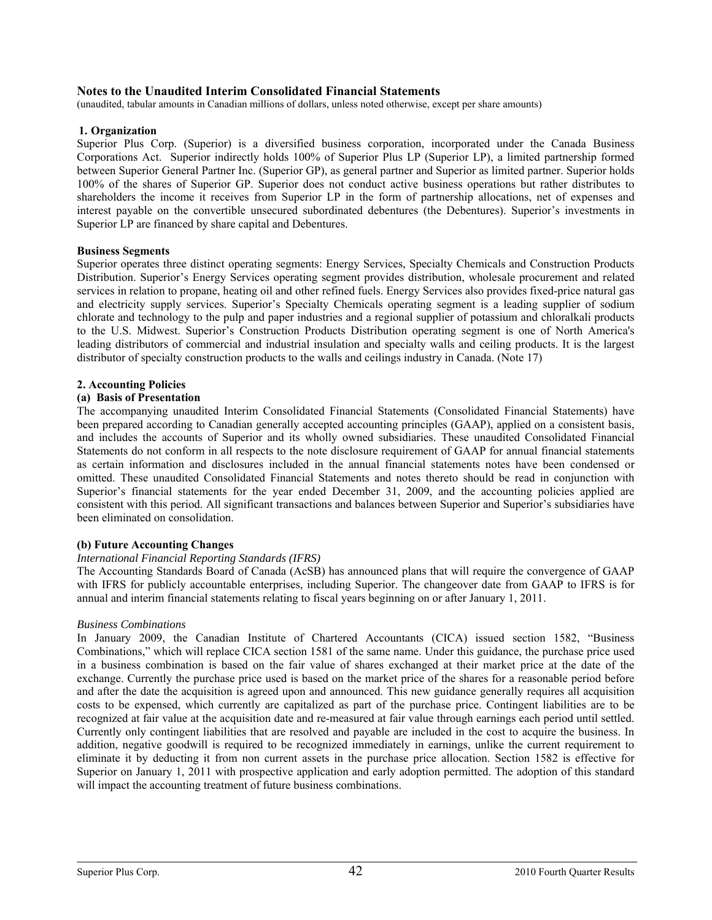#### **Notes to the Unaudited Interim Consolidated Financial Statements**

(unaudited, tabular amounts in Canadian millions of dollars, unless noted otherwise, except per share amounts)

#### **1. Organization**

Superior Plus Corp. (Superior) is a diversified business corporation, incorporated under the Canada Business Corporations Act. Superior indirectly holds 100% of Superior Plus LP (Superior LP), a limited partnership formed between Superior General Partner Inc. (Superior GP), as general partner and Superior as limited partner. Superior holds 100% of the shares of Superior GP. Superior does not conduct active business operations but rather distributes to shareholders the income it receives from Superior LP in the form of partnership allocations, net of expenses and interest payable on the convertible unsecured subordinated debentures (the Debentures). Superior's investments in Superior LP are financed by share capital and Debentures.

#### **Business Segments**

Superior operates three distinct operating segments: Energy Services, Specialty Chemicals and Construction Products Distribution. Superior's Energy Services operating segment provides distribution, wholesale procurement and related services in relation to propane, heating oil and other refined fuels. Energy Services also provides fixed-price natural gas and electricity supply services. Superior's Specialty Chemicals operating segment is a leading supplier of sodium chlorate and technology to the pulp and paper industries and a regional supplier of potassium and chloralkali products to the U.S. Midwest. Superior's Construction Products Distribution operating segment is one of North America's leading distributors of commercial and industrial insulation and specialty walls and ceiling products. It is the largest distributor of specialty construction products to the walls and ceilings industry in Canada. (Note 17)

#### **2. Accounting Policies**

#### **(a) Basis of Presentation**

The accompanying unaudited Interim Consolidated Financial Statements (Consolidated Financial Statements) have been prepared according to Canadian generally accepted accounting principles (GAAP), applied on a consistent basis, and includes the accounts of Superior and its wholly owned subsidiaries. These unaudited Consolidated Financial Statements do not conform in all respects to the note disclosure requirement of GAAP for annual financial statements as certain information and disclosures included in the annual financial statements notes have been condensed or omitted. These unaudited Consolidated Financial Statements and notes thereto should be read in conjunction with Superior's financial statements for the year ended December 31, 2009, and the accounting policies applied are consistent with this period. All significant transactions and balances between Superior and Superior's subsidiaries have been eliminated on consolidation.

#### **(b) Future Accounting Changes**

#### *International Financial Reporting Standards (IFRS)*

The Accounting Standards Board of Canada (AcSB) has announced plans that will require the convergence of GAAP with IFRS for publicly accountable enterprises, including Superior. The changeover date from GAAP to IFRS is for annual and interim financial statements relating to fiscal years beginning on or after January 1, 2011.

#### *Business Combinations*

In January 2009, the Canadian Institute of Chartered Accountants (CICA) issued section 1582, "Business Combinations," which will replace CICA section 1581 of the same name. Under this guidance, the purchase price used in a business combination is based on the fair value of shares exchanged at their market price at the date of the exchange. Currently the purchase price used is based on the market price of the shares for a reasonable period before and after the date the acquisition is agreed upon and announced. This new guidance generally requires all acquisition costs to be expensed, which currently are capitalized as part of the purchase price. Contingent liabilities are to be recognized at fair value at the acquisition date and re-measured at fair value through earnings each period until settled. Currently only contingent liabilities that are resolved and payable are included in the cost to acquire the business. In addition, negative goodwill is required to be recognized immediately in earnings, unlike the current requirement to eliminate it by deducting it from non current assets in the purchase price allocation. Section 1582 is effective for Superior on January 1, 2011 with prospective application and early adoption permitted. The adoption of this standard will impact the accounting treatment of future business combinations.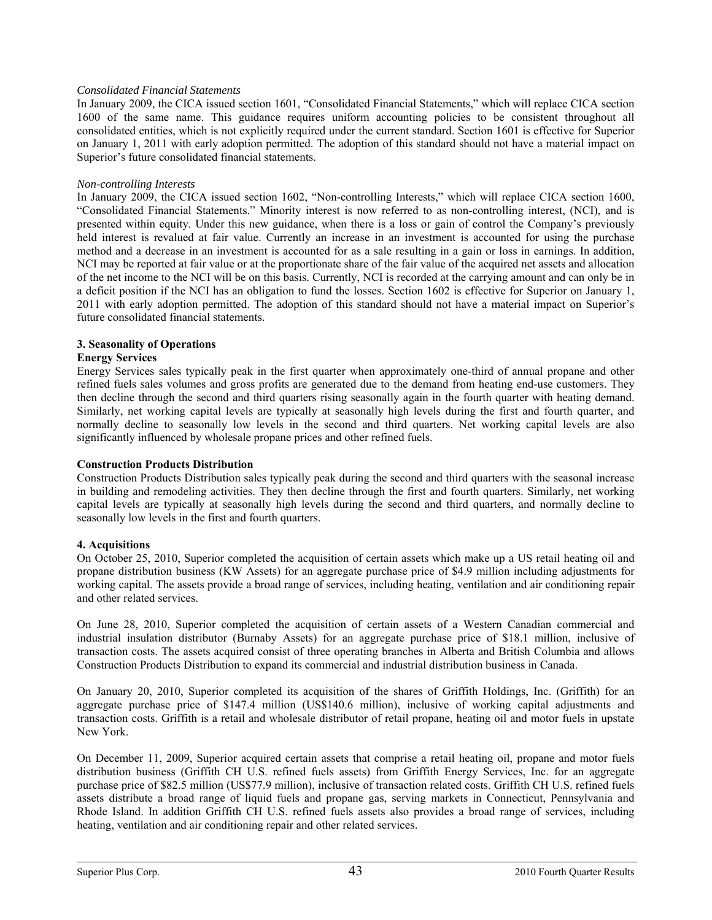#### *Consolidated Financial Statements*

In January 2009, the CICA issued section 1601, "Consolidated Financial Statements," which will replace CICA section 1600 of the same name. This guidance requires uniform accounting policies to be consistent throughout all consolidated entities, which is not explicitly required under the current standard. Section 1601 is effective for Superior on January 1, 2011 with early adoption permitted. The adoption of this standard should not have a material impact on Superior's future consolidated financial statements.

#### *Non-controlling Interests*

In January 2009, the CICA issued section 1602, "Non-controlling Interests," which will replace CICA section 1600, "Consolidated Financial Statements." Minority interest is now referred to as non-controlling interest, (NCI), and is presented within equity. Under this new guidance, when there is a loss or gain of control the Company's previously held interest is revalued at fair value. Currently an increase in an investment is accounted for using the purchase method and a decrease in an investment is accounted for as a sale resulting in a gain or loss in earnings. In addition, NCI may be reported at fair value or at the proportionate share of the fair value of the acquired net assets and allocation of the net income to the NCI will be on this basis. Currently, NCI is recorded at the carrying amount and can only be in a deficit position if the NCI has an obligation to fund the losses. Section 1602 is effective for Superior on January 1, 2011 with early adoption permitted. The adoption of this standard should not have a material impact on Superior's future consolidated financial statements.

#### **3. Seasonality of Operations**

#### **Energy Services**

Energy Services sales typically peak in the first quarter when approximately one-third of annual propane and other refined fuels sales volumes and gross profits are generated due to the demand from heating end-use customers. They then decline through the second and third quarters rising seasonally again in the fourth quarter with heating demand. Similarly, net working capital levels are typically at seasonally high levels during the first and fourth quarter, and normally decline to seasonally low levels in the second and third quarters. Net working capital levels are also significantly influenced by wholesale propane prices and other refined fuels.

#### **Construction Products Distribution**

Construction Products Distribution sales typically peak during the second and third quarters with the seasonal increase in building and remodeling activities. They then decline through the first and fourth quarters. Similarly, net working capital levels are typically at seasonally high levels during the second and third quarters, and normally decline to seasonally low levels in the first and fourth quarters.

#### **4. Acquisitions**

On October 25, 2010, Superior completed the acquisition of certain assets which make up a US retail heating oil and propane distribution business (KW Assets) for an aggregate purchase price of \$4.9 million including adjustments for working capital. The assets provide a broad range of services, including heating, ventilation and air conditioning repair and other related services.

On June 28, 2010, Superior completed the acquisition of certain assets of a Western Canadian commercial and industrial insulation distributor (Burnaby Assets) for an aggregate purchase price of \$18.1 million, inclusive of transaction costs. The assets acquired consist of three operating branches in Alberta and British Columbia and allows Construction Products Distribution to expand its commercial and industrial distribution business in Canada.

On January 20, 2010, Superior completed its acquisition of the shares of Griffith Holdings, Inc. (Griffith) for an aggregate purchase price of \$147.4 million (US\$140.6 million), inclusive of working capital adjustments and transaction costs. Griffith is a retail and wholesale distributor of retail propane, heating oil and motor fuels in upstate New York.

On December 11, 2009, Superior acquired certain assets that comprise a retail heating oil, propane and motor fuels distribution business (Griffith CH U.S. refined fuels assets) from Griffith Energy Services, Inc. for an aggregate purchase price of \$82.5 million (US\$77.9 million), inclusive of transaction related costs. Griffith CH U.S. refined fuels assets distribute a broad range of liquid fuels and propane gas, serving markets in Connecticut, Pennsylvania and Rhode Island. In addition Griffith CH U.S. refined fuels assets also provides a broad range of services, including heating, ventilation and air conditioning repair and other related services.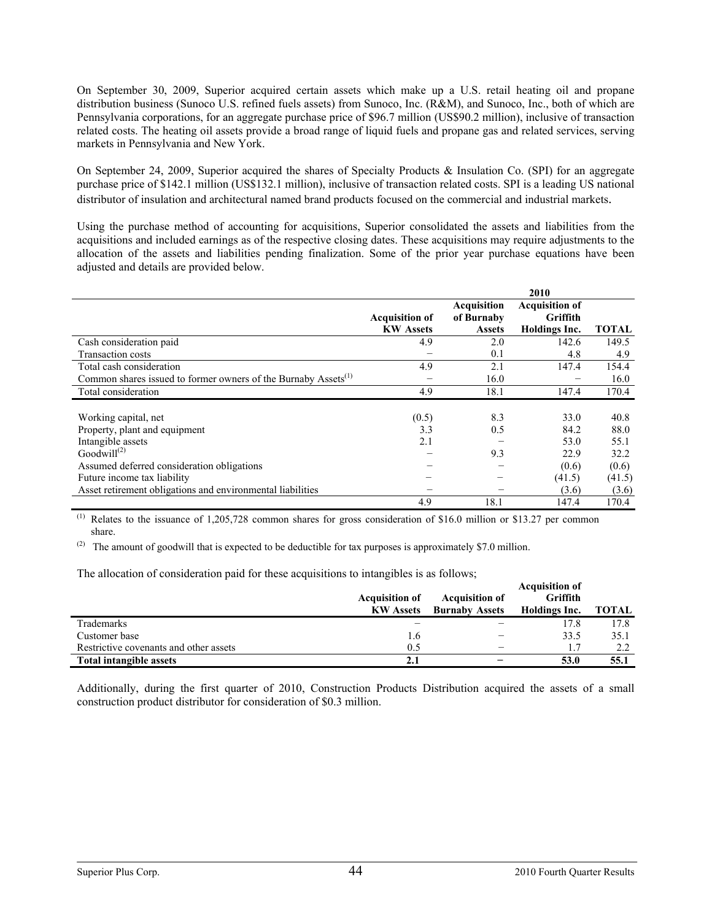On September 30, 2009, Superior acquired certain assets which make up a U.S. retail heating oil and propane distribution business (Sunoco U.S. refined fuels assets) from Sunoco, Inc. (R&M), and Sunoco, Inc., both of which are Pennsylvania corporations, for an aggregate purchase price of \$96.7 million (US\$90.2 million), inclusive of transaction related costs. The heating oil assets provide a broad range of liquid fuels and propane gas and related services, serving markets in Pennsylvania and New York.

On September 24, 2009, Superior acquired the shares of Specialty Products & Insulation Co. (SPI) for an aggregate purchase price of \$142.1 million (US\$132.1 million), inclusive of transaction related costs. SPI is a leading US national distributor of insulation and architectural named brand products focused on the commercial and industrial markets.

Using the purchase method of accounting for acquisitions, Superior consolidated the assets and liabilities from the acquisitions and included earnings as of the respective closing dates. These acquisitions may require adjustments to the allocation of the assets and liabilities pending finalization. Some of the prior year purchase equations have been adjusted and details are provided below.

|                                                                            |                       |                    | 2010                  |              |
|----------------------------------------------------------------------------|-----------------------|--------------------|-----------------------|--------------|
|                                                                            |                       | <b>Acquisition</b> | <b>Acquisition of</b> |              |
|                                                                            | <b>Acquisition of</b> | of Burnaby         | Griffith              |              |
|                                                                            | <b>KW</b> Assets      | <b>Assets</b>      | <b>Holdings Inc.</b>  | <b>TOTAL</b> |
| Cash consideration paid                                                    | 4.9                   | 2.0                | 142.6                 | 149.5        |
| Transaction costs                                                          |                       | 0.1                | 4.8                   | 4.9          |
| Total cash consideration                                                   | 4.9                   | 2.1                | 147.4                 | 154.4        |
| Common shares issued to former owners of the Burnaby Assets <sup>(1)</sup> |                       | 16.0               |                       | 16.0         |
| Total consideration                                                        | 4.9                   | 18.1               | 147.4                 | 170.4        |
|                                                                            |                       |                    |                       |              |
| Working capital, net                                                       | (0.5)                 | 8.3                | 33.0                  | 40.8         |
| Property, plant and equipment                                              | 3.3                   | 0.5                | 84.2                  | 88.0         |
| Intangible assets                                                          | 2.1                   |                    | 53.0                  | 55.1         |
| Goodwill $^{(2)}$                                                          |                       | 9.3                | 22.9                  | 32.2         |
| Assumed deferred consideration obligations                                 |                       |                    | (0.6)                 | (0.6)        |
| Future income tax liability                                                |                       |                    | (41.5)                | (41.5)       |
| Asset retirement obligations and environmental liabilities                 |                       |                    | (3.6)                 | (3.6)        |
|                                                                            | 4.9                   | 18.1               | 147.4                 | 170.4        |

 $(1)$  Relates to the issuance of 1,205,728 common shares for gross consideration of \$16.0 million or \$13.27 per common share.

(2) The amount of goodwill that is expected to be deductible for tax purposes is approximately \$7.0 million.

The allocation of consideration paid for these acquisitions to intangibles is as follows;

|                                        |                       |                          | <b>Acquisition of</b> |              |
|----------------------------------------|-----------------------|--------------------------|-----------------------|--------------|
|                                        | <b>Acquisition of</b> | <b>Acquisition of</b>    | Griffith              |              |
|                                        | <b>KW</b> Assets      | <b>Burnaby Assets</b>    | Holdings Inc.         | <b>TOTAL</b> |
| Trademarks                             |                       |                          | 17.8                  | 17.8         |
| Customer base                          | 1.6                   | $\overline{\phantom{a}}$ | 33.5                  | 35.1         |
| Restrictive covenants and other assets | 0.5                   | $\overline{\phantom{a}}$ | 1.7                   | っっ           |
| <b>Total intangible assets</b>         |                       |                          | 53.0                  | 55.1         |

Additionally, during the first quarter of 2010, Construction Products Distribution acquired the assets of a small construction product distributor for consideration of \$0.3 million.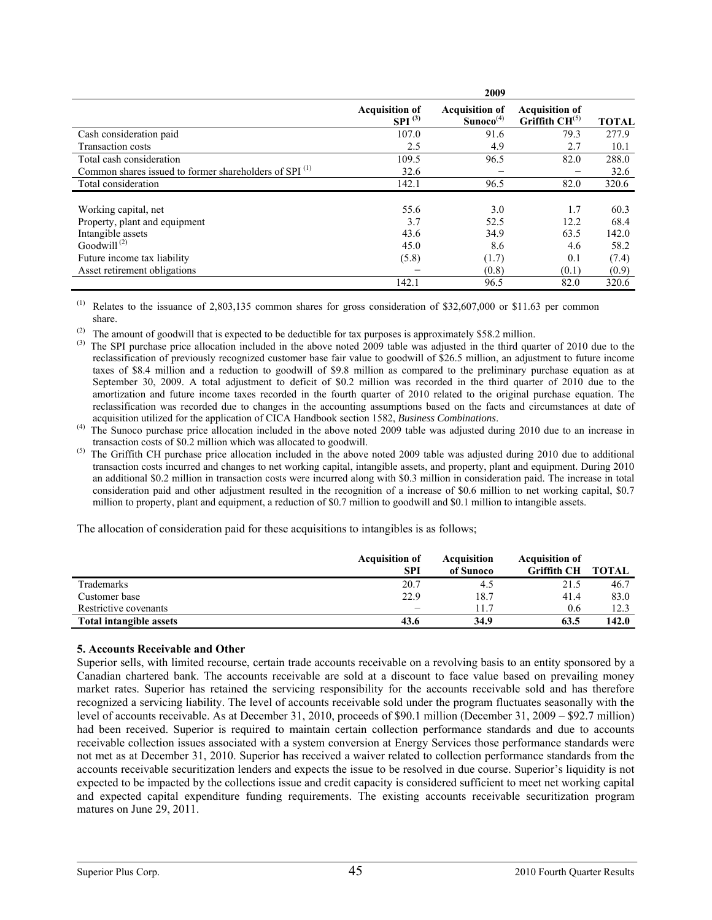|                                                             |                                      | 2009                                    |                                           |              |
|-------------------------------------------------------------|--------------------------------------|-----------------------------------------|-------------------------------------------|--------------|
|                                                             | <b>Acquisition of</b><br>$SPI^{(3)}$ | <b>Acquisition of</b><br>$Sunoco^{(4)}$ | <b>Acquisition of</b><br>Griffith $CH(5)$ | <b>TOTAL</b> |
| Cash consideration paid                                     | 107.0                                | 91.6                                    | 79.3                                      | 277.9        |
| Transaction costs                                           | 2.5                                  | 4.9                                     | 2.7                                       | 10.1         |
| Total cash consideration                                    | 109.5                                | 96.5                                    | 82.0                                      | 288.0        |
| Common shares issued to former shareholders of SPI $^{(1)}$ | 32.6                                 |                                         |                                           | 32.6         |
| Total consideration                                         | 142.1                                | 96.5                                    | 82.0                                      | 320.6        |
|                                                             |                                      |                                         |                                           |              |
| Working capital, net                                        | 55.6                                 | 3.0                                     | 1.7                                       | 60.3         |
| Property, plant and equipment                               | 3.7                                  | 52.5                                    | 12.2                                      | 68.4         |
| Intangible assets                                           | 43.6                                 | 34.9                                    | 63.5                                      | 142.0        |
| Goodwill $(2)$                                              | 45.0                                 | 8.6                                     | 4.6                                       | 58.2         |
| Future income tax liability                                 | (5.8)                                | (1.7)                                   | 0.1                                       | (7.4)        |
| Asset retirement obligations                                |                                      | (0.8)                                   | (0.1)                                     | (0.9)        |
|                                                             | 142.1                                | 96.5                                    | 82.0                                      | 320.6        |

 $(1)$  Relates to the issuance of 2,803,135 common shares for gross consideration of \$32,607,000 or \$11.63 per common share.

(2) The amount of goodwill that is expected to be deductible for tax purposes is approximately \$58.2 million.<br>(3) The SPI purchase price allocation included in the above noted 2009 table was adjusted in the third quantity

The SPI purchase price allocation included in the above noted 2009 table was adjusted in the third quarter of 2010 due to the reclassification of previously recognized customer base fair value to goodwill of \$26.5 million, an adjustment to future income taxes of \$8.4 million and a reduction to goodwill of \$9.8 million as compared to the preliminary purchase equation as at September 30, 2009. A total adjustment to deficit of \$0.2 million was recorded in the third quarter of 2010 due to the amortization and future income taxes recorded in the fourth quarter of 2010 related to the original purchase equation. The reclassification was recorded due to changes in the accounting assumptions based on the facts and circumstances at date of

acquisition utilized for the application of CICA Handbook section 1582, *Business Combinations*.<br><sup>(4)</sup> The Sunoco purchase price allocation included in the above noted 2009 table was adjusted during 2010 due to an increase transaction costs of \$0.2 million which was allocated to goodwill.

The Griffith CH purchase price allocation included in the above noted 2009 table was adjusted during 2010 due to additional transaction costs incurred and changes to net working capital, intangible assets, and property, plant and equipment. During 2010 an additional \$0.2 million in transaction costs were incurred along with \$0.3 million in consideration paid. The increase in total consideration paid and other adjustment resulted in the recognition of a increase of \$0.6 million to net working capital, \$0.7 million to property, plant and equipment, a reduction of \$0.7 million to goodwill and \$0.1 million to intangible assets.

The allocation of consideration paid for these acquisitions to intangibles is as follows;

|                                | <b>Acquisition of</b><br>SPI | <b>Acquisition</b><br>of Sunoco | <b>Acquisition of</b><br><b>Griffith CH</b> | <b>TOTAL</b> |
|--------------------------------|------------------------------|---------------------------------|---------------------------------------------|--------------|
| Trademarks                     | 20.7                         | 4.3                             | 21.5                                        | 46.7         |
| Customer base                  | 22.9                         | 18.7                            | 41.4                                        | 83.0         |
| Restrictive covenants          | $\overline{\phantom{a}}$     | 11.7                            | 0.6                                         | 12.3         |
| <b>Total intangible assets</b> | 43.6                         | 34.9                            | 63.5                                        | 142.0        |

#### **5. Accounts Receivable and Other**

Superior sells, with limited recourse, certain trade accounts receivable on a revolving basis to an entity sponsored by a Canadian chartered bank. The accounts receivable are sold at a discount to face value based on prevailing money market rates. Superior has retained the servicing responsibility for the accounts receivable sold and has therefore recognized a servicing liability. The level of accounts receivable sold under the program fluctuates seasonally with the level of accounts receivable. As at December 31, 2010, proceeds of \$90.1 million (December 31, 2009 – \$92.7 million) had been received. Superior is required to maintain certain collection performance standards and due to accounts receivable collection issues associated with a system conversion at Energy Services those performance standards were not met as at December 31, 2010. Superior has received a waiver related to collection performance standards from the accounts receivable securitization lenders and expects the issue to be resolved in due course. Superior's liquidity is not expected to be impacted by the collections issue and credit capacity is considered sufficient to meet net working capital and expected capital expenditure funding requirements. The existing accounts receivable securitization program matures on June 29, 2011.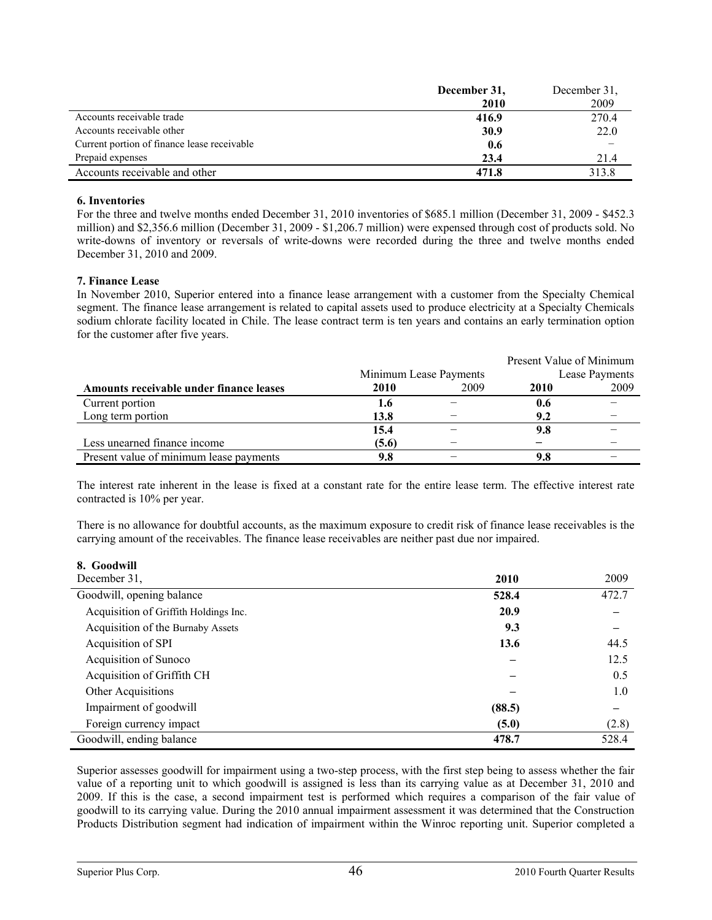|                                             | December 31, | December 31. |
|---------------------------------------------|--------------|--------------|
|                                             | 2010         | 2009         |
| Accounts receivable trade                   | 416.9        | 270.4        |
| Accounts receivable other                   | 30.9         | 22.0         |
| Current portion of finance lease receivable | 0.6          |              |
| Prepaid expenses                            | 23.4         | 21.4         |
| Accounts receivable and other               | 471.8        | 313.8        |

#### **6. Inventories**

For the three and twelve months ended December 31, 2010 inventories of \$685.1 million (December 31, 2009 - \$452.3 million) and \$2,356.6 million (December 31, 2009 - \$1,206.7 million) were expensed through cost of products sold. No write-downs of inventory or reversals of write-downs were recorded during the three and twelve months ended December 31, 2010 and 2009.

#### **7. Finance Lease**

In November 2010, Superior entered into a finance lease arrangement with a customer from the Specialty Chemical segment. The finance lease arrangement is related to capital assets used to produce electricity at a Specialty Chemicals sodium chlorate facility located in Chile. The lease contract term is ten years and contains an early termination option for the customer after five years.

|                                         |                        |      | Present Value of Minimum |                |
|-----------------------------------------|------------------------|------|--------------------------|----------------|
|                                         | Minimum Lease Payments |      |                          | Lease Payments |
| Amounts receivable under finance leases | 2010                   | 2009 | 2010                     | 2009           |
| Current portion                         | 1.6                    |      | 0.6                      |                |
| Long term portion                       | 13.8                   |      | 9.2                      |                |
|                                         | 15.4                   |      | 9.8                      |                |
| Less unearned finance income            | (5.6)                  |      |                          |                |
| Present value of minimum lease payments | 9.8                    |      | 9.8                      |                |

The interest rate inherent in the lease is fixed at a constant rate for the entire lease term. The effective interest rate contracted is 10% per year.

There is no allowance for doubtful accounts, as the maximum exposure to credit risk of finance lease receivables is the carrying amount of the receivables. The finance lease receivables are neither past due nor impaired.

#### **8. Goodwill**

| December 31,                          | 2010   | 2009  |
|---------------------------------------|--------|-------|
| Goodwill, opening balance             | 528.4  | 472.7 |
| Acquisition of Griffith Holdings Inc. | 20.9   |       |
| Acquisition of the Burnaby Assets     | 9.3    |       |
| Acquisition of SPI                    | 13.6   | 44.5  |
| Acquisition of Sunoco                 |        | 12.5  |
| Acquisition of Griffith CH            |        | 0.5   |
| Other Acquisitions                    |        | 1.0   |
| Impairment of goodwill                | (88.5) |       |
| Foreign currency impact               | (5.0)  | (2.8) |
| Goodwill, ending balance              | 478.7  | 528.4 |

Superior assesses goodwill for impairment using a two-step process, with the first step being to assess whether the fair value of a reporting unit to which goodwill is assigned is less than its carrying value as at December 31, 2010 and 2009. If this is the case, a second impairment test is performed which requires a comparison of the fair value of goodwill to its carrying value. During the 2010 annual impairment assessment it was determined that the Construction Products Distribution segment had indication of impairment within the Winroc reporting unit. Superior completed a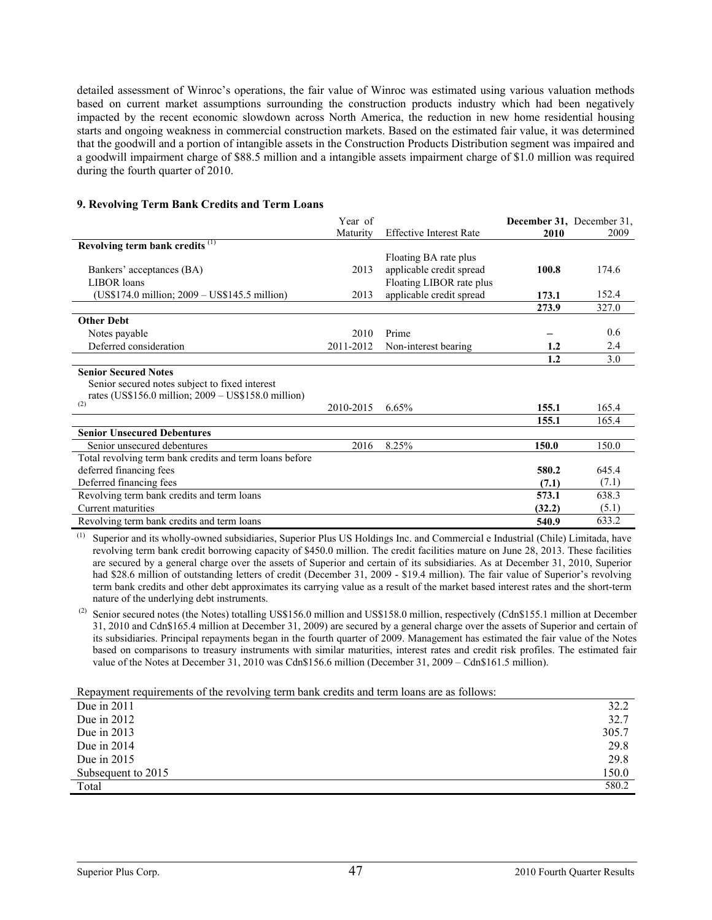detailed assessment of Winroc's operations, the fair value of Winroc was estimated using various valuation methods based on current market assumptions surrounding the construction products industry which had been negatively impacted by the recent economic slowdown across North America, the reduction in new home residential housing starts and ongoing weakness in commercial construction markets. Based on the estimated fair value, it was determined that the goodwill and a portion of intangible assets in the Construction Products Distribution segment was impaired and a goodwill impairment charge of \$88.5 million and a intangible assets impairment charge of \$1.0 million was required during the fourth quarter of 2010.

#### **9. Revolving Term Bank Credits and Term Loans**

|                                                                                                                                       | Year of   |                                                                               | December 31, December 31, |       |
|---------------------------------------------------------------------------------------------------------------------------------------|-----------|-------------------------------------------------------------------------------|---------------------------|-------|
|                                                                                                                                       | Maturity  | <b>Effective Interest Rate</b>                                                | 2010                      | 2009  |
| Revolving term bank credits <sup>(1)</sup>                                                                                            |           |                                                                               |                           |       |
| Bankers' acceptances (BA)<br><b>LIBOR</b> loans                                                                                       | 2013      | Floating BA rate plus<br>applicable credit spread<br>Floating LIBOR rate plus | 100.8                     | 174.6 |
| $(US$174.0 million; 2009 – US$145.5 million)$                                                                                         | 2013      | applicable credit spread                                                      | 173.1                     | 152.4 |
|                                                                                                                                       |           |                                                                               | 273.9                     | 327.0 |
| <b>Other Debt</b>                                                                                                                     |           |                                                                               |                           |       |
| Notes payable                                                                                                                         | 2010      | Prime                                                                         |                           | 0.6   |
| Deferred consideration                                                                                                                | 2011-2012 | Non-interest bearing                                                          | $1.2\,$                   | 2.4   |
|                                                                                                                                       |           |                                                                               | 1.2                       | 3.0   |
| <b>Senior Secured Notes</b><br>Senior secured notes subject to fixed interest<br>rates (US\$156.0 million; $2009 - US$158.0$ million) |           |                                                                               |                           |       |
| (2)                                                                                                                                   | 2010-2015 | 6.65%                                                                         | 155.1                     | 165.4 |
|                                                                                                                                       |           |                                                                               | 155.1                     | 165.4 |
| <b>Senior Unsecured Debentures</b>                                                                                                    |           |                                                                               |                           |       |
| Senior unsecured debentures                                                                                                           | 2016      | 8.25%                                                                         | 150.0                     | 150.0 |
| Total revolving term bank credits and term loans before                                                                               |           |                                                                               |                           |       |
| deferred financing fees                                                                                                               |           |                                                                               | 580.2                     | 645.4 |
| Deferred financing fees                                                                                                               |           |                                                                               | (7.1)                     | (7.1) |
| Revolving term bank credits and term loans                                                                                            |           |                                                                               | 573.1                     | 638.3 |
| Current maturities                                                                                                                    |           |                                                                               | (32.2)                    | (5.1) |
| Revolving term bank credits and term loans                                                                                            |           |                                                                               | 540.9                     | 633.2 |

Superior and its wholly-owned subsidiaries, Superior Plus US Holdings Inc. and Commercial e Industrial (Chile) Limitada, have revolving term bank credit borrowing capacity of \$450.0 million. The credit facilities mature on June 28, 2013. These facilities are secured by a general charge over the assets of Superior and certain of its subsidiaries. As at December 31, 2010, Superior had \$28.6 million of outstanding letters of credit (December 31, 2009 - \$19.4 million). The fair value of Superior's revolving term bank credits and other debt approximates its carrying value as a result of the market based interest rates and the short-term nature of the underlying debt instruments.

<sup>(2)</sup> Senior secured notes (the Notes) totalling US\$156.0 million and US\$158.0 million, respectively (Cdn\$155.1 million at December 31, 2010 and Cdn\$165.4 million at December 31, 2009) are secured by a general charge over the assets of Superior and certain of its subsidiaries. Principal repayments began in the fourth quarter of 2009. Management has estimated the fair value of the Notes based on comparisons to treasury instruments with similar maturities, interest rates and credit risk profiles. The estimated fair value of the Notes at December 31, 2010 was Cdn\$156.6 million (December 31, 2009 – Cdn\$161.5 million).

Repayment requirements of the revolving term bank credits and term loans are as follows:

| responsable requirements of the revolving term owing thems with round up to romano |       |
|------------------------------------------------------------------------------------|-------|
| Due in $2011$                                                                      | 32.2  |
| Due in $2012$                                                                      | 32.7  |
| Due in $2013$                                                                      | 305.7 |
| Due in $2014$                                                                      | 29.8  |
| Due in $2015$                                                                      | 29.8  |
| Subsequent to 2015                                                                 | 150.0 |
| Total                                                                              | 580.2 |
|                                                                                    |       |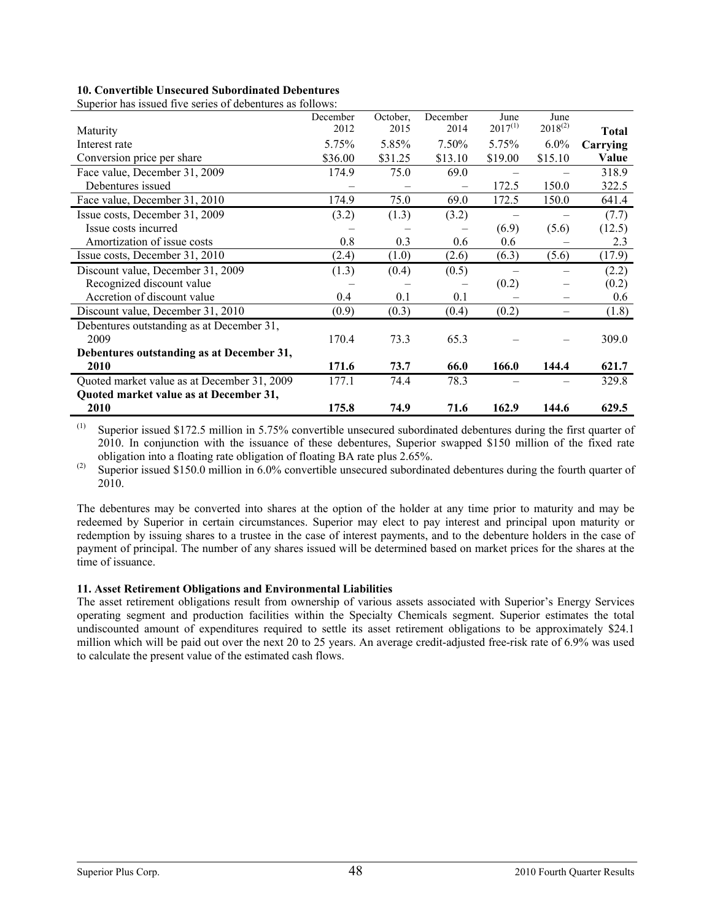#### **10. Convertible Unsecured Subordinated Debentures**

| Superior has issued five series of debentures as follows: |
|-----------------------------------------------------------|
|-----------------------------------------------------------|

|                                             | December | October. | December | June         | June         |              |
|---------------------------------------------|----------|----------|----------|--------------|--------------|--------------|
| Maturity                                    | 2012     | 2015     | 2014     | $2017^{(1)}$ | $2018^{(2)}$ | <b>Total</b> |
| Interest rate                               | 5.75%    | 5.85%    | $7.50\%$ | 5.75%        | $6.0\%$      | Carrying     |
| Conversion price per share                  | \$36.00  | \$31.25  | \$13.10  | \$19.00      | \$15.10      | Value        |
| Face value, December 31, 2009               | 174.9    | 75.0     | 69.0     |              |              | 318.9        |
| Debentures issued                           |          |          |          | 172.5        | 150.0        | 322.5        |
| Face value, December 31, 2010               | 174.9    | 75.0     | 69.0     | 172.5        | 150.0        | 641.4        |
| Issue costs, December 31, 2009              | (3.2)    | (1.3)    | (3.2)    |              |              | (7.7)        |
| Issue costs incurred                        |          |          |          | (6.9)        | (5.6)        | (12.5)       |
| Amortization of issue costs                 | 0.8      | 0.3      | 0.6      | 0.6          |              | 2.3          |
| Issue costs, December 31, 2010              | (2.4)    | (1.0)    | (2.6)    | (6.3)        | (5.6)        | (17.9)       |
| Discount value, December 31, 2009           | (1.3)    | (0.4)    | (0.5)    |              |              | (2.2)        |
| Recognized discount value                   |          |          |          | (0.2)        |              | (0.2)        |
| Accretion of discount value                 | 0.4      | 0.1      | 0.1      |              |              | 0.6          |
| Discount value, December 31, 2010           | (0.9)    | (0.3)    | (0.4)    | (0.2)        |              | (1.8)        |
| Debentures outstanding as at December 31,   |          |          |          |              |              |              |
| 2009                                        | 170.4    | 73.3     | 65.3     |              |              | 309.0        |
| Debentures outstanding as at December 31,   |          |          |          |              |              |              |
| 2010                                        | 171.6    | 73.7     | 66.0     | 166.0        | 144.4        | 621.7        |
| Quoted market value as at December 31, 2009 | 177.1    | 74.4     | 78.3     |              |              | 329.8        |
| Quoted market value as at December 31,      |          |          |          |              |              |              |
| 2010                                        | 175.8    | 74.9     | 71.6     | 162.9        | 144.6        | 629.5        |

(1) Superior issued \$172.5 million in 5.75% convertible unsecured subordinated debentures during the first quarter of 2010. In conjunction with the issuance of these debentures, Superior swapped \$150 million of the fixed rate obligation into a floating rate obligation of floating BA rate plus 2.65%.

(2) Superior issued \$150.0 million in 6.0% convertible unsecured subordinated debentures during the fourth quarter of 2010.

The debentures may be converted into shares at the option of the holder at any time prior to maturity and may be redeemed by Superior in certain circumstances. Superior may elect to pay interest and principal upon maturity or redemption by issuing shares to a trustee in the case of interest payments, and to the debenture holders in the case of payment of principal. The number of any shares issued will be determined based on market prices for the shares at the time of issuance.

#### **11. Asset Retirement Obligations and Environmental Liabilities**

The asset retirement obligations result from ownership of various assets associated with Superior's Energy Services operating segment and production facilities within the Specialty Chemicals segment. Superior estimates the total undiscounted amount of expenditures required to settle its asset retirement obligations to be approximately \$24.1 million which will be paid out over the next 20 to 25 years. An average credit-adjusted free-risk rate of 6.9% was used to calculate the present value of the estimated cash flows.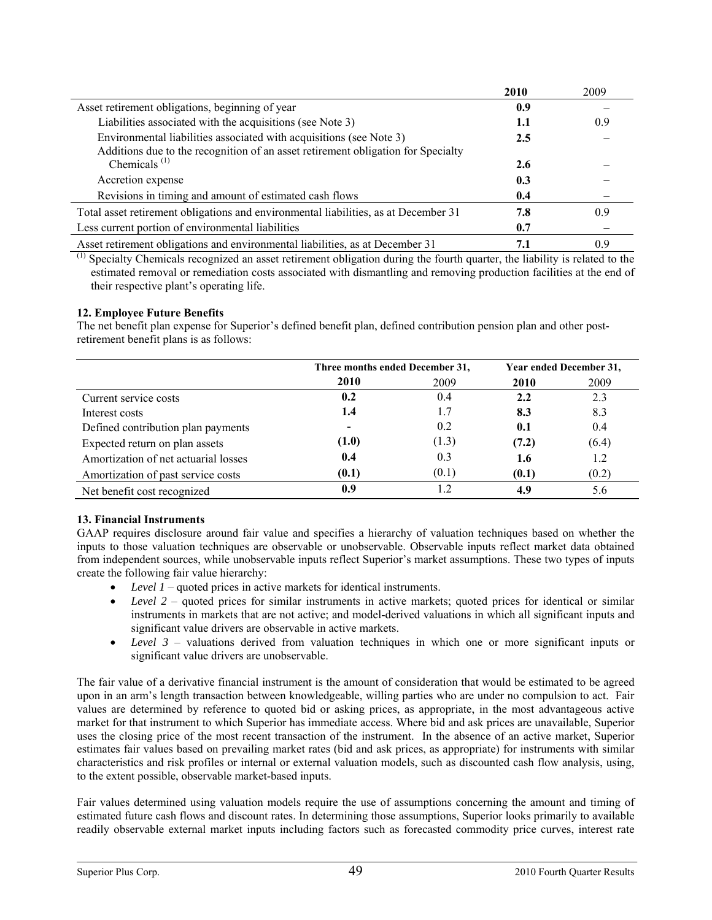|                                                                                                                                                         | 2010 | 2009 |
|---------------------------------------------------------------------------------------------------------------------------------------------------------|------|------|
| Asset retirement obligations, beginning of year                                                                                                         | 0.9  |      |
| Liabilities associated with the acquisitions (see Note 3)                                                                                               | 1.1  | 0.9  |
| Environmental liabilities associated with acquisitions (see Note 3)<br>Additions due to the recognition of an asset retirement obligation for Specialty | 2.5  |      |
| Chemicals <sup><math>(1)</math></sup>                                                                                                                   | 2.6  |      |
| Accretion expense                                                                                                                                       | 0.3  |      |
| Revisions in timing and amount of estimated cash flows                                                                                                  | 0.4  |      |
| Total asset retirement obligations and environmental liabilities, as at December 31                                                                     | 7.8  | 0.9  |
| Less current portion of environmental liabilities                                                                                                       | 0.7  |      |
| Asset retirement obligations and environmental liabilities, as at December 31                                                                           | 7.1  | 0.9  |

(1) Specialty Chemicals recognized an asset retirement obligation during the fourth quarter, the liability is related to the estimated removal or remediation costs associated with dismantling and removing production facilities at the end of their respective plant's operating life.

#### **12. Employee Future Benefits**

The net benefit plan expense for Superior's defined benefit plan, defined contribution pension plan and other postretirement benefit plans is as follows:

|                                      | Three months ended December 31, |       | Year ended December 31, |       |
|--------------------------------------|---------------------------------|-------|-------------------------|-------|
|                                      | <b>2010</b>                     | 2009  | 2010                    | 2009  |
| Current service costs                | 0.2                             | 0.4   | 2.2                     | 2.3   |
| Interest costs                       | 1.4                             |       | 8.3                     | 8.3   |
| Defined contribution plan payments   |                                 | 0.2   | 0.1                     | 0.4   |
| Expected return on plan assets       | (1.0)                           | (1.3) | (7.2)                   | (6.4) |
| Amortization of net actuarial losses | 0.4                             | 0.3   | 1.6                     | 1.2   |
| Amortization of past service costs   | (0.1)                           | (0.1) | (0.1)                   | (0.2) |
| Net benefit cost recognized          | 0.9                             |       | 4.9                     | 5.6   |

#### **13. Financial Instruments**

GAAP requires disclosure around fair value and specifies a hierarchy of valuation techniques based on whether the inputs to those valuation techniques are observable or unobservable. Observable inputs reflect market data obtained from independent sources, while unobservable inputs reflect Superior's market assumptions. These two types of inputs create the following fair value hierarchy:

- *Level 1* quoted prices in active markets for identical instruments.
- *Level 2* quoted prices for similar instruments in active markets; quoted prices for identical or similar instruments in markets that are not active; and model-derived valuations in which all significant inputs and significant value drivers are observable in active markets.
- *Level 3* valuations derived from valuation techniques in which one or more significant inputs or significant value drivers are unobservable.

The fair value of a derivative financial instrument is the amount of consideration that would be estimated to be agreed upon in an arm's length transaction between knowledgeable, willing parties who are under no compulsion to act. Fair values are determined by reference to quoted bid or asking prices, as appropriate, in the most advantageous active market for that instrument to which Superior has immediate access. Where bid and ask prices are unavailable, Superior uses the closing price of the most recent transaction of the instrument. In the absence of an active market, Superior estimates fair values based on prevailing market rates (bid and ask prices, as appropriate) for instruments with similar characteristics and risk profiles or internal or external valuation models, such as discounted cash flow analysis, using, to the extent possible, observable market-based inputs.

Fair values determined using valuation models require the use of assumptions concerning the amount and timing of estimated future cash flows and discount rates. In determining those assumptions, Superior looks primarily to available readily observable external market inputs including factors such as forecasted commodity price curves, interest rate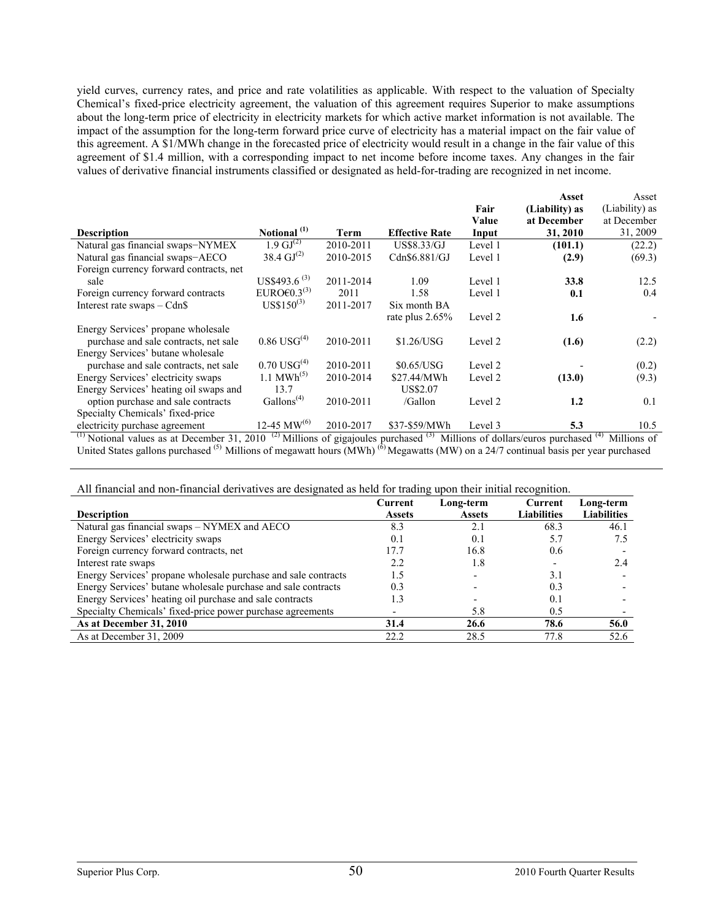yield curves, currency rates, and price and rate volatilities as applicable. With respect to the valuation of Specialty Chemical's fixed-price electricity agreement, the valuation of this agreement requires Superior to make assumptions about the long-term price of electricity in electricity markets for which active market information is not available. The impact of the assumption for the long-term forward price curve of electricity has a material impact on the fair value of this agreement. A \$1/MWh change in the forecasted price of electricity would result in a change in the fair value of this agreement of \$1.4 million, with a corresponding impact to net income before income taxes. Any changes in the fair values of derivative financial instruments classified or designated as held-for-trading are recognized in net income.

|                                                                                                                                                                          |                                    |           |                       |         | Asset          | Asset          |
|--------------------------------------------------------------------------------------------------------------------------------------------------------------------------|------------------------------------|-----------|-----------------------|---------|----------------|----------------|
|                                                                                                                                                                          |                                    |           |                       | Fair    | (Liability) as | (Liability) as |
|                                                                                                                                                                          |                                    |           |                       | Value   | at December    | at December    |
| <b>Description</b>                                                                                                                                                       | Notional <sup>(1)</sup>            | Term      | <b>Effective Rate</b> | Input   | 31, 2010       | 31, 2009       |
| Natural gas financial swaps-NYMEX                                                                                                                                        | $1.9 \text{ GJ}^{(2)}$             | 2010-2011 | US\$8.33/GJ           | Level 1 | (101.1)        | (22.2)         |
| Natural gas financial swaps-AECO                                                                                                                                         | $38.4 \text{ GJ}^{(2)}$            | 2010-2015 | Cdn\$6.881/GJ         | Level 1 | (2.9)          | (69.3)         |
| Foreign currency forward contracts, net                                                                                                                                  |                                    |           |                       |         |                |                |
| sale                                                                                                                                                                     | US\$493.6 $^{(3)}$                 | 2011-2014 | 1.09                  | Level 1 | 33.8           | 12.5           |
| Foreign currency forward contracts                                                                                                                                       | EURO $\epsilon$ 0.3 <sup>(3)</sup> | 2011      | 1.58                  | Level 1 | 0.1            | 0.4            |
| Interest rate swaps $-\text{Cdn}\$$                                                                                                                                      | $US$150^{(3)}$                     | 2011-2017 | Six month BA          |         |                |                |
|                                                                                                                                                                          |                                    |           | rate plus 2.65%       | Level 2 | 1.6            |                |
| Energy Services' propane wholesale                                                                                                                                       |                                    |           |                       |         |                |                |
| purchase and sale contracts, net sale                                                                                                                                    | $0.86$ USG <sup>(4)</sup>          | 2010-2011 | \$1.26/USG            | Level 2 | (1.6)          | (2.2)          |
| Energy Services' butane wholesale                                                                                                                                        |                                    |           |                       |         |                |                |
| purchase and sale contracts, net sale                                                                                                                                    | $0.70$ USG <sup>(4)</sup>          | 2010-2011 | $$0.65/\mathrm{USG}$  | Level 2 |                | (0.2)          |
| Energy Services' electricity swaps                                                                                                                                       | $1.1 \text{ MWh}^{(5)}$            | 2010-2014 | \$27.44/MWh           | Level 2 | (13.0)         | (9.3)          |
| Energy Services' heating oil swaps and                                                                                                                                   | 13.7                               |           | US\$2.07              |         |                |                |
| option purchase and sale contracts                                                                                                                                       | Gallons <sup>(4)</sup>             | 2010-2011 | /Gallon               | Level 2 | 1.2            | 0.1            |
| Specialty Chemicals' fixed-price                                                                                                                                         |                                    |           |                       |         |                |                |
| electricity purchase agreement                                                                                                                                           | 12-45 $MW^{(6)}$                   | 2010-2017 | \$37-\$59/MWh         | Level 3 | 5.3            | 10.5           |
| <sup>(1)</sup> Notional values as at December 31, 2010 <sup>(2)</sup> Millions of gigajoules purchased <sup>(3)</sup> Millions of dollars/euros purchased <sup>(4)</sup> |                                    |           |                       |         |                | Millions of    |

United States gallons purchased <sup>(5)</sup> Millions of megawatt hours (MWh)  $^{(6)}$  Megawatts (MW) on a 24/7 continual basis per year purchased

| All financial and non-financial derivatives are designated as held for trading upon their initial recognition. |  |  |
|----------------------------------------------------------------------------------------------------------------|--|--|
|                                                                                                                |  |  |

| <b>Description</b>                                             | Current<br><b>Assets</b> | Long-term<br><b>Assets</b> | Current<br><b>Liabilities</b> | Long-term<br><b>Liabilities</b> |
|----------------------------------------------------------------|--------------------------|----------------------------|-------------------------------|---------------------------------|
| Natural gas financial swaps - NYMEX and AECO                   | 8.3                      | 2.1                        | 68.3                          | 46.1                            |
| Energy Services' electricity swaps                             | 0.1                      | 0.1                        | 5.7                           | 7.5                             |
| Foreign currency forward contracts, net                        | 17.7                     | 16.8                       | 0.6                           |                                 |
| Interest rate swaps                                            | 2.2                      | 1.8                        |                               | 2.4                             |
| Energy Services' propane wholesale purchase and sale contracts | 1.5                      |                            | 3.1                           |                                 |
| Energy Services' butane wholesale purchase and sale contracts  | 0.3                      |                            | 0.3                           |                                 |
| Energy Services' heating oil purchase and sale contracts       |                          |                            | 0.1                           |                                 |
| Specialty Chemicals' fixed-price power purchase agreements     |                          | 5.8                        | 0.5                           |                                 |
| As at December 31, 2010                                        | 31.4                     | 26.6                       | 78.6                          | 56.0                            |
| As at December 31, 2009                                        | 22.2                     | 28.5                       | 77.8                          | 52.6                            |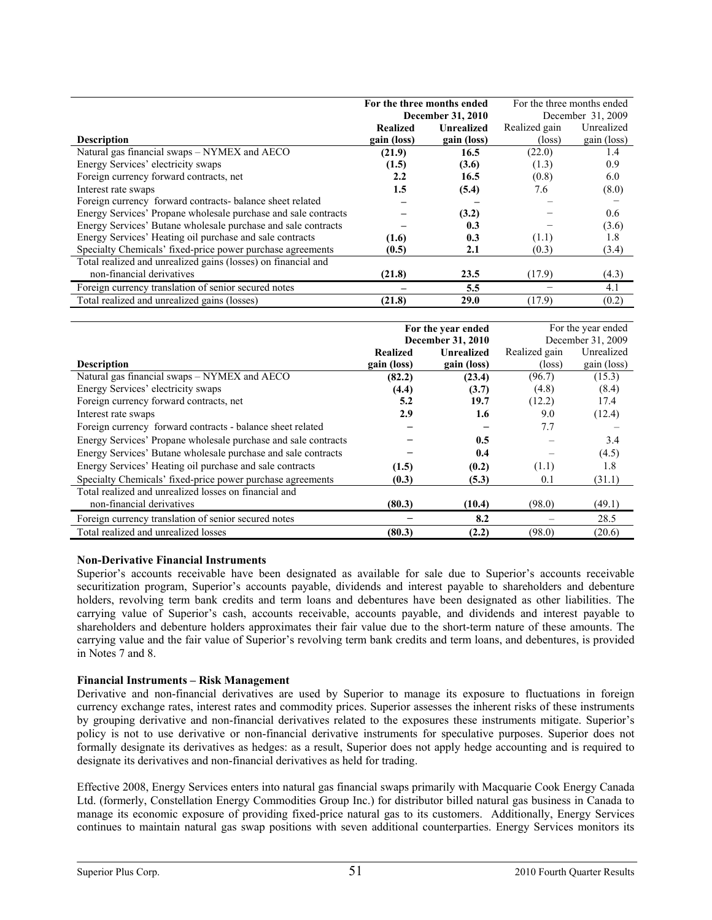|                                                                | For the three months ended |                          | For the three months ended |             |
|----------------------------------------------------------------|----------------------------|--------------------------|----------------------------|-------------|
|                                                                |                            | <b>December 31, 2010</b> | December 31, 2009          |             |
|                                                                | <b>Realized</b>            | <b>Unrealized</b>        | Realized gain              | Unrealized  |
| <b>Description</b>                                             | gain (loss)                | gain (loss)              | $(\text{loss})$            | gain (loss) |
| Natural gas financial swaps - NYMEX and AECO                   | (21.9)                     | 16.5                     | (22.0)                     | 1.4         |
| Energy Services' electricity swaps                             | (1.5)                      | (3.6)                    | (1.3)                      | 0.9         |
| Foreign currency forward contracts, net                        | $2.2\,$                    | 16.5                     | (0.8)                      | 6.0         |
| Interest rate swaps                                            | 1.5                        | (5.4)                    | 7.6                        | (8.0)       |
| Foreign currency forward contracts-balance sheet related       |                            |                          |                            |             |
| Energy Services' Propane wholesale purchase and sale contracts |                            | (3.2)                    |                            | 0.6         |
| Energy Services' Butane wholesale purchase and sale contracts  |                            | 0.3                      |                            | (3.6)       |
| Energy Services' Heating oil purchase and sale contracts       | (1.6)                      | 0.3                      | (1.1)                      | 1.8         |
| Specialty Chemicals' fixed-price power purchase agreements     | (0.5)                      | 2.1                      | (0.3)                      | (3.4)       |
| Total realized and unrealized gains (losses) on financial and  |                            |                          |                            |             |
| non-financial derivatives                                      | (21.8)                     | 23.5                     | (17.9)                     | (4.3)       |
| Foreign currency translation of senior secured notes           |                            | 5.5                      |                            | 4.1         |
| Total realized and unrealized gains (losses)                   | (21.8)                     | <b>29.0</b>              | (17.9)                     | (0.2)       |

|                                                                |                 | For the year ended       | For the year ended |             |  |
|----------------------------------------------------------------|-----------------|--------------------------|--------------------|-------------|--|
|                                                                |                 | <b>December 31, 2010</b> | December 31, 2009  |             |  |
|                                                                | <b>Realized</b> | <b>Unrealized</b>        | Realized gain      | Unrealized  |  |
| <b>Description</b>                                             | gain (loss)     | gain (loss)              | $(\text{loss})$    | gain (loss) |  |
| Natural gas financial swaps - NYMEX and AECO                   | (82.2)          | (23.4)                   | (96.7)             | (15.3)      |  |
| Energy Services' electricity swaps                             | (4.4)           | (3.7)                    | (4.8)              | (8.4)       |  |
| Foreign currency forward contracts, net                        | 5.2             | 19.7                     | (12.2)             | 17.4        |  |
| Interest rate swaps                                            | 2.9             | 1.6                      | 9.0                | (12.4)      |  |
| Foreign currency forward contracts - balance sheet related     |                 |                          | 7.7                |             |  |
| Energy Services' Propane wholesale purchase and sale contracts |                 | 0.5                      |                    | 3.4         |  |
| Energy Services' Butane wholesale purchase and sale contracts  |                 | 0.4                      |                    | (4.5)       |  |
| Energy Services' Heating oil purchase and sale contracts       | (1.5)           | (0.2)                    | (1.1)              | 1.8         |  |
| Specialty Chemicals' fixed-price power purchase agreements     | (0.3)           | (5.3)                    | 0.1                | (31.1)      |  |
| Total realized and unrealized losses on financial and          |                 |                          |                    |             |  |
| non-financial derivatives                                      | (80.3)          | (10.4)                   | (98.0)             | (49.1)      |  |
| Foreign currency translation of senior secured notes           |                 | 8.2                      |                    | 28.5        |  |
| Total realized and unrealized losses                           | (80.3)          | (2.2)                    | (98.0)             | (20.6)      |  |

#### **Non-Derivative Financial Instruments**

Superior's accounts receivable have been designated as available for sale due to Superior's accounts receivable securitization program, Superior's accounts payable, dividends and interest payable to shareholders and debenture holders, revolving term bank credits and term loans and debentures have been designated as other liabilities. The carrying value of Superior's cash, accounts receivable, accounts payable, and dividends and interest payable to shareholders and debenture holders approximates their fair value due to the short-term nature of these amounts. The carrying value and the fair value of Superior's revolving term bank credits and term loans, and debentures, is provided in Notes 7 and 8.

#### **Financial Instruments – Risk Management**

Derivative and non-financial derivatives are used by Superior to manage its exposure to fluctuations in foreign currency exchange rates, interest rates and commodity prices. Superior assesses the inherent risks of these instruments by grouping derivative and non-financial derivatives related to the exposures these instruments mitigate. Superior's policy is not to use derivative or non-financial derivative instruments for speculative purposes. Superior does not formally designate its derivatives as hedges: as a result, Superior does not apply hedge accounting and is required to designate its derivatives and non-financial derivatives as held for trading.

Effective 2008, Energy Services enters into natural gas financial swaps primarily with Macquarie Cook Energy Canada Ltd. (formerly, Constellation Energy Commodities Group Inc.) for distributor billed natural gas business in Canada to manage its economic exposure of providing fixed-price natural gas to its customers. Additionally, Energy Services continues to maintain natural gas swap positions with seven additional counterparties. Energy Services monitors its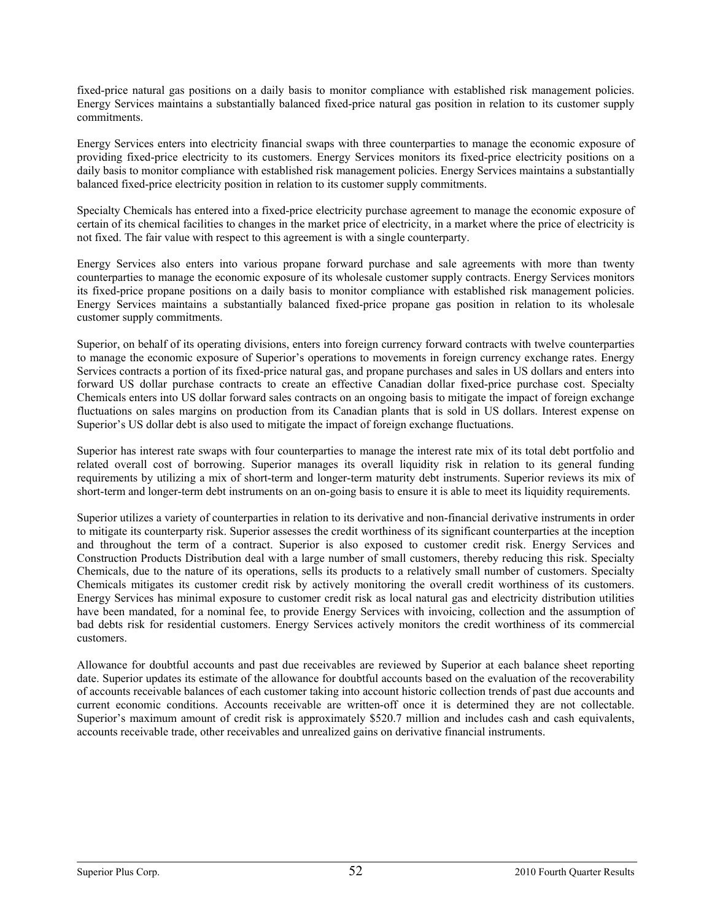fixed-price natural gas positions on a daily basis to monitor compliance with established risk management policies. Energy Services maintains a substantially balanced fixed-price natural gas position in relation to its customer supply commitments.

Energy Services enters into electricity financial swaps with three counterparties to manage the economic exposure of providing fixed-price electricity to its customers. Energy Services monitors its fixed-price electricity positions on a daily basis to monitor compliance with established risk management policies. Energy Services maintains a substantially balanced fixed-price electricity position in relation to its customer supply commitments.

Specialty Chemicals has entered into a fixed-price electricity purchase agreement to manage the economic exposure of certain of its chemical facilities to changes in the market price of electricity, in a market where the price of electricity is not fixed. The fair value with respect to this agreement is with a single counterparty.

Energy Services also enters into various propane forward purchase and sale agreements with more than twenty counterparties to manage the economic exposure of its wholesale customer supply contracts. Energy Services monitors its fixed-price propane positions on a daily basis to monitor compliance with established risk management policies. Energy Services maintains a substantially balanced fixed-price propane gas position in relation to its wholesale customer supply commitments.

Superior, on behalf of its operating divisions, enters into foreign currency forward contracts with twelve counterparties to manage the economic exposure of Superior's operations to movements in foreign currency exchange rates. Energy Services contracts a portion of its fixed-price natural gas, and propane purchases and sales in US dollars and enters into forward US dollar purchase contracts to create an effective Canadian dollar fixed-price purchase cost. Specialty Chemicals enters into US dollar forward sales contracts on an ongoing basis to mitigate the impact of foreign exchange fluctuations on sales margins on production from its Canadian plants that is sold in US dollars. Interest expense on Superior's US dollar debt is also used to mitigate the impact of foreign exchange fluctuations.

Superior has interest rate swaps with four counterparties to manage the interest rate mix of its total debt portfolio and related overall cost of borrowing. Superior manages its overall liquidity risk in relation to its general funding requirements by utilizing a mix of short-term and longer-term maturity debt instruments. Superior reviews its mix of short-term and longer-term debt instruments on an on-going basis to ensure it is able to meet its liquidity requirements.

Superior utilizes a variety of counterparties in relation to its derivative and non-financial derivative instruments in order to mitigate its counterparty risk. Superior assesses the credit worthiness of its significant counterparties at the inception and throughout the term of a contract. Superior is also exposed to customer credit risk. Energy Services and Construction Products Distribution deal with a large number of small customers, thereby reducing this risk. Specialty Chemicals, due to the nature of its operations, sells its products to a relatively small number of customers. Specialty Chemicals mitigates its customer credit risk by actively monitoring the overall credit worthiness of its customers. Energy Services has minimal exposure to customer credit risk as local natural gas and electricity distribution utilities have been mandated, for a nominal fee, to provide Energy Services with invoicing, collection and the assumption of bad debts risk for residential customers. Energy Services actively monitors the credit worthiness of its commercial customers.

Allowance for doubtful accounts and past due receivables are reviewed by Superior at each balance sheet reporting date. Superior updates its estimate of the allowance for doubtful accounts based on the evaluation of the recoverability of accounts receivable balances of each customer taking into account historic collection trends of past due accounts and current economic conditions. Accounts receivable are written-off once it is determined they are not collectable. Superior's maximum amount of credit risk is approximately \$520.7 million and includes cash and cash equivalents, accounts receivable trade, other receivables and unrealized gains on derivative financial instruments.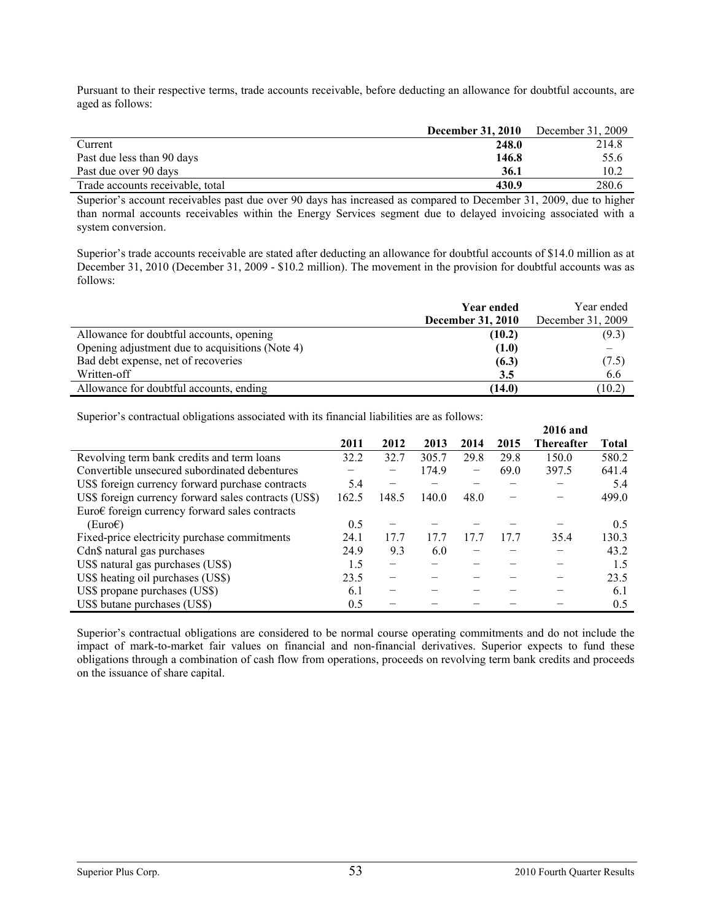Pursuant to their respective terms, trade accounts receivable, before deducting an allowance for doubtful accounts, are aged as follows:

|                                  | <b>December 31, 2010</b> | December 31, 2009 |
|----------------------------------|--------------------------|-------------------|
| Current                          | 248.0                    | 214.8             |
| Past due less than 90 days       | 146.8                    | 55.6              |
| Past due over 90 days            | 36.1                     | 10.2              |
| Trade accounts receivable, total | 430.9                    | 280.6             |

Superior's account receivables past due over 90 days has increased as compared to December 31, 2009, due to higher than normal accounts receivables within the Energy Services segment due to delayed invoicing associated with a system conversion.

Superior's trade accounts receivable are stated after deducting an allowance for doubtful accounts of \$14.0 million as at December 31, 2010 (December 31, 2009 - \$10.2 million). The movement in the provision for doubtful accounts was as follows:

|                                                 | Year ended               | Year ended        |
|-------------------------------------------------|--------------------------|-------------------|
|                                                 | <b>December 31, 2010</b> | December 31, 2009 |
| Allowance for doubtful accounts, opening        | (10.2)                   | (9.3)             |
| Opening adjustment due to acquisitions (Note 4) | (1.0)                    |                   |
| Bad debt expense, net of recoveries             | (6.3)                    | (7.5)             |
| Written-off                                     | 3.5                      | 6.6               |
| Allowance for doubtful accounts, ending         | (14.0)                   | (10.2)            |

Superior's contractual obligations associated with its financial liabilities are as follows:

|                                                          |       |                          |       |                   |      | <i>L</i> UIO and |              |
|----------------------------------------------------------|-------|--------------------------|-------|-------------------|------|------------------|--------------|
|                                                          | 2011  | 2012                     | 2013  | 2014              | 2015 | Thereafter       | <b>Total</b> |
| Revolving term bank credits and term loans               | 32.2  | 32.7                     | 305.7 | 29.8              | 29.8 | 150.0            | 580.2        |
| Convertible unsecured subordinated debentures            |       | -                        | 174.9 | $\qquad \qquad -$ | 69.0 | 397.5            | 641.4        |
| US\$ foreign currency forward purchase contracts         | 5.4   | –                        |       |                   |      |                  | 5.4          |
| US\$ foreign currency forward sales contracts (US\$)     | 162.5 | 148.5                    | 140.0 | 48.0              |      |                  | 499.0        |
| Euro $\epsilon$ foreign currency forward sales contracts |       |                          |       |                   |      |                  |              |
| (EuroE)                                                  | 0.5   |                          |       |                   |      |                  | 0.5          |
| Fixed-price electricity purchase commitments             | 24.1  | 17.7                     | 17.7  | 17.7              | 177  | 35.4             | 130.3        |
| Cdn\$ natural gas purchases                              | 24.9  | 9.3                      | 6.0   |                   |      |                  | 43.2         |
| US\$ natural gas purchases (US\$)                        | 1.5   | -                        |       |                   |      |                  | 1.5          |
| US\$ heating oil purchases (US\$)                        | 23.5  | -                        |       |                   |      |                  | 23.5         |
| US\$ propane purchases (US\$)                            | 6.1   | $\overline{\phantom{0}}$ |       |                   |      |                  | 6.1          |
| US\$ butane purchases (US\$)                             | 0.5   |                          |       |                   |      |                  | 0.5          |

Superior's contractual obligations are considered to be normal course operating commitments and do not include the impact of mark-to-market fair values on financial and non-financial derivatives. Superior expects to fund these obligations through a combination of cash flow from operations, proceeds on revolving term bank credits and proceeds on the issuance of share capital.

**2016 and**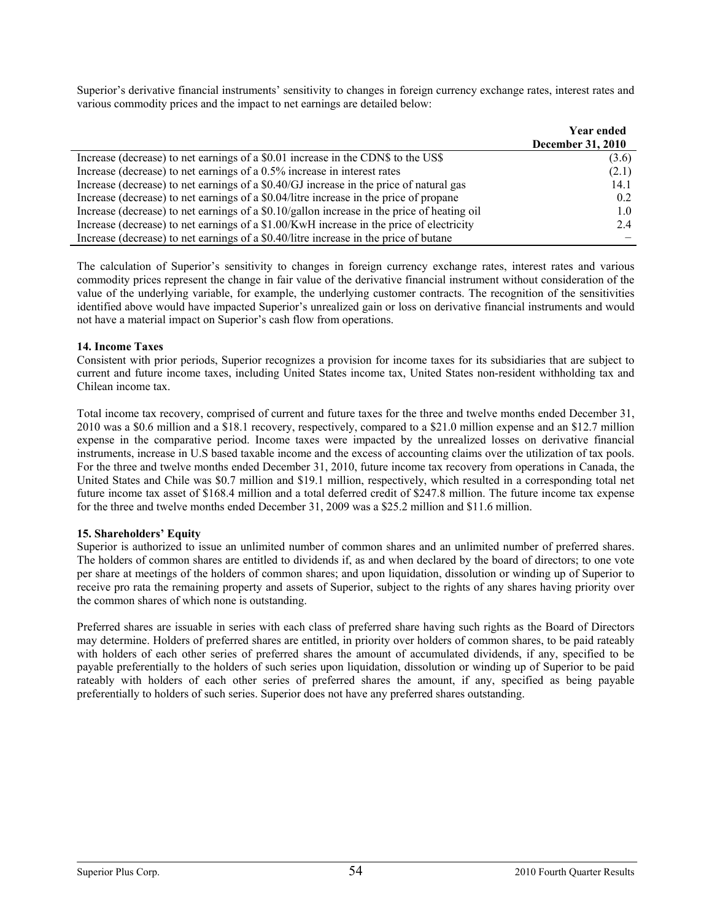Superior's derivative financial instruments' sensitivity to changes in foreign currency exchange rates, interest rates and various commodity prices and the impact to net earnings are detailed below:

|                                                                                             | <b>Year ended</b> |
|---------------------------------------------------------------------------------------------|-------------------|
|                                                                                             | December 31, 2010 |
| Increase (decrease) to net earnings of a \$0.01 increase in the CDN\$ to the US\$           | (3.6)             |
| Increase (decrease) to net earnings of a 0.5% increase in interest rates                    | (2.1)             |
| Increase (decrease) to net earnings of a \$0.40/GJ increase in the price of natural gas     | 14.1              |
| Increase (decrease) to net earnings of a \$0.04/litre increase in the price of propane      | 0.2               |
| Increase (decrease) to net earnings of a \$0.10/gallon increase in the price of heating oil | 1.0               |
| Increase (decrease) to net earnings of a \$1.00/KwH increase in the price of electricity    | 2.4               |
| Increase (decrease) to net earnings of a \$0.40/litre increase in the price of butane       |                   |

The calculation of Superior's sensitivity to changes in foreign currency exchange rates, interest rates and various commodity prices represent the change in fair value of the derivative financial instrument without consideration of the value of the underlying variable, for example, the underlying customer contracts. The recognition of the sensitivities identified above would have impacted Superior's unrealized gain or loss on derivative financial instruments and would not have a material impact on Superior's cash flow from operations.

#### **14. Income Taxes**

Consistent with prior periods, Superior recognizes a provision for income taxes for its subsidiaries that are subject to current and future income taxes, including United States income tax, United States non-resident withholding tax and Chilean income tax.

Total income tax recovery, comprised of current and future taxes for the three and twelve months ended December 31, 2010 was a \$0.6 million and a \$18.1 recovery, respectively, compared to a \$21.0 million expense and an \$12.7 million expense in the comparative period. Income taxes were impacted by the unrealized losses on derivative financial instruments, increase in U.S based taxable income and the excess of accounting claims over the utilization of tax pools. For the three and twelve months ended December 31, 2010, future income tax recovery from operations in Canada, the United States and Chile was \$0.7 million and \$19.1 million, respectively, which resulted in a corresponding total net future income tax asset of \$168.4 million and a total deferred credit of \$247.8 million. The future income tax expense for the three and twelve months ended December 31, 2009 was a \$25.2 million and \$11.6 million.

#### **15. Shareholders' Equity**

Superior is authorized to issue an unlimited number of common shares and an unlimited number of preferred shares. The holders of common shares are entitled to dividends if, as and when declared by the board of directors; to one vote per share at meetings of the holders of common shares; and upon liquidation, dissolution or winding up of Superior to receive pro rata the remaining property and assets of Superior, subject to the rights of any shares having priority over the common shares of which none is outstanding.

Preferred shares are issuable in series with each class of preferred share having such rights as the Board of Directors may determine. Holders of preferred shares are entitled, in priority over holders of common shares, to be paid rateably with holders of each other series of preferred shares the amount of accumulated dividends, if any, specified to be payable preferentially to the holders of such series upon liquidation, dissolution or winding up of Superior to be paid rateably with holders of each other series of preferred shares the amount, if any, specified as being payable preferentially to holders of such series. Superior does not have any preferred shares outstanding.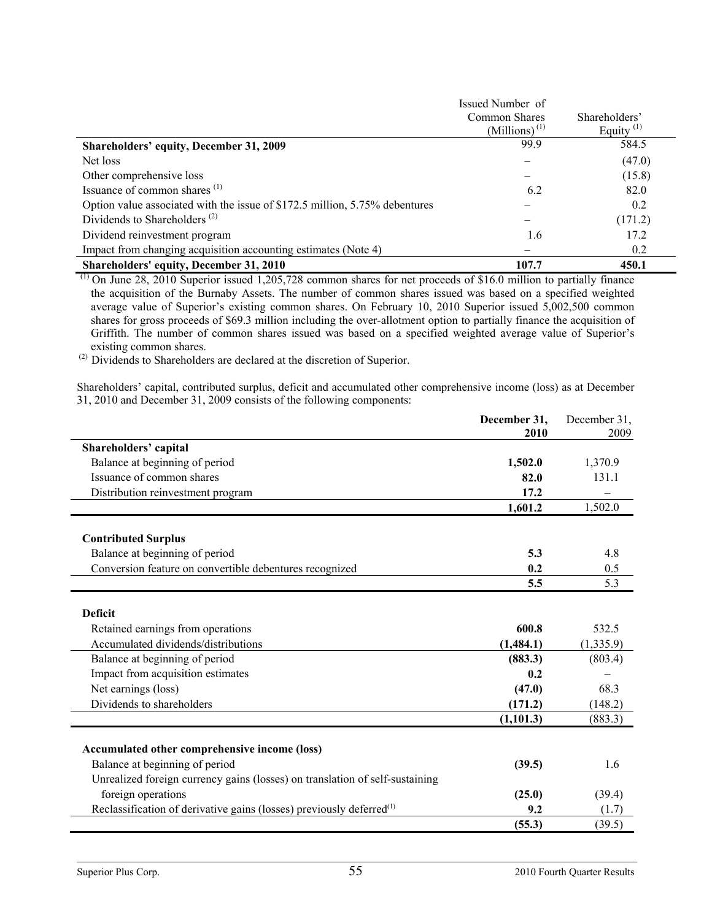|                                                                             | Issued Number of            |               |
|-----------------------------------------------------------------------------|-----------------------------|---------------|
|                                                                             | Common Shares               | Shareholders' |
|                                                                             | $(Millions)$ <sup>(1)</sup> | Equity $(1)$  |
| <b>Shareholders' equity, December 31, 2009</b>                              | 99.9                        | 584.5         |
| Net loss                                                                    |                             | (47.0)        |
| Other comprehensive loss                                                    |                             | (15.8)        |
| Issuance of common shares <sup>(1)</sup>                                    | 6.2                         | 82.0          |
| Option value associated with the issue of \$172.5 million, 5.75% debentures |                             | 0.2           |
| Dividends to Shareholders <sup>(2)</sup>                                    |                             | (171.2)       |
| Dividend reinvestment program                                               | 1.6                         | 17.2          |
| Impact from changing acquisition accounting estimates (Note 4)              |                             | 0.2           |
| <b>Shareholders' equity, December 31, 2010</b>                              | 107.7                       | 450.1         |

 $(1)$  On June 28, 2010 Superior issued 1,205,728 common shares for net proceeds of \$16.0 million to partially finance the acquisition of the Burnaby Assets. The number of common shares issued was based on a specified weighted average value of Superior's existing common shares. On February 10, 2010 Superior issued 5,002,500 common shares for gross proceeds of \$69.3 million including the over-allotment option to partially finance the acquisition of Griffith. The number of common shares issued was based on a specified weighted average value of Superior's existing common shares.

<sup>(2)</sup> Dividends to Shareholders are declared at the discretion of Superior.

Shareholders' capital, contributed surplus, deficit and accumulated other comprehensive income (loss) as at December 31, 2010 and December 31, 2009 consists of the following components:

|                                                                                  | December 31, | December 31, |
|----------------------------------------------------------------------------------|--------------|--------------|
| Shareholders' capital                                                            | 2010         | 2009         |
| Balance at beginning of period                                                   | 1,502.0      | 1,370.9      |
| Issuance of common shares                                                        | 82.0         | 131.1        |
| Distribution reinvestment program                                                | 17.2         |              |
|                                                                                  | 1,601.2      | 1,502.0      |
|                                                                                  |              |              |
| <b>Contributed Surplus</b>                                                       |              |              |
| Balance at beginning of period                                                   | 5.3          | 4.8          |
| Conversion feature on convertible debentures recognized                          | 0.2          | 0.5          |
|                                                                                  | 5.5          | 5.3          |
|                                                                                  |              |              |
| <b>Deficit</b>                                                                   |              |              |
| Retained earnings from operations                                                | 600.8        | 532.5        |
| Accumulated dividends/distributions                                              | (1,484.1)    | (1, 335.9)   |
| Balance at beginning of period                                                   | (883.3)      | (803.4)      |
| Impact from acquisition estimates                                                | 0.2          |              |
| Net earnings (loss)                                                              | (47.0)       | 68.3         |
| Dividends to shareholders                                                        | (171.2)      | (148.2)      |
|                                                                                  | (1, 101.3)   | (883.3)      |
|                                                                                  |              |              |
| Accumulated other comprehensive income (loss)                                    |              |              |
| Balance at beginning of period                                                   | (39.5)       | 1.6          |
| Unrealized foreign currency gains (losses) on translation of self-sustaining     |              |              |
| foreign operations                                                               | (25.0)       | (39.4)       |
| Reclassification of derivative gains (losses) previously deferred <sup>(1)</sup> | 9.2          | (1.7)        |
|                                                                                  | (55.3)       | (39.5)       |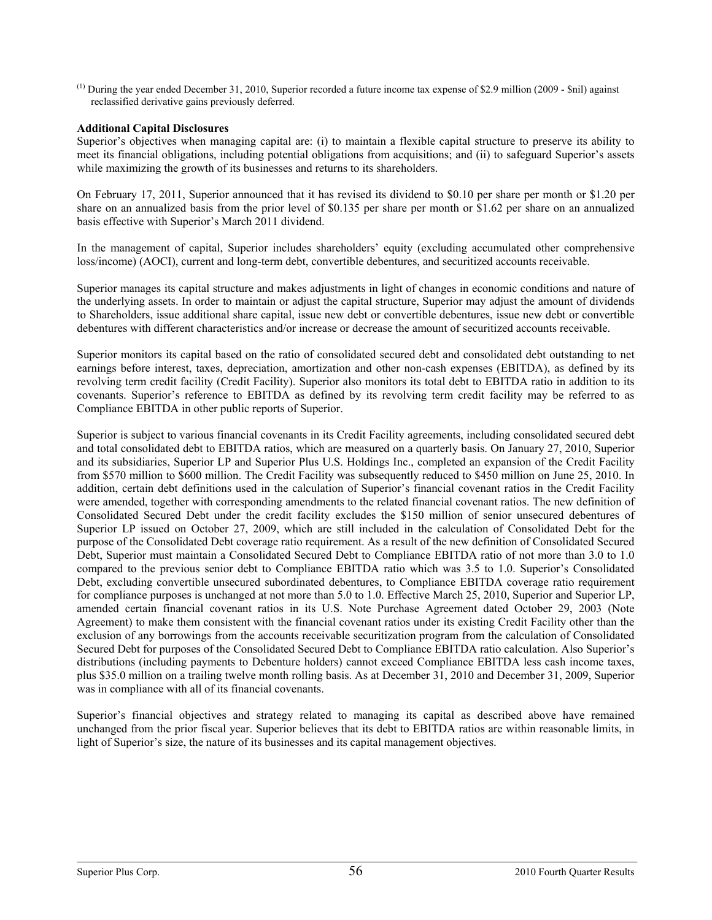$<sup>(1)</sup>$  During the year ended December 31, 2010, Superior recorded a future income tax expense of \$2.9 million (2009 - \$nil) against</sup> reclassified derivative gains previously deferred.

#### **Additional Capital Disclosures**

Superior's objectives when managing capital are: (i) to maintain a flexible capital structure to preserve its ability to meet its financial obligations, including potential obligations from acquisitions; and (ii) to safeguard Superior's assets while maximizing the growth of its businesses and returns to its shareholders.

On February 17, 2011, Superior announced that it has revised its dividend to \$0.10 per share per month or \$1.20 per share on an annualized basis from the prior level of \$0.135 per share per month or \$1.62 per share on an annualized basis effective with Superior's March 2011 dividend.

In the management of capital, Superior includes shareholders' equity (excluding accumulated other comprehensive loss/income) (AOCI), current and long-term debt, convertible debentures, and securitized accounts receivable.

Superior manages its capital structure and makes adjustments in light of changes in economic conditions and nature of the underlying assets. In order to maintain or adjust the capital structure, Superior may adjust the amount of dividends to Shareholders, issue additional share capital, issue new debt or convertible debentures, issue new debt or convertible debentures with different characteristics and/or increase or decrease the amount of securitized accounts receivable.

Superior monitors its capital based on the ratio of consolidated secured debt and consolidated debt outstanding to net earnings before interest, taxes, depreciation, amortization and other non-cash expenses (EBITDA), as defined by its revolving term credit facility (Credit Facility). Superior also monitors its total debt to EBITDA ratio in addition to its covenants. Superior's reference to EBITDA as defined by its revolving term credit facility may be referred to as Compliance EBITDA in other public reports of Superior.

Superior is subject to various financial covenants in its Credit Facility agreements, including consolidated secured debt and total consolidated debt to EBITDA ratios, which are measured on a quarterly basis. On January 27, 2010, Superior and its subsidiaries, Superior LP and Superior Plus U.S. Holdings Inc., completed an expansion of the Credit Facility from \$570 million to \$600 million. The Credit Facility was subsequently reduced to \$450 million on June 25, 2010. In addition, certain debt definitions used in the calculation of Superior's financial covenant ratios in the Credit Facility were amended, together with corresponding amendments to the related financial covenant ratios. The new definition of Consolidated Secured Debt under the credit facility excludes the \$150 million of senior unsecured debentures of Superior LP issued on October 27, 2009, which are still included in the calculation of Consolidated Debt for the purpose of the Consolidated Debt coverage ratio requirement. As a result of the new definition of Consolidated Secured Debt, Superior must maintain a Consolidated Secured Debt to Compliance EBITDA ratio of not more than 3.0 to 1.0 compared to the previous senior debt to Compliance EBITDA ratio which was 3.5 to 1.0. Superior's Consolidated Debt, excluding convertible unsecured subordinated debentures, to Compliance EBITDA coverage ratio requirement for compliance purposes is unchanged at not more than 5.0 to 1.0. Effective March 25, 2010, Superior and Superior LP, amended certain financial covenant ratios in its U.S. Note Purchase Agreement dated October 29, 2003 (Note Agreement) to make them consistent with the financial covenant ratios under its existing Credit Facility other than the exclusion of any borrowings from the accounts receivable securitization program from the calculation of Consolidated Secured Debt for purposes of the Consolidated Secured Debt to Compliance EBITDA ratio calculation. Also Superior's distributions (including payments to Debenture holders) cannot exceed Compliance EBITDA less cash income taxes, plus \$35.0 million on a trailing twelve month rolling basis. As at December 31, 2010 and December 31, 2009, Superior was in compliance with all of its financial covenants.

Superior's financial objectives and strategy related to managing its capital as described above have remained unchanged from the prior fiscal year. Superior believes that its debt to EBITDA ratios are within reasonable limits, in light of Superior's size, the nature of its businesses and its capital management objectives.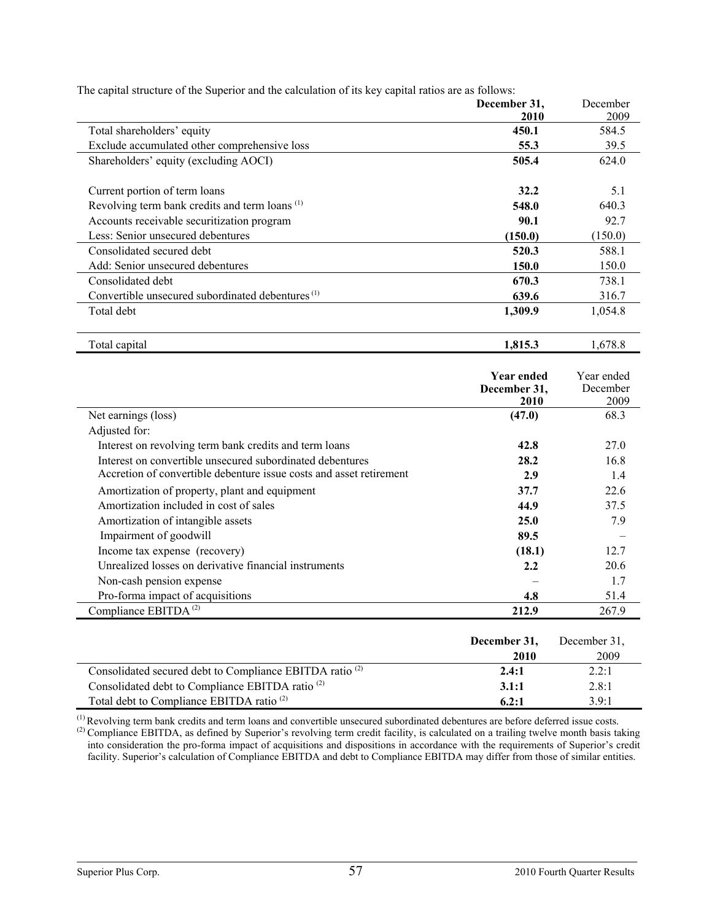| The capital structure of the Superior and the calculation of its key capital ratios are as follows: |  |  |  |
|-----------------------------------------------------------------------------------------------------|--|--|--|
|                                                                                                     |  |  |  |

|                                                              | December 31,<br>2010 | December<br>2009 |
|--------------------------------------------------------------|----------------------|------------------|
| Total shareholders' equity                                   | 450.1                | 584.5            |
| Exclude accumulated other comprehensive loss                 | 55.3                 | 39.5             |
| Shareholders' equity (excluding AOCI)                        | 505.4                | 624.0            |
| Current portion of term loans                                | 32.2                 | 5.1              |
| Revolving term bank credits and term loans <sup>(1)</sup>    | 548.0                | 640.3            |
| Accounts receivable securitization program                   | 90.1                 | 92.7             |
| Less: Senior unsecured debentures                            | (150.0)              | (150.0)          |
| Consolidated secured debt                                    | 520.3                | 588.1            |
| Add: Senior unsecured debentures                             | 150.0                | 150.0            |
| Consolidated debt                                            | 670.3                | 738.1            |
| Convertible unsecured subordinated debentures <sup>(1)</sup> | 639.6                | 316.7            |
| Total debt                                                   | 1,309.9              | 1,054.8          |
| Total capital                                                | 1,815.3              | 1,678.8          |

|                                                                     | <b>Year ended</b><br>December 31,<br>2010 | Year ended<br>December<br>2009 |
|---------------------------------------------------------------------|-------------------------------------------|--------------------------------|
| Net earnings (loss)                                                 | (47.0)                                    | 68.3                           |
| Adjusted for:                                                       |                                           |                                |
| Interest on revolving term bank credits and term loans              | 42.8                                      | 27.0                           |
| Interest on convertible unsecured subordinated debentures           | 28.2                                      | 16.8                           |
| Accretion of convertible debenture issue costs and asset retirement | 2.9                                       | 1.4                            |
| Amortization of property, plant and equipment                       | 37.7                                      | 22.6                           |
| Amortization included in cost of sales                              | 44.9                                      | 37.5                           |
| Amortization of intangible assets                                   | 25.0                                      | 7.9                            |
| Impairment of goodwill                                              | 89.5                                      |                                |
| Income tax expense (recovery)                                       | (18.1)                                    | 12.7                           |
| Unrealized losses on derivative financial instruments               | 2.2                                       | 20.6                           |
| Non-cash pension expense                                            |                                           | 1.7                            |
| Pro-forma impact of acquisitions                                    | 4.8                                       | 51.4                           |
| Compliance EBITDA <sup>(2)</sup>                                    | 212.9                                     | 267.9                          |

|                                                                     | December 31,<br>2010 | December 31.<br>2009 |
|---------------------------------------------------------------------|----------------------|----------------------|
| Consolidated secured debt to Compliance EBITDA ratio <sup>(2)</sup> | 2.4:1                | 2.2:1                |
| Consolidated debt to Compliance EBITDA ratio <sup>(2)</sup>         | 3.1:1                | 2.8:1                |
| Total debt to Compliance EBITDA ratio <sup>(2)</sup>                | 6.2:1                | 39.1                 |

 $<sup>(1)</sup>$  Revolving term bank credits and term loans and convertible unsecured subordinated debentures are before deferred issue costs.</sup>

 $^{(2)}$  Compliance EBITDA, as defined by Superior's revolving term credit facility, is calculated on a trailing twelve month basis taking into consideration the pro-forma impact of acquisitions and dispositions in accordance with the requirements of Superior's credit facility. Superior's calculation of Compliance EBITDA and debt to Compliance EBITDA may differ from those of similar entities.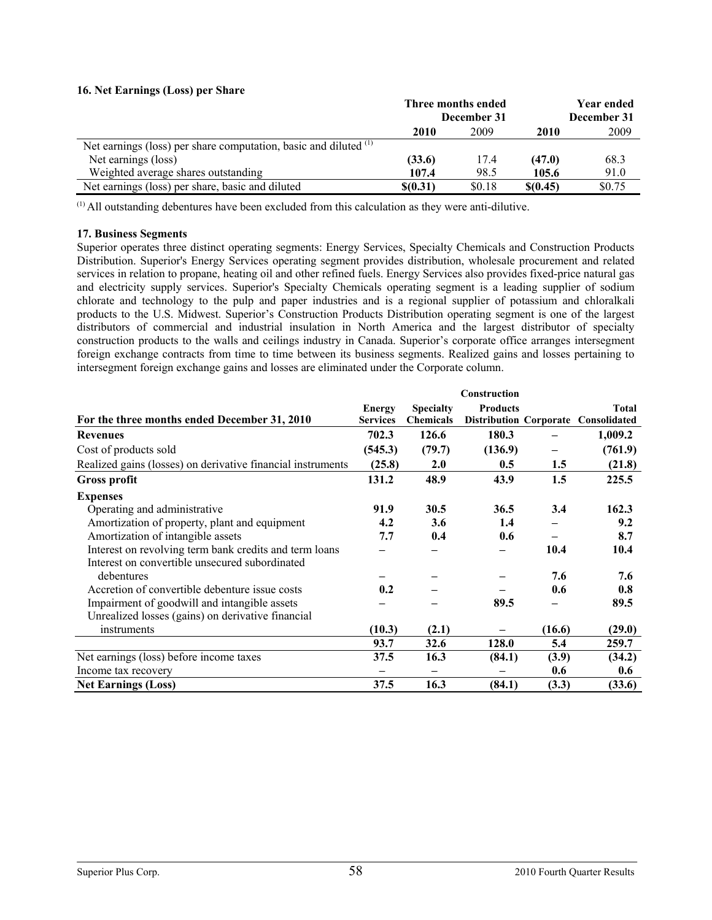#### **16. Net Earnings (Loss) per Share**

|                                                                             | Three months ended<br>December 31 |        |          | Year ended<br>December 31 |
|-----------------------------------------------------------------------------|-----------------------------------|--------|----------|---------------------------|
|                                                                             | 2010                              | 2009   | 2010     | 2009                      |
| Net earnings (loss) per share computation, basic and diluted <sup>(1)</sup> |                                   |        |          |                           |
| Net earnings (loss)                                                         | (33.6)                            | 17.4   | (47.0)   | 68.3                      |
| Weighted average shares outstanding                                         | 107.4                             | 98.5   | 105.6    | 91.0                      |
| Net earnings (loss) per share, basic and diluted                            | \$(0.31)                          | \$0.18 | \$(0.45) | \$0.75                    |

 $<sup>(1)</sup>$  All outstanding debentures have been excluded from this calculation as they were anti-dilutive.</sup>

#### **17. Business Segments**

Superior operates three distinct operating segments: Energy Services, Specialty Chemicals and Construction Products Distribution. Superior's Energy Services operating segment provides distribution, wholesale procurement and related services in relation to propane, heating oil and other refined fuels. Energy Services also provides fixed-price natural gas and electricity supply services. Superior's Specialty Chemicals operating segment is a leading supplier of sodium chlorate and technology to the pulp and paper industries and is a regional supplier of potassium and chloralkali products to the U.S. Midwest. Superior's Construction Products Distribution operating segment is one of the largest distributors of commercial and industrial insulation in North America and the largest distributor of specialty construction products to the walls and ceilings industry in Canada. Superior's corporate office arranges intersegment foreign exchange contracts from time to time between its business segments. Realized gains and losses pertaining to intersegment foreign exchange gains and losses are eliminated under the Corporate column.

|                                                             | Construction              |                                      |                 |        |                                                     |
|-------------------------------------------------------------|---------------------------|--------------------------------------|-----------------|--------|-----------------------------------------------------|
| For the three months ended December 31, 2010                | Energy<br><b>Services</b> | <b>Specialty</b><br><b>Chemicals</b> | <b>Products</b> |        | <b>Total</b><br>Distribution Corporate Consolidated |
| <b>Revenues</b>                                             | 702.3                     | 126.6                                | 180.3           |        | 1,009.2                                             |
|                                                             |                           |                                      |                 |        |                                                     |
| Cost of products sold                                       | (545.3)                   | (79.7)                               | (136.9)         |        | (761.9)                                             |
| Realized gains (losses) on derivative financial instruments | (25.8)                    | 2.0                                  | 0.5             | 1.5    | (21.8)                                              |
| <b>Gross profit</b>                                         | 131.2                     | 48.9                                 | 43.9            | 1.5    | 225.5                                               |
| <b>Expenses</b>                                             |                           |                                      |                 |        |                                                     |
| Operating and administrative                                | 91.9                      | 30.5                                 | 36.5            | 3.4    | 162.3                                               |
| Amortization of property, plant and equipment               | 4.2                       | 3.6                                  | 1.4             |        | 9.2                                                 |
| Amortization of intangible assets                           | 7.7                       | 0.4                                  | 0.6             |        | 8.7                                                 |
| Interest on revolving term bank credits and term loans      |                           |                                      |                 | 10.4   | 10.4                                                |
| Interest on convertible unsecured subordinated              |                           |                                      |                 |        |                                                     |
| debentures                                                  |                           |                                      |                 | 7.6    | 7.6                                                 |
| Accretion of convertible debenture issue costs              | 0.2                       |                                      |                 | 0.6    | 0.8                                                 |
| Impairment of goodwill and intangible assets                |                           |                                      | 89.5            |        | 89.5                                                |
| Unrealized losses (gains) on derivative financial           |                           |                                      |                 |        |                                                     |
| instruments                                                 | (10.3)                    | (2.1)                                |                 | (16.6) | (29.0)                                              |
|                                                             | 93.7                      | 32.6                                 | 128.0           | 5.4    | 259.7                                               |
| Net earnings (loss) before income taxes                     | 37.5                      | 16.3                                 | (84.1)          | (3.9)  | (34.2)                                              |
| Income tax recovery                                         |                           |                                      |                 | 0.6    | 0.6                                                 |
| <b>Net Earnings (Loss)</b>                                  | 37.5                      | 16.3                                 | (84.1)          | (3.3)  | (33.6)                                              |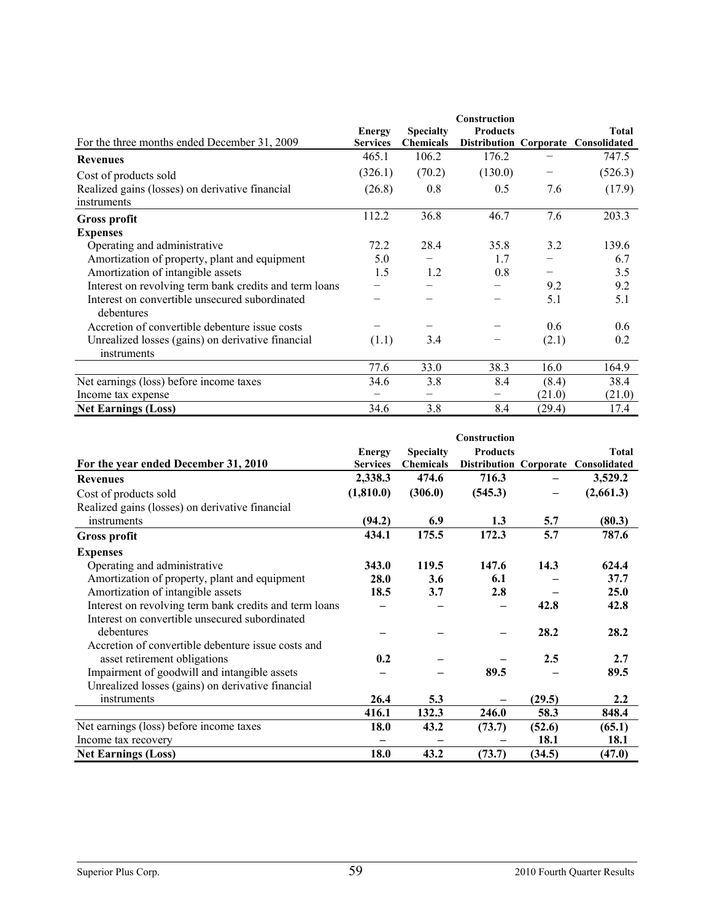|                                                                  | <b>Construction</b> |                  |                 |        |                                     |
|------------------------------------------------------------------|---------------------|------------------|-----------------|--------|-------------------------------------|
|                                                                  | Energy              | <b>Specialty</b> | <b>Products</b> |        | <b>Total</b>                        |
| For the three months ended December 31, 2009                     | <b>Services</b>     | <b>Chemicals</b> |                 |        | Distribution Corporate Consolidated |
| <b>Revenues</b>                                                  | 465.1               | 106.2            | 176.2           |        | 747.5                               |
| Cost of products sold                                            | (326.1)             | (70.2)           | (130.0)         |        | (526.3)                             |
| Realized gains (losses) on derivative financial                  | (26.8)              | 0.8              | 0.5             | 7.6    | (17.9)                              |
| instruments                                                      |                     |                  |                 |        |                                     |
| Gross profit                                                     | 112.2               | 36.8             | 46.7            | 7.6    | 203.3                               |
| <b>Expenses</b>                                                  |                     |                  |                 |        |                                     |
| Operating and administrative                                     | 72.2                | 28.4             | 35.8            | 3.2    | 139.6                               |
| Amortization of property, plant and equipment                    | 5.0                 |                  | 1.7             |        | 6.7                                 |
| Amortization of intangible assets                                | 1.5                 | 1.2              | 0.8             |        | 3.5                                 |
| Interest on revolving term bank credits and term loans           |                     |                  |                 | 9.2    | 9.2                                 |
| Interest on convertible unsecured subordinated<br>debentures     |                     |                  |                 | 5.1    | 5.1                                 |
| Accretion of convertible debenture issue costs                   |                     |                  |                 | 0.6    | 0.6                                 |
| Unrealized losses (gains) on derivative financial<br>instruments | (1.1)               | 3.4              |                 | (2.1)  | 0.2                                 |
|                                                                  | 77.6                | 33.0             | 38.3            | 16.0   | 164.9                               |
| Net earnings (loss) before income taxes                          | 34.6                | 3.8              | 8.4             | (8.4)  | 38.4                                |
| Income tax expense                                               |                     |                  | —               | (21.0) | (21.0)                              |
| <b>Net Earnings (Loss)</b>                                       | 34.6                | 3.8              | 8.4             | (29.4) | 17.4                                |

|                                                        | Construction    |                  |                 |        |                                     |
|--------------------------------------------------------|-----------------|------------------|-----------------|--------|-------------------------------------|
|                                                        | <b>Energy</b>   | <b>Specialty</b> | <b>Products</b> |        | <b>Total</b>                        |
| For the year ended December 31, 2010                   | <b>Services</b> | <b>Chemicals</b> |                 |        | Distribution Corporate Consolidated |
| <b>Revenues</b>                                        | 2,338.3         | 474.6            | 716.3           |        | 3,529.2                             |
| Cost of products sold                                  | (1,810.0)       | (306.0)          | (545.3)         |        | (2,661.3)                           |
| Realized gains (losses) on derivative financial        |                 |                  |                 |        |                                     |
| instruments                                            | (94.2)          | 6.9              | 1.3             | 5.7    | (80.3)                              |
| <b>Gross profit</b>                                    | 434.1           | 175.5            | 172.3           | 5.7    | 787.6                               |
| <b>Expenses</b>                                        |                 |                  |                 |        |                                     |
| Operating and administrative                           | 343.0           | 119.5            | 147.6           | 14.3   | 624.4                               |
| Amortization of property, plant and equipment          | 28.0            | 3.6              | 6.1             |        | 37.7                                |
| Amortization of intangible assets                      | 18.5            | 3.7              | 2.8             |        | 25.0                                |
| Interest on revolving term bank credits and term loans |                 |                  |                 | 42.8   | 42.8                                |
| Interest on convertible unsecured subordinated         |                 |                  |                 |        |                                     |
| debentures                                             |                 |                  |                 | 28.2   | 28.2                                |
| Accretion of convertible debenture issue costs and     |                 |                  |                 |        |                                     |
| asset retirement obligations                           | 0.2             |                  |                 | 2.5    | 2.7                                 |
| Impairment of goodwill and intangible assets           |                 |                  | 89.5            |        | 89.5                                |
| Unrealized losses (gains) on derivative financial      |                 |                  |                 |        |                                     |
| instruments                                            | 26.4            | 5.3              |                 | (29.5) | 2.2                                 |
|                                                        | 416.1           | 132.3            | 246.0           | 58.3   | 848.4                               |
| Net earnings (loss) before income taxes                | <b>18.0</b>     | 43.2             | (73.7)          | (52.6) | (65.1)                              |
| Income tax recovery                                    |                 |                  |                 | 18.1   | 18.1                                |
| <b>Net Earnings (Loss)</b>                             | <b>18.0</b>     | 43.2             | (73.7)          | (34.5) | (47.0)                              |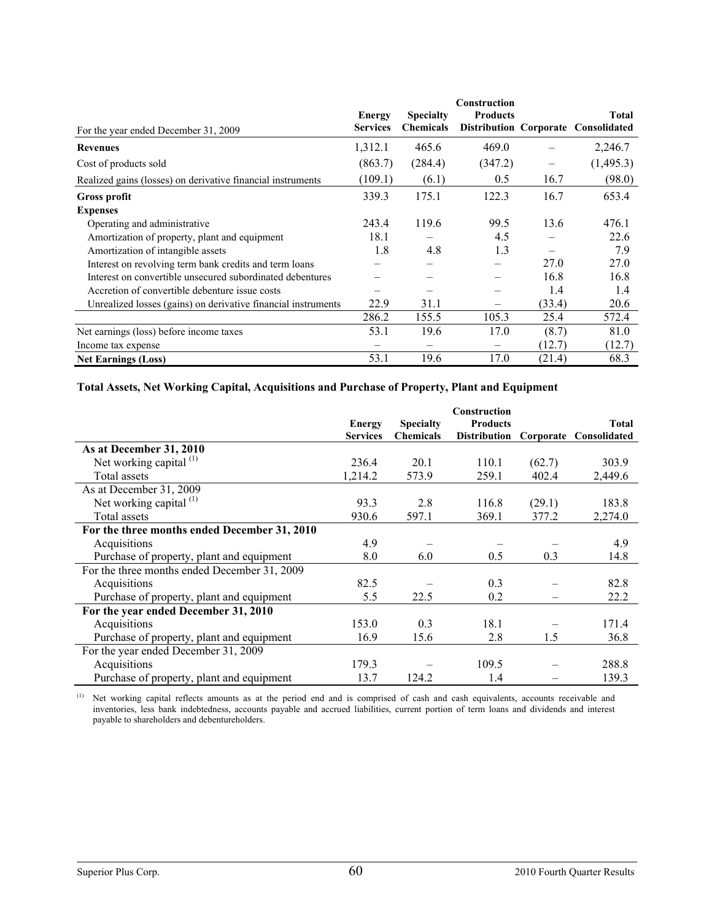| For the year ended December 31, 2009                          | Energy<br><b>Services</b> | <b>Specialty</b><br><b>Chemicals</b> | <b>Construction</b><br><b>Products</b> |        | <b>Total</b><br>Distribution Corporate Consolidated |
|---------------------------------------------------------------|---------------------------|--------------------------------------|----------------------------------------|--------|-----------------------------------------------------|
| <b>Revenues</b>                                               | 1,312.1                   | 465.6                                | 469.0                                  |        | 2,246.7                                             |
| Cost of products sold                                         | (863.7)                   | (284.4)                              | (347.2)                                |        | (1,495.3)                                           |
| Realized gains (losses) on derivative financial instruments   | (109.1)                   | (6.1)                                | 0.5                                    | 16.7   | (98.0)                                              |
| Gross profit                                                  | 339.3                     | 175.1                                | 122.3                                  | 16.7   | 653.4                                               |
| <b>Expenses</b>                                               |                           |                                      |                                        |        |                                                     |
| Operating and administrative                                  | 243.4                     | 119.6                                | 99.5                                   | 13.6   | 476.1                                               |
| Amortization of property, plant and equipment                 | 18.1                      |                                      | 4.5                                    |        | 22.6                                                |
| Amortization of intangible assets                             | 1.8                       | 4.8                                  | 1.3                                    |        | 7.9                                                 |
| Interest on revolving term bank credits and term loans        |                           |                                      |                                        | 27.0   | 27.0                                                |
| Interest on convertible unsecured subordinated debentures     | -                         | -                                    | -                                      | 16.8   | 16.8                                                |
| Accretion of convertible debenture issue costs                |                           |                                      |                                        | 1.4    | 1.4                                                 |
| Unrealized losses (gains) on derivative financial instruments | 22.9                      | 31.1                                 |                                        | (33.4) | 20.6                                                |
|                                                               | 286.2                     | 155.5                                | 105.3                                  | 25.4   | 572.4                                               |
| Net earnings (loss) before income taxes                       | 53.1                      | 19.6                                 | 17.0                                   | (8.7)  | 81.0                                                |
| Income tax expense                                            |                           | $\hspace{0.05cm}$                    | $\overline{\phantom{m}}$               | (12.7) | (12.7)                                              |
| <b>Net Earnings (Loss)</b>                                    | 53.1                      | 19.6                                 | 17.0                                   | (21.4) | 68.3                                                |

#### **Total Assets, Net Working Capital, Acquisitions and Purchase of Property, Plant and Equipment**

|                                              |                 |                  | <b>Construction</b> |        |                        |
|----------------------------------------------|-----------------|------------------|---------------------|--------|------------------------|
|                                              | Energy          | <b>Specialty</b> | <b>Products</b>     |        | <b>Total</b>           |
|                                              | <b>Services</b> | <b>Chemicals</b> | <b>Distribution</b> |        | Corporate Consolidated |
| As at December 31, 2010                      |                 |                  |                     |        |                        |
| Net working capital $(1)$                    | 236.4           | 20.1             | 110.1               | (62.7) | 303.9                  |
| Total assets                                 | 1,214.2         | 573.9            | 259.1               | 402.4  | 2,449.6                |
| As at December 31, 2009                      |                 |                  |                     |        |                        |
| Net working capital $(1)$                    | 93.3            | 2.8              | 116.8               | (29.1) | 183.8                  |
| Total assets                                 | 930.6           | 597.1            | 369.1               | 377.2  | 2,274.0                |
| For the three months ended December 31, 2010 |                 |                  |                     |        |                        |
| Acquisitions                                 | 4.9             |                  |                     |        | 4.9                    |
| Purchase of property, plant and equipment    | 8.0             | 6.0              | 0.5                 | 0.3    | 14.8                   |
| For the three months ended December 31, 2009 |                 |                  |                     |        |                        |
| Acquisitions                                 | 82.5            |                  | 0.3                 |        | 82.8                   |
| Purchase of property, plant and equipment    | 5.5             | 22.5             | 0.2                 |        | 22.2                   |
| For the year ended December 31, 2010         |                 |                  |                     |        |                        |
| Acquisitions                                 | 153.0           | 0.3              | 18.1                |        | 171.4                  |
| Purchase of property, plant and equipment    | 16.9            | 15.6             | 2.8                 | 1.5    | 36.8                   |
| For the year ended December 31, 2009         |                 |                  |                     |        |                        |
| Acquisitions                                 | 179.3           |                  | 109.5               |        | 288.8                  |
| Purchase of property, plant and equipment    | 13.7            | 124.2            | 1.4                 |        | 139.3                  |

(1) Net working capital reflects amounts as at the period end and is comprised of cash and cash equivalents, accounts receivable and inventories, less bank indebtedness, accounts payable and accrued liabilities, current portion of term loans and dividends and interest payable to shareholders and debentureholders.